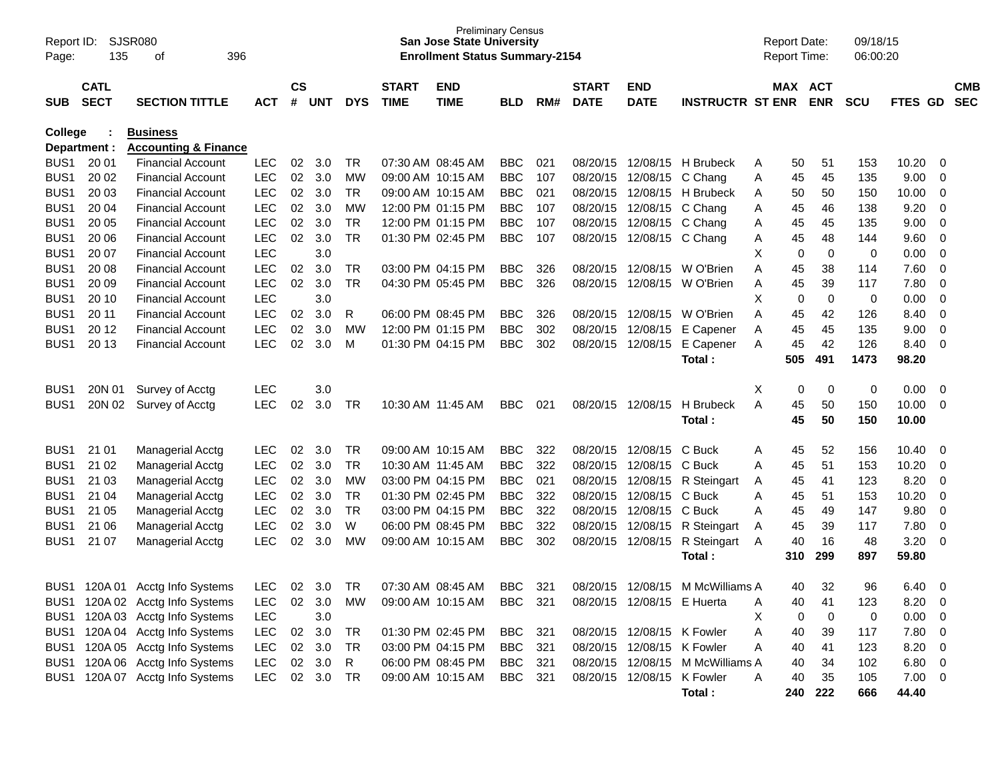| Page:            | SJSR080<br>Report ID:<br>135<br>396<br>οf |                                 |            |               |            |            |                   | <b>Preliminary Census</b><br><b>San Jose State University</b><br><b>Enrollment Status Summary-2154</b> |            |     |              |                            |                                  |   | <b>Report Date:</b><br><b>Report Time:</b> |             | 09/18/15<br>06:00:20 |                |                          |            |
|------------------|-------------------------------------------|---------------------------------|------------|---------------|------------|------------|-------------------|--------------------------------------------------------------------------------------------------------|------------|-----|--------------|----------------------------|----------------------------------|---|--------------------------------------------|-------------|----------------------|----------------|--------------------------|------------|
|                  | <b>CATL</b>                               |                                 |            | $\mathsf{cs}$ |            |            | <b>START</b>      | <b>END</b>                                                                                             |            |     | <b>START</b> | <b>END</b>                 |                                  |   | MAX ACT                                    |             |                      |                |                          | <b>CMB</b> |
| <b>SUB</b>       | <b>SECT</b>                               | <b>SECTION TITTLE</b>           | <b>ACT</b> | #             | <b>UNT</b> | <b>DYS</b> | <b>TIME</b>       | <b>TIME</b>                                                                                            | <b>BLD</b> | RM# | <b>DATE</b>  | <b>DATE</b>                | <b>INSTRUCTR ST ENR</b>          |   |                                            | <b>ENR</b>  | <b>SCU</b>           | <b>FTES GD</b> |                          | <b>SEC</b> |
| <b>College</b>   |                                           | <b>Business</b>                 |            |               |            |            |                   |                                                                                                        |            |     |              |                            |                                  |   |                                            |             |                      |                |                          |            |
|                  | Department :                              | <b>Accounting &amp; Finance</b> |            |               |            |            |                   |                                                                                                        |            |     |              |                            |                                  |   |                                            |             |                      |                |                          |            |
| BUS <sub>1</sub> | 20 01                                     | <b>Financial Account</b>        | <b>LEC</b> | 02            | 3.0        | TR         | 07:30 AM 08:45 AM |                                                                                                        | <b>BBC</b> | 021 | 08/20/15     | 12/08/15                   | H Brubeck                        | A | 50                                         | 51          | 153                  | 10.20          | 0                        |            |
| BUS <sub>1</sub> | 20 02                                     | <b>Financial Account</b>        | <b>LEC</b> | 02            | 3.0        | MW         | 09:00 AM 10:15 AM |                                                                                                        | <b>BBC</b> | 107 | 08/20/15     | 12/08/15                   | C Chang                          | A | 45                                         | 45          | 135                  | 9.00           | 0                        |            |
| BUS <sub>1</sub> | 20 03                                     | <b>Financial Account</b>        | <b>LEC</b> | 02            | 3.0        | <b>TR</b>  |                   | 09:00 AM 10:15 AM                                                                                      | <b>BBC</b> | 021 | 08/20/15     | 12/08/15                   | H Brubeck                        | A | 50                                         | 50          | 150                  | 10.00          | 0                        |            |
| BUS <sub>1</sub> | 20 04                                     | <b>Financial Account</b>        | <b>LEC</b> | 02            | 3.0        | MW         |                   | 12:00 PM 01:15 PM                                                                                      | <b>BBC</b> | 107 | 08/20/15     | 12/08/15                   | C Chang                          | Α | 45                                         | 46          | 138                  | 9.20           | 0                        |            |
| BUS <sub>1</sub> | 20 05                                     | <b>Financial Account</b>        | <b>LEC</b> | 02            | 3.0        | <b>TR</b>  |                   | 12:00 PM 01:15 PM                                                                                      | <b>BBC</b> | 107 | 08/20/15     | 12/08/15                   | C Chang                          | A | 45                                         | 45          | 135                  | 9.00           | 0                        |            |
| BUS <sub>1</sub> | 20 06                                     | <b>Financial Account</b>        | <b>LEC</b> | 02            | 3.0        | <b>TR</b>  |                   | 01:30 PM 02:45 PM                                                                                      | <b>BBC</b> | 107 | 08/20/15     | 12/08/15 C Chang           |                                  | A | 45                                         | 48          | 144                  | 9.60           | 0                        |            |
| BUS <sub>1</sub> | 20 07                                     | <b>Financial Account</b>        | <b>LEC</b> |               | 3.0        |            |                   |                                                                                                        |            |     |              |                            |                                  | X | 0                                          | 0           | 0                    | 0.00           | 0                        |            |
| BUS <sub>1</sub> | 20 08                                     | <b>Financial Account</b>        | <b>LEC</b> | 02            | 3.0        | TR         |                   | 03:00 PM 04:15 PM                                                                                      | <b>BBC</b> | 326 | 08/20/15     | 12/08/15                   | W O'Brien                        | Α | 45                                         | 38          | 114                  | 7.60           | 0                        |            |
| BUS <sub>1</sub> | 20 09                                     | <b>Financial Account</b>        | <b>LEC</b> | 02            | 3.0        | <b>TR</b>  |                   | 04:30 PM 05:45 PM                                                                                      | <b>BBC</b> | 326 | 08/20/15     | 12/08/15                   | W O'Brien                        | A | 45                                         | 39          | 117                  | 7.80           | 0                        |            |
| BUS <sub>1</sub> | 20 10                                     | <b>Financial Account</b>        | <b>LEC</b> |               | 3.0        |            |                   |                                                                                                        |            |     |              |                            |                                  | X | 0                                          | $\mathbf 0$ | 0                    | 0.00           | $\mathbf 0$              |            |
| BUS <sub>1</sub> | 20 11                                     | <b>Financial Account</b>        | <b>LEC</b> | 02            | 3.0        | R          |                   | 06:00 PM 08:45 PM                                                                                      | <b>BBC</b> | 326 | 08/20/15     | 12/08/15                   | W O'Brien                        | Α | 45                                         | 42          | 126                  | 8.40           | 0                        |            |
| BUS <sub>1</sub> | 20 12                                     | <b>Financial Account</b>        | <b>LEC</b> | 02            | 3.0        | МW         |                   | 12:00 PM 01:15 PM                                                                                      | <b>BBC</b> | 302 | 08/20/15     | 12/08/15                   | E Capener                        | A | 45                                         | 45          | 135                  | 9.00           | 0                        |            |
| BUS <sub>1</sub> | 20 13                                     | <b>Financial Account</b>        | <b>LEC</b> | 02            | 3.0        | M          |                   | 01:30 PM 04:15 PM                                                                                      | <b>BBC</b> | 302 | 08/20/15     | 12/08/15                   | E Capener                        | A | 45                                         | 42          | 126                  | 8.40           | 0                        |            |
|                  |                                           |                                 |            |               |            |            |                   |                                                                                                        |            |     |              |                            | Total:                           |   | 505                                        | 491         | 1473                 | 98.20          |                          |            |
|                  |                                           |                                 |            |               |            |            |                   |                                                                                                        |            |     |              |                            |                                  |   |                                            |             |                      |                |                          |            |
| BUS <sub>1</sub> | 20N 01                                    | Survey of Acctg                 | <b>LEC</b> |               | 3.0        |            |                   |                                                                                                        |            |     |              |                            |                                  | Х | 0                                          | 0           | 0                    | 0.00           | 0                        |            |
| BUS <sub>1</sub> | 20N 02                                    | Survey of Acctg                 | <b>LEC</b> | 02            | 3.0        | TR         | 10:30 AM 11:45 AM |                                                                                                        | <b>BBC</b> | 021 | 08/20/15     | 12/08/15                   | <b>H</b> Brubeck                 | A | 45                                         | 50          | 150                  | 10.00          | 0                        |            |
|                  |                                           |                                 |            |               |            |            |                   |                                                                                                        |            |     |              |                            | Total:                           |   | 45                                         | 50          | 150                  | 10.00          |                          |            |
| BUS <sub>1</sub> | 21 01                                     | <b>Managerial Acctg</b>         | <b>LEC</b> | 02            | 3.0        | TR         | 09:00 AM 10:15 AM |                                                                                                        | <b>BBC</b> | 322 | 08/20/15     | 12/08/15                   | C Buck                           | A | 45                                         | 52          | 156                  | 10.40          | 0                        |            |
| BUS <sub>1</sub> | 21 02                                     | Managerial Acctg                | <b>LEC</b> | 02            | 3.0        | TR         | 10:30 AM 11:45 AM |                                                                                                        | <b>BBC</b> | 322 | 08/20/15     | 12/08/15                   | C Buck                           | A | 45                                         | 51          | 153                  | 10.20          | 0                        |            |
| BUS <sub>1</sub> | 21 03                                     | <b>Managerial Acctg</b>         | <b>LEC</b> | 02            | 3.0        | MW         |                   | 03:00 PM 04:15 PM                                                                                      | <b>BBC</b> | 021 | 08/20/15     | 12/08/15                   | R Steingart                      | A | 45                                         | 41          | 123                  | 8.20           | 0                        |            |
| BUS <sub>1</sub> | 21 04                                     | <b>Managerial Acctg</b>         | <b>LEC</b> | 02            | 3.0        | <b>TR</b>  |                   | 01:30 PM 02:45 PM                                                                                      | <b>BBC</b> | 322 | 08/20/15     | 12/08/15                   | C Buck                           | A | 45                                         | 51          | 153                  | 10.20          | 0                        |            |
| BUS <sub>1</sub> | 21 05                                     | <b>Managerial Acctg</b>         | <b>LEC</b> | 02            | 3.0        | <b>TR</b>  |                   | 03:00 PM 04:15 PM                                                                                      | <b>BBC</b> | 322 | 08/20/15     | 12/08/15                   | C Buck                           | A | 45                                         | 49          | 147                  | 9.80           | 0                        |            |
| BUS <sub>1</sub> | 21 06                                     | <b>Managerial Acctg</b>         | <b>LEC</b> | 02            | 3.0        | W          |                   | 06:00 PM 08:45 PM                                                                                      | <b>BBC</b> | 322 | 08/20/15     | 12/08/15                   | R Steingart                      | A | 45                                         | 39          | 117                  | 7.80           | 0                        |            |
| BUS <sub>1</sub> | 21 07                                     | Managerial Acctg                | <b>LEC</b> | 02            | 3.0        | MW         | 09:00 AM 10:15 AM |                                                                                                        | <b>BBC</b> | 302 | 08/20/15     | 12/08/15                   | R Steingart                      | A | 40                                         | 16          | 48                   | 3.20           | 0                        |            |
|                  |                                           |                                 |            |               |            |            |                   |                                                                                                        |            |     |              |                            | Total:                           |   | 310                                        | 299         | 897                  | 59.80          |                          |            |
|                  |                                           |                                 |            |               |            |            |                   |                                                                                                        |            |     |              |                            |                                  |   |                                            |             |                      |                |                          |            |
| BUS1             | 120A 01                                   | Acctg Info Systems              | LEC        | 02            | 3.0        | TR         |                   | 07:30 AM 08:45 AM                                                                                      | BBC.       | 321 | 08/20/15     | 12/08/15                   | M McWilliams A                   |   | 40                                         | 32          | 96                   | 6.40           | 0                        |            |
|                  |                                           | BUS1 120A 02 Acctg Info Systems | LEC        | 02            | 3.0        | <b>MW</b>  |                   | 09:00 AM 10:15 AM                                                                                      | BBC 321    |     |              | 08/20/15 12/08/15 E Huerta |                                  | Α | 40                                         | 41          | 123                  | 8.20           | $\overline{0}$           |            |
|                  |                                           | BUS1 120A 03 Acctg Info Systems | LEC        |               | 3.0        |            |                   |                                                                                                        |            |     |              |                            |                                  | Х | 0                                          | $\mathbf 0$ | 0                    | 0.00           | $\overline{\mathbf{0}}$  |            |
|                  |                                           | BUS1 120A 04 Acctg Info Systems | <b>LEC</b> |               | 02 3.0     | TR         |                   | 01:30 PM 02:45 PM                                                                                      | BBC        | 321 |              | 08/20/15 12/08/15 K Fowler |                                  | Α | 40                                         | 39          | 117                  | 7.80           | $\overline{\mathbf{0}}$  |            |
|                  |                                           | BUS1 120A 05 Acctg Info Systems | <b>LEC</b> |               | 02 3.0     | TR         |                   | 03:00 PM 04:15 PM                                                                                      | <b>BBC</b> | 321 |              | 08/20/15 12/08/15 K Fowler |                                  | Α | 40                                         | 41          | 123                  | 8.20           | $\overline{\mathbf{0}}$  |            |
|                  |                                           | BUS1 120A 06 Acctg Info Systems | <b>LEC</b> |               | 02 3.0     | R          |                   | 06:00 PM 08:45 PM                                                                                      | BBC        | 321 |              |                            | 08/20/15 12/08/15 M McWilliams A |   | 40                                         | 34          | 102                  | 6.80           | $\overline{\phantom{0}}$ |            |
|                  |                                           | BUS1 120A 07 Acctg Info Systems | <b>LEC</b> |               | 02 3.0     | TR         |                   | 09:00 AM 10:15 AM                                                                                      | <b>BBC</b> | 321 |              | 08/20/15 12/08/15 K Fowler |                                  | A | 40                                         | 35          | 105                  | $7.00 \t 0$    |                          |            |
|                  |                                           |                                 |            |               |            |            |                   |                                                                                                        |            |     |              |                            | Total:                           |   |                                            | 240 222     | 666                  | 44.40          |                          |            |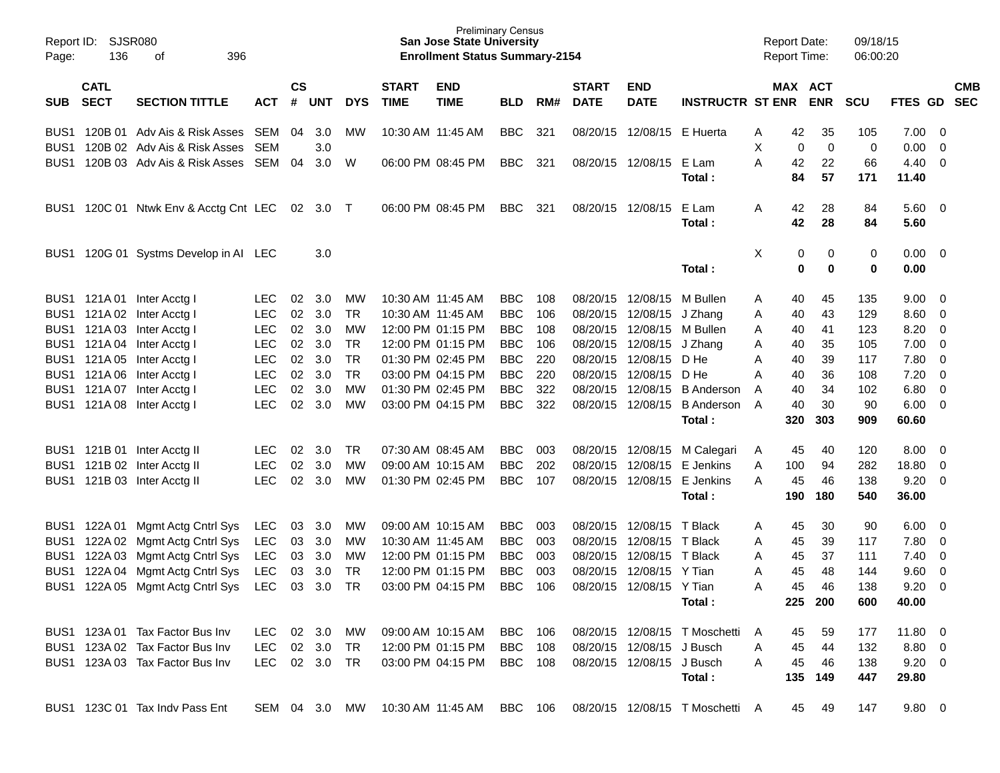| Report ID:<br>Page: | SJSR080<br>136 | 396<br>οf                                   |               |                 |            |            |                   | <b>Preliminary Census</b><br><b>San Jose State University</b><br><b>Enrollment Status Summary-2154</b> |                |     |              |                            |                                                                         | <b>Report Date:</b><br><b>Report Time:</b> |     |            | 09/18/15<br>06:00:20 |                |             |            |
|---------------------|----------------|---------------------------------------------|---------------|-----------------|------------|------------|-------------------|--------------------------------------------------------------------------------------------------------|----------------|-----|--------------|----------------------------|-------------------------------------------------------------------------|--------------------------------------------|-----|------------|----------------------|----------------|-------------|------------|
|                     | <b>CATL</b>    |                                             |               | $\mathsf{cs}$   |            |            | <b>START</b>      | <b>END</b>                                                                                             |                |     | <b>START</b> | <b>END</b>                 |                                                                         |                                            |     | MAX ACT    |                      |                |             | <b>CMB</b> |
| SUB.                | <b>SECT</b>    | <b>SECTION TITTLE</b>                       | <b>ACT</b>    | #               | <b>UNT</b> | <b>DYS</b> | <b>TIME</b>       | <b>TIME</b>                                                                                            | <b>BLD</b>     | RM# | <b>DATE</b>  | <b>DATE</b>                | <b>INSTRUCTR ST ENR</b>                                                 |                                            |     | <b>ENR</b> | <b>SCU</b>           | <b>FTES GD</b> |             | <b>SEC</b> |
| BUS1                |                | 120B 01 Adv Ais & Risk Asses                | SEM           | 04              | 3.0        | MW         | 10:30 AM 11:45 AM |                                                                                                        | <b>BBC</b>     | 321 |              | 08/20/15 12/08/15 E Huerta |                                                                         | Α                                          | 42  | 35         | 105                  | 7.00           | - 0         |            |
| BUS1                |                | 120B 02 Adv Ais & Risk Asses                | SEM           |                 | 3.0        |            |                   |                                                                                                        |                |     |              |                            |                                                                         | Х                                          | 0   | 0          | 0                    | 0.00           | 0           |            |
| BUS1                |                | 120B 03 Adv Ais & Risk Asses                | SEM           | 04              | 3.0        | W          |                   | 06:00 PM 08:45 PM                                                                                      | <b>BBC</b>     | 321 |              | 08/20/15 12/08/15          | E Lam                                                                   | Α                                          | 42  | 22         | 66                   | 4.40           | 0           |            |
|                     |                |                                             |               |                 |            |            |                   |                                                                                                        |                |     |              |                            | Total :                                                                 |                                            | 84  | 57         | 171                  | 11.40          |             |            |
| BUS1                |                | 120C 01 Ntwk Env & Acctg Cnt LEC            |               | 02 <sub>o</sub> | 3.0        | $\top$     |                   | 06:00 PM 08:45 PM                                                                                      | <b>BBC</b>     | 321 |              | 08/20/15 12/08/15          | E Lam                                                                   | Α                                          | 42  | 28         | 84                   | $5.60 \ 0$     |             |            |
|                     |                |                                             |               |                 |            |            |                   |                                                                                                        |                |     |              |                            | Total :                                                                 |                                            | 42  | 28         | 84                   | 5.60           |             |            |
| BUS1                |                | 120G 01 Systms Develop in AI LEC            |               |                 | 3.0        |            |                   |                                                                                                        |                |     |              |                            |                                                                         | X                                          | 0   | 0          | 0                    | $0.00 \quad 0$ |             |            |
|                     |                |                                             |               |                 |            |            |                   |                                                                                                        |                |     |              |                            | Total:                                                                  |                                            | 0   | 0          | 0                    | 0.00           |             |            |
| BUS1                | 121A 01        | Inter Acctg I                               | LEC           | 02              | 3.0        | MW         | 10:30 AM 11:45 AM |                                                                                                        | <b>BBC</b>     | 108 |              | 08/20/15 12/08/15 M Bullen |                                                                         | Α                                          | 40  | 45         | 135                  | 9.00           | 0           |            |
| BUS1                |                | 121A 02 Inter Acctg I                       | <b>LEC</b>    | 02              | 3.0        | TR         | 10:30 AM 11:45 AM |                                                                                                        | <b>BBC</b>     | 106 |              | 08/20/15 12/08/15          | J Zhang                                                                 | Α                                          | 40  | 43         | 129                  | 8.60           | $\mathbf 0$ |            |
| BUS1                | 121A 03        | Inter Acctg I                               | <b>LEC</b>    | 02              | 3.0        | МW         |                   | 12:00 PM 01:15 PM                                                                                      | <b>BBC</b>     | 108 |              | 08/20/15 12/08/15 M Bullen |                                                                         | Α                                          | 40  | 41         | 123                  | 8.20           | 0           |            |
| BUS <sub>1</sub>    | 121A 04        | Inter Acctg I                               | <b>LEC</b>    | 02              | 3.0        | TR         |                   | 12:00 PM 01:15 PM                                                                                      | <b>BBC</b>     | 106 |              | 08/20/15 12/08/15          | J Zhang                                                                 | Α                                          | 40  | 35         | 105                  | 7.00           | 0           |            |
| BUS <sub>1</sub>    | 121A 05        | Inter Acctg I                               | <b>LEC</b>    | 02              | 3.0        | <b>TR</b>  |                   | 01:30 PM 02:45 PM                                                                                      | <b>BBC</b>     | 220 |              | 08/20/15 12/08/15          | D He                                                                    | Α                                          | 40  | 39         | 117                  | 7.80           | 0           |            |
| BUS <sub>1</sub>    | 121A 06        | Inter Acctg I                               | <b>LEC</b>    | 02              | 3.0        | <b>TR</b>  |                   | 03:00 PM 04:15 PM                                                                                      | <b>BBC</b>     | 220 |              | 08/20/15 12/08/15          | D He                                                                    | Α                                          | 40  | 36         | 108                  | 7.20           | 0           |            |
| BUS1                | 121A 07        | Inter Acctg I                               | <b>LEC</b>    | 02              | 3.0        | МW         |                   | 01:30 PM 02:45 PM                                                                                      | <b>BBC</b>     | 322 |              | 08/20/15 12/08/15          | <b>B</b> Anderson                                                       | A                                          | 40  | 34         | 102                  | 6.80           | 0           |            |
| BUS1                | 121A 08        | Inter Acctg I                               | <b>LEC</b>    | 02              | 3.0        | МW         |                   | 03:00 PM 04:15 PM                                                                                      | <b>BBC</b>     | 322 |              | 08/20/15 12/08/15          | <b>B</b> Anderson                                                       | A                                          | 40  | 30         | 90                   | 6.00           | 0           |            |
|                     |                |                                             |               |                 |            |            |                   |                                                                                                        |                |     |              |                            | Total :                                                                 |                                            | 320 | 303        | 909                  | 60.60          |             |            |
| BUS1                |                | 121B 01 Inter Acctg II                      | <b>LEC</b>    | 02              | 3.0        | TR         |                   | 07:30 AM 08:45 AM                                                                                      | <b>BBC</b>     | 003 |              |                            | 08/20/15 12/08/15 M Calegari                                            | A                                          | 45  | 40         | 120                  | 8.00           | 0           |            |
| BUS1                |                | 121B 02 Inter Acctg II                      | <b>LEC</b>    | 02              | 3.0        | МW         |                   | 09:00 AM 10:15 AM                                                                                      | <b>BBC</b>     | 202 |              |                            | 08/20/15 12/08/15 E Jenkins                                             | Α                                          | 100 | 94         | 282                  | 18.80          | 0           |            |
| BUS1                |                | 121B 03 Inter Acctg II                      | <b>LEC</b>    | 02              | 3.0        | мw         |                   | 01:30 PM 02:45 PM                                                                                      | <b>BBC</b>     | 107 |              | 08/20/15 12/08/15          | E Jenkins                                                               | Α                                          | 45  | 46         | 138                  | 9.20           | 0           |            |
|                     |                |                                             |               |                 |            |            |                   |                                                                                                        |                |     |              |                            | Total :                                                                 |                                            | 190 | 180        | 540                  | 36.00          |             |            |
| BUS1                | 122A 01        | Mgmt Actg Cntrl Sys                         | LEC           | 03              | 3.0        | МW         |                   | 09:00 AM 10:15 AM                                                                                      | <b>BBC</b>     | 003 |              | 08/20/15 12/08/15          | T Black                                                                 | Α                                          | 45  | 30         | 90                   | 6.00           | 0           |            |
| BUS1                |                | 122A 02 Mgmt Actg Cntrl Sys                 | LEC           | 03              | 3.0        | МW         | 10:30 AM 11:45 AM |                                                                                                        | <b>BBC</b>     | 003 |              | 08/20/15 12/08/15 T Black  |                                                                         | Α                                          | 45  | 39         | 117                  | 7.80           | 0           |            |
| BUS <sub>1</sub>    |                | 122A 03 Mgmt Actg Cntrl Sys                 | LEC           | 03              | 3.0        | МW         |                   | 12:00 PM 01:15 PM                                                                                      | <b>BBC</b>     | 003 |              | 08/20/15 12/08/15 T Black  |                                                                         | Α                                          | 45  | 37         | 111                  | 7.40           | 0           |            |
| BUS <sub>1</sub>    |                | 122A 04 Mgmt Actg Cntrl Sys                 | LEC           | 03              | 3.0        | TR         |                   | 12:00 PM 01:15 PM                                                                                      | <b>BBC</b>     | 003 |              | 08/20/15 12/08/15 Y Tian   |                                                                         | Α                                          | 45  | 48         | 144                  | 9.60           | 0           |            |
|                     |                | BUS1 122A 05 Mgmt Actg Cntrl Sys LEC 03 3.0 |               |                 |            | TR         |                   | 03:00 PM 04:15 PM                                                                                      | BBC            | 106 |              | 08/20/15 12/08/15 Y Tian   |                                                                         | А                                          | 45  | 46         | 138                  | 9.20           | $\Omega$    |            |
|                     |                |                                             |               |                 |            |            |                   |                                                                                                        |                |     |              |                            | Total :                                                                 |                                            |     | 225 200    | 600                  | 40.00          |             |            |
|                     |                | BUS1 123A 01 Tax Factor Bus Inv             | LEC 02 3.0 MW |                 |            |            |                   | 09:00 AM 10:15 AM                                                                                      | BBC 106        |     |              |                            | 08/20/15 12/08/15 T Moschetti                                           | A                                          | 45  | 59         | 177                  | $11.80 \t 0$   |             |            |
|                     |                | BUS1 123A 02 Tax Factor Bus Inv             | LEC           |                 | 02 3.0     | TR         | 12:00 PM 01:15 PM |                                                                                                        | <b>BBC</b> 108 |     |              | 08/20/15 12/08/15 J Busch  |                                                                         | A                                          | 45  | 44         | 132                  | 8.80 0         |             |            |
|                     |                | BUS1 123A 03 Tax Factor Bus Inv             | LEC 02 3.0 TR |                 |            |            |                   | 03:00 PM 04:15 PM                                                                                      | <b>BBC</b> 108 |     |              | 08/20/15 12/08/15 J Busch  |                                                                         | A                                          | 45  | 46         | 138                  | $9.20 \quad 0$ |             |            |
|                     |                |                                             |               |                 |            |            |                   |                                                                                                        |                |     |              |                            | Total:                                                                  |                                            |     | 135 149    | 447                  | 29.80          |             |            |
|                     |                | BUS1 123C 01 Tax Indy Pass Ent              |               |                 |            |            |                   |                                                                                                        |                |     |              |                            | SEM 04 3.0 MW 10:30 AM 11:45 AM BBC 106 08/20/15 12/08/15 T Moschetti A |                                            | 45  | 49         | 147                  | $9.80 \quad 0$ |             |            |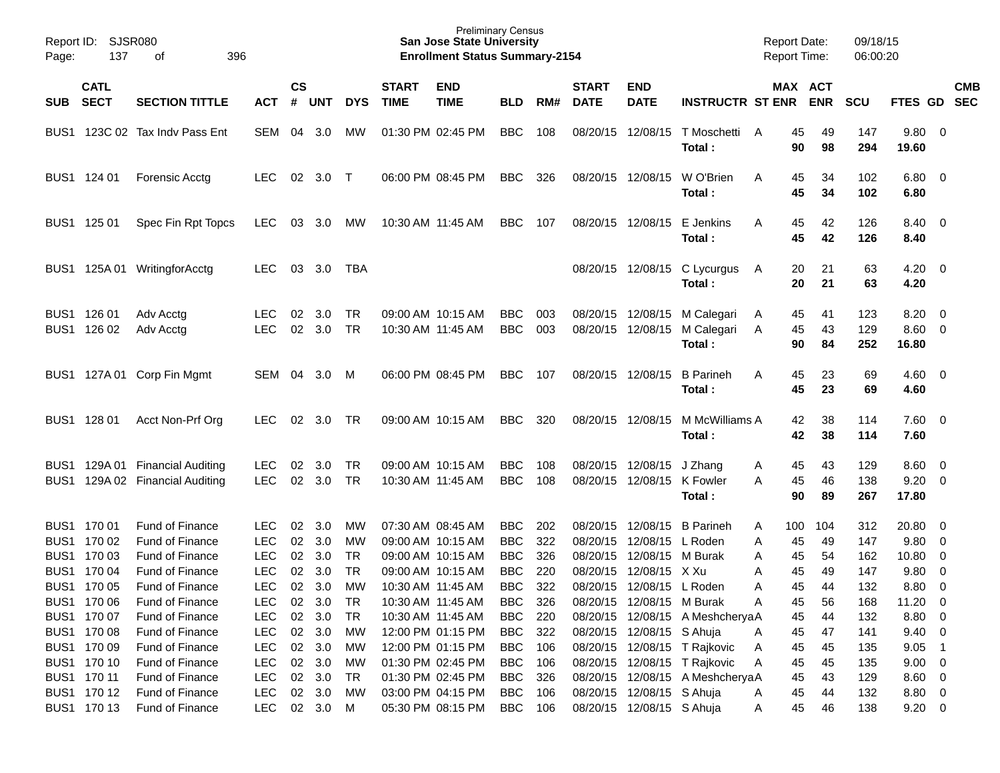| SJSR080<br>Report ID:<br>137<br>396<br>Page:<br>οf |                            |                                    |                          |           |               |                 |              | <b>Preliminary Census</b><br><b>San Jose State University</b><br><b>Enrollment Status Summary-2154</b> |                          |            |                      |                           |                                    | <b>Report Date:</b><br><b>Report Time:</b> |                | 09/18/15<br>06:00:20 |                        |                                 |
|----------------------------------------------------|----------------------------|------------------------------------|--------------------------|-----------|---------------|-----------------|--------------|--------------------------------------------------------------------------------------------------------|--------------------------|------------|----------------------|---------------------------|------------------------------------|--------------------------------------------|----------------|----------------------|------------------------|---------------------------------|
|                                                    | <b>CATL</b>                |                                    |                          | <b>CS</b> |               |                 | <b>START</b> | <b>END</b>                                                                                             |                          |            | <b>START</b>         | <b>END</b>                |                                    |                                            | MAX ACT        |                      |                        | <b>CMB</b>                      |
| <b>SUB</b>                                         | <b>SECT</b>                | <b>SECTION TITTLE</b>              | <b>ACT</b>               | #         | <b>UNT</b>    | <b>DYS</b>      | <b>TIME</b>  | <b>TIME</b>                                                                                            | <b>BLD</b>               | RM#        | <b>DATE</b>          | <b>DATE</b>               | <b>INSTRUCTR ST ENR</b>            |                                            | <b>ENR</b>     | <b>SCU</b>           | FTES GD                | <b>SEC</b>                      |
| BUS <sub>1</sub>                                   | 123C 02                    | Tax Indv Pass Ent                  | SEM                      | 04        | 3.0           | <b>MW</b>       |              | 01:30 PM 02:45 PM                                                                                      | <b>BBC</b>               | 108        | 08/20/15             | 12/08/15                  | T Moschetti<br>Total:              | 45<br>A<br>90                              | 49<br>98       | 147<br>294           | 9.80 0<br>19.60        |                                 |
|                                                    | BUS1 124 01                | Forensic Acctg                     | <b>LEC</b>               | 02        | 3.0           | $\top$          |              | 06:00 PM 08:45 PM                                                                                      | <b>BBC</b>               | 326        | 08/20/15             | 12/08/15                  | W O'Brien<br>Total :               | A<br>45<br>45                              | 34<br>34       | 102<br>102           | $6.80\quad 0$<br>6.80  |                                 |
|                                                    | BUS1 125 01                | Spec Fin Rpt Topcs                 | <b>LEC</b>               | 03        | 3.0           | МW              |              | 10:30 AM 11:45 AM                                                                                      | <b>BBC</b>               | 107        | 08/20/15             | 12/08/15                  | E Jenkins<br>Total :               | A<br>45<br>45                              | 42<br>42       | 126<br>126           | 8.40 0<br>8.40         |                                 |
| BUS1                                               | 125A 01                    | WritingforAcctg                    | <b>LEC</b>               | 03        | 3.0           | <b>TBA</b>      |              |                                                                                                        |                          |            | 08/20/15             | 12/08/15                  | C Lycurgus<br>Total:               | 20<br>A<br>20                              | 21<br>21       | 63<br>63             | $4.20 \ 0$<br>4.20     |                                 |
|                                                    | BUS1 126 01<br>BUS1 126 02 | Adv Acctg<br>Adv Acctg             | <b>LEC</b><br><b>LEC</b> | 02<br>02  | 3.0<br>3.0    | TR<br><b>TR</b> |              | 09:00 AM 10:15 AM<br>10:30 AM 11:45 AM                                                                 | <b>BBC</b><br><b>BBC</b> | 003<br>003 | 08/20/15<br>08/20/15 | 12/08/15<br>12/08/15      | M Calegari<br>M Calegari<br>Total: | 45<br>A<br>45<br>A<br>90                   | 41<br>43<br>84 | 123<br>129<br>252    | 8.20<br>8.60<br>16.80  | $\overline{\phantom{0}}$<br>- 0 |
|                                                    |                            | BUS1 127A 01 Corp Fin Mgmt         | SEM                      | 04        | 3.0           | M               |              | 06:00 PM 08:45 PM                                                                                      | <b>BBC</b>               | 107        | 08/20/15             | 12/08/15                  | <b>B</b> Parineh<br>Total :        | 45<br>A<br>45                              | 23<br>23       | 69<br>69             | $4.60 \quad 0$<br>4.60 |                                 |
|                                                    | BUS1 128 01                | Acct Non-Prf Org                   | <b>LEC</b>               | 02        | 3.0           | TR              |              | 09:00 AM 10:15 AM                                                                                      | <b>BBC</b>               | 320        | 08/20/15             | 12/08/15                  | M McWilliams A<br>Total :          | 42<br>42                                   | 38<br>38       | 114<br>114           | 7.60 0<br>7.60         |                                 |
| BUS <sub>1</sub>                                   | 129A 01                    | <b>Financial Auditing</b>          | <b>LEC</b>               | 02        | 3.0           | TR              |              | 09:00 AM 10:15 AM                                                                                      | <b>BBC</b>               | 108        | 08/20/15             | 12/08/15                  | J Zhang                            | Α<br>45                                    | 43             | 129                  | $8.60 \quad 0$         |                                 |
| BUS <sub>1</sub>                                   |                            | 129A 02 Financial Auditing         | <b>LEC</b>               | 02        | 3.0           | <b>TR</b>       |              | 10:30 AM 11:45 AM                                                                                      | <b>BBC</b>               | 108        | 08/20/15             | 12/08/15                  | K Fowler<br>Total:                 | 45<br>Α<br>90                              | 46<br>89       | 138<br>267           | 9.20<br>17.80          | - 0                             |
|                                                    | BUS1 170 01                | <b>Fund of Finance</b>             | <b>LEC</b>               | 02        | 3.0           | <b>MW</b>       |              | 07:30 AM 08:45 AM                                                                                      | <b>BBC</b>               | 202        | 08/20/15             | 12/08/15                  | <b>B</b> Parineh                   | A<br>100                                   | 104            | 312                  | 20.80                  | - 0                             |
|                                                    | BUS1 170 02                | <b>Fund of Finance</b>             | <b>LEC</b>               | 02        | 3.0           | MW              |              | 09:00 AM 10:15 AM                                                                                      | <b>BBC</b>               | 322        | 08/20/15             | 12/08/15                  | L Roden                            | 45<br>Α                                    | 49             | 147                  | 9.80                   | - 0                             |
| BUS <sub>1</sub>                                   | 170 03                     | <b>Fund of Finance</b>             | <b>LEC</b>               | 02        | 3.0           | <b>TR</b>       |              | 09:00 AM 10:15 AM                                                                                      | <b>BBC</b>               | 326        | 08/20/15             | 12/08/15                  | M Burak                            | 45<br>Α                                    | 54             | 162                  | 10.80                  | - 0                             |
|                                                    | BUS1 170 04                | <b>Fund of Finance</b>             | <b>LEC</b>               | 02        | 3.0           | <b>TR</b>       |              | 09:00 AM 10:15 AM                                                                                      | <b>BBC</b>               | 220        | 08/20/15             | 12/08/15                  | X Xu                               | 45<br>Α                                    | 49             | 147                  | 9.80                   | 0                               |
|                                                    | BUS1 170 05                | Fund of Finance                    | LEC                      |           | 02 3.0        | <b>MW</b>       |              | 10:30 AM 11:45 AM                                                                                      | <b>BBC</b>               | 322        |                      | 08/20/15 12/08/15 L Roden |                                    | 45<br>A                                    | 44             | 132                  | 8.80 0                 |                                 |
|                                                    | BUS1 170 06                | <b>Fund of Finance</b>             | <b>LEC</b>               |           | 02 3.0        | TR              |              | 10:30 AM 11:45 AM                                                                                      | BBC                      | 326        |                      | 08/20/15 12/08/15 M Burak |                                    | A<br>45                                    | 56             | 168                  | $11.20 \t 0$           |                                 |
|                                                    | BUS1 170 07                | Fund of Finance<br>Fund of Finance | <b>LEC</b><br><b>LEC</b> | 02        | 3.0<br>02 3.0 | TR              |              | 10:30 AM 11:45 AM                                                                                      | <b>BBC</b><br><b>BBC</b> | 220        |                      | 08/20/15 12/08/15 S Ahuja | 08/20/15 12/08/15 A MeshcheryaA    | 45                                         | 44             | 132                  | 8.80 0                 |                                 |
|                                                    | BUS1 170 08<br>BUS1 170 09 | Fund of Finance                    | <b>LEC</b>               |           | 02 3.0        | МW<br>МW        |              | 12:00 PM 01:15 PM<br>12:00 PM 01:15 PM                                                                 | <b>BBC</b>               | 322<br>106 |                      |                           | 08/20/15 12/08/15 T Rajkovic       | 45<br>Α<br>45                              | 47<br>45       | 141<br>135           | $9.40 \quad 0$<br>9.05 |                                 |
|                                                    | BUS1 170 10                | Fund of Finance                    | <b>LEC</b>               |           | 02 3.0        | МW              |              | 01:30 PM 02:45 PM                                                                                      | <b>BBC</b>               | 106        |                      |                           | 08/20/15 12/08/15 T Rajkovic       | A<br>45<br>A                               | 45             | 135                  | $9.00 \t 0$            | $\overline{\phantom{1}}$        |
|                                                    | BUS1 170 11                | Fund of Finance                    | <b>LEC</b>               | 02        | 3.0           | TR              |              | 01:30 PM 02:45 PM                                                                                      | <b>BBC</b>               | 326        |                      |                           | 08/20/15 12/08/15 A MeshcheryaA    | 45                                         | 43             | 129                  | $8.60\ 0$              |                                 |
|                                                    | BUS1 170 12                | Fund of Finance                    | <b>LEC</b>               |           | 02 3.0        | МW              |              | 03:00 PM 04:15 PM                                                                                      | <b>BBC</b>               | 106        |                      | 08/20/15 12/08/15 S Ahuja |                                    | 45<br>Α                                    | 44             | 132                  | 8.80 0                 |                                 |
|                                                    | BUS1 170 13                | Fund of Finance                    | <b>LEC</b>               |           | 02 3.0 M      |                 |              | 05:30 PM 08:15 PM                                                                                      | <b>BBC</b>               | 106        |                      | 08/20/15 12/08/15 S Ahuja |                                    | 45<br>A                                    | 46             | 138                  | $9.20 \ 0$             |                                 |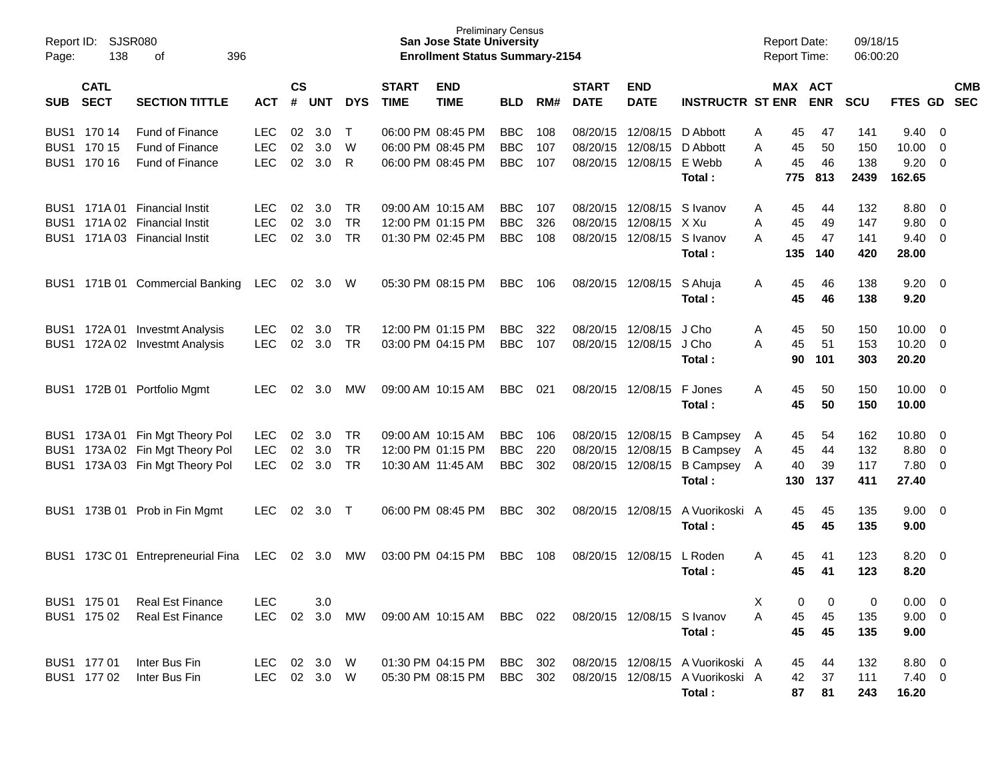| Report ID:<br>Page:                  | SJSR080<br>138             | 396                                                         |                          |                    |               |                        | <b>San Jose State University</b><br><b>Enrollment Status Summary-2154</b> | <b>Preliminary Census</b>                      |                          |            |                             |                                        |                                                                                | <b>Report Date:</b><br><b>Report Time:</b> |                 | 09/18/15<br>06:00:20 |                    |                                      |                                        |            |
|--------------------------------------|----------------------------|-------------------------------------------------------------|--------------------------|--------------------|---------------|------------------------|---------------------------------------------------------------------------|------------------------------------------------|--------------------------|------------|-----------------------------|----------------------------------------|--------------------------------------------------------------------------------|--------------------------------------------|-----------------|----------------------|--------------------|--------------------------------------|----------------------------------------|------------|
| <b>SUB</b>                           | <b>CATL</b><br><b>SECT</b> | <b>SECTION TITTLE</b>                                       | <b>ACT</b>               | $\mathsf{cs}$<br># | UNT           | <b>DYS</b>             | <b>START</b><br><b>TIME</b>                                               | <b>END</b><br><b>TIME</b>                      | <b>BLD</b>               | RM#        | <b>START</b><br><b>DATE</b> | <b>END</b><br><b>DATE</b>              | <b>INSTRUCTR ST ENR</b>                                                        |                                            | MAX ACT         | <b>ENR</b>           | <b>SCU</b>         | FTES GD SEC                          |                                        | <b>CMB</b> |
|                                      | BUS1 170 14                | <b>Fund of Finance</b>                                      | <b>LEC</b>               | 02                 | 3.0           | Т                      |                                                                           | 06:00 PM 08:45 PM                              | <b>BBC</b>               | 108        |                             | 08/20/15 12/08/15                      | D Abbott                                                                       | A                                          | 45              | 47                   | 141                | 9.40                                 | - 0                                    |            |
|                                      | BUS1 170 15<br>BUS1 170 16 | <b>Fund of Finance</b><br><b>Fund of Finance</b>            | <b>LEC</b><br><b>LEC</b> | 02<br>02           | 3.0<br>3.0    | W<br>R                 |                                                                           | 06:00 PM 08:45 PM<br>06:00 PM 08:45 PM         | <b>BBC</b><br><b>BBC</b> | 107<br>107 |                             | 08/20/15 12/08/15<br>08/20/15 12/08/15 | D Abbott<br>E Webb<br>Total:                                                   | A<br>A                                     | 45<br>45<br>775 | 50<br>46<br>813      | 150<br>138<br>2439 | 10.00<br>9.20<br>162.65              | 0<br>$\overline{\mathbf{0}}$           |            |
|                                      | BUS1 171A01                | <b>Financial Instit</b>                                     | LEC.                     | 02                 | 3.0           | TR                     |                                                                           | 09:00 AM 10:15 AM                              | <b>BBC</b>               | 107        |                             | 08/20/15 12/08/15                      | S Ivanov                                                                       | A                                          | 45              | 44                   | 132                | 8.80                                 | - 0                                    |            |
| BUS <sub>1</sub><br>BUS <sub>1</sub> |                            | 171A 02 Financial Instit<br>171A 03 Financial Instit        | <b>LEC</b><br><b>LEC</b> | 02<br>02           | 3.0<br>3.0    | <b>TR</b><br><b>TR</b> |                                                                           | 12:00 PM 01:15 PM<br>01:30 PM 02:45 PM         | <b>BBC</b><br><b>BBC</b> | 326<br>108 |                             | 08/20/15 12/08/15<br>08/20/15 12/08/15 | X Xu<br>S Ivanov<br>Total:                                                     | A<br>A                                     | 45<br>45<br>135 | 49<br>47<br>140      | 147<br>141<br>420  | 9.80<br>9.40<br>28.00                | 0<br>$\mathbf 0$                       |            |
| BUS1                                 |                            | 171B 01 Commercial Banking                                  | <b>LEC</b>               | 02                 | 3.0           | W                      |                                                                           | 05:30 PM 08:15 PM                              | <b>BBC</b>               | 106        |                             | 08/20/15 12/08/15                      | S Ahuja<br>Total:                                                              | A                                          | 45<br>45        | 46<br>46             | 138<br>138         | 9.20<br>9.20                         | $\overline{\mathbf{0}}$                |            |
| BUS1                                 |                            | BUS1 172A 01 Investmt Analysis<br>172A 02 Investmt Analysis | LEC.<br><b>LEC</b>       | 02<br>02           | 3.0<br>3.0    | TR<br>TR               |                                                                           | 12:00 PM 01:15 PM<br>03:00 PM 04:15 PM         | <b>BBC</b><br><b>BBC</b> | 322<br>107 |                             | 08/20/15 12/08/15<br>08/20/15 12/08/15 | J Cho<br>J Cho                                                                 | A<br>A                                     | 45<br>45        | 50<br>51             | 150<br>153         | 10.00<br>10.20                       | $\overline{\mathbf{0}}$<br>$\mathbf 0$ |            |
|                                      |                            |                                                             |                          |                    |               |                        |                                                                           |                                                |                          |            |                             |                                        | Total:                                                                         |                                            | 90              | 101                  | 303                | 20.20                                |                                        |            |
| BUS1                                 | 172B 01                    | Portfolio Mgmt                                              | LEC                      | 02                 | 3.0           | MW                     |                                                                           | 09:00 AM 10:15 AM                              | <b>BBC</b>               | 021        |                             | 08/20/15 12/08/15                      | F Jones<br>Total:                                                              | A                                          | 45<br>45        | 50<br>50             | 150<br>150         | 10.00<br>10.00                       | $\overline{\mathbf{0}}$                |            |
| BUS1<br>BUS1                         |                            | 173A 01 Fin Mgt Theory Pol<br>173A 02 Fin Mgt Theory Pol    | LEC.<br><b>LEC</b>       | 02<br>02           | 3.0<br>3.0    | TR<br>TR               |                                                                           | 09:00 AM 10:15 AM<br>12:00 PM 01:15 PM         | <b>BBC</b><br><b>BBC</b> | 106<br>220 |                             | 08/20/15 12/08/15<br>08/20/15 12/08/15 | <b>B Campsey</b><br><b>B Campsey</b>                                           | A<br>A                                     | 45<br>45        | 54<br>44             | 162<br>132         | 10.80<br>8.80                        | 0<br>0                                 |            |
| BUS1                                 |                            | 173A 03 Fin Mgt Theory Pol                                  | <b>LEC</b>               | 02                 | 3.0           | TR                     |                                                                           | 10:30 AM 11:45 AM                              | <b>BBC</b>               | 302        |                             | 08/20/15 12/08/15                      | <b>B Campsey</b><br>Total:                                                     | A                                          | 40<br>130       | 39<br>137            | 117<br>411         | 7.80<br>27.40                        | $\overline{\mathbf{0}}$                |            |
| BUS1                                 |                            | 173B 01 Prob in Fin Mgmt                                    | LEC                      | 02                 | 3.0           | $\top$                 |                                                                           | 06:00 PM 08:45 PM                              | <b>BBC</b>               | 302        |                             | 08/20/15 12/08/15                      | A Vuorikoski A<br>Total:                                                       |                                            | 45<br>45        | 45<br>45             | 135<br>135         | 9.00<br>9.00                         | $\overline{\mathbf{0}}$                |            |
| BUS1                                 |                            | 173C 01 Entrepreneurial Fina                                | <b>LEC</b>               | 02                 | 3.0           | MW                     |                                                                           | 03:00 PM 04:15 PM                              | <b>BBC</b>               | 108        |                             | 08/20/15 12/08/15                      | L Roden<br>Total:                                                              | A                                          | 45<br>45        | 41<br>41             | 123<br>123         | 8.20 0<br>8.20                       |                                        |            |
|                                      | BUS1 175 01<br>BUS1 175 02 | <b>Real Est Finance</b><br><b>Real Est Finance</b>          | <b>LEC</b><br><b>LEC</b> |                    | 3.0<br>02 3.0 | MW                     |                                                                           | 09:00 AM 10:15 AM BBC 022                      |                          |            |                             | 08/20/15 12/08/15 S Ivanov             | Total:                                                                         | Х<br>A                                     | 0<br>45<br>45   | 0<br>45<br>45        | 0<br>135<br>135    | $0.00 \t 0$<br>$9.00 \t 0$<br>9.00   |                                        |            |
|                                      | BUS1 177 01<br>BUS1 177 02 | Inter Bus Fin<br>Inter Bus Fin                              | LEC<br>LEC 02 3.0 W      |                    | 02 3.0 W      |                        |                                                                           | 01:30 PM 04:15 PM<br>05:30 PM 08:15 PM BBC 302 | BBC 302                  |            |                             |                                        | 08/20/15 12/08/15 A Vuorikoski A<br>08/20/15 12/08/15 A Vuorikoski A<br>Total: |                                            | 45<br>42<br>87  | 44<br>37<br>81       | 132<br>111<br>243  | $8.80\ 0$<br>$7.40 \quad 0$<br>16.20 |                                        |            |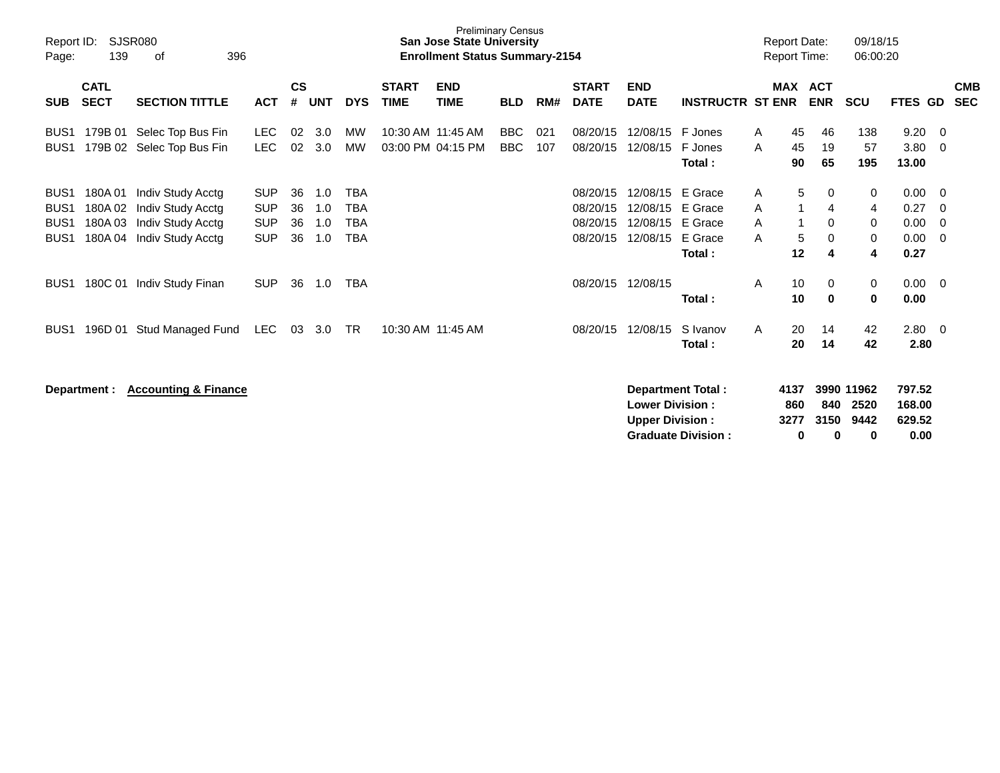| Report ID:<br>Page:                                                          | <b>SJSR080</b><br>139                | 396                                                                              |                                                      |                      |                          |                                                      | <b>Preliminary Census</b><br>San Jose State University<br><b>Enrollment Status Summary-2154</b> |                                        |                          |            |                                              |                                                  |                                                    | <b>Report Date:</b><br><b>Report Time:</b> |                         | 09/18/15<br>06:00:20         |                            |                                      |                          |
|------------------------------------------------------------------------------|--------------------------------------|----------------------------------------------------------------------------------|------------------------------------------------------|----------------------|--------------------------|------------------------------------------------------|-------------------------------------------------------------------------------------------------|----------------------------------------|--------------------------|------------|----------------------------------------------|--------------------------------------------------|----------------------------------------------------|--------------------------------------------|-------------------------|------------------------------|----------------------------|--------------------------------------|--------------------------|
| <b>SUB</b>                                                                   | <b>CATL</b><br><b>SECT</b>           | <b>SECTION TITTLE</b>                                                            | <b>ACT</b>                                           | $\mathsf{cs}$<br>#   | <b>UNT</b>               | <b>DYS</b>                                           | <b>START</b><br><b>TIME</b>                                                                     | <b>END</b><br><b>TIME</b>              | <b>BLD</b>               | RM#        | <b>START</b><br><b>DATE</b>                  | <b>END</b><br><b>DATE</b>                        | <b>INSTRUCTR ST ENR</b>                            |                                            | <b>MAX</b>              | <b>ACT</b><br><b>ENR</b>     | <b>SCU</b>                 | FTES GD                              | <b>CMB</b><br><b>SEC</b> |
| BUS <sub>1</sub><br>BUS <sub>1</sub>                                         | 179B 01                              | Selec Top Bus Fin<br>179B 02 Selec Top Bus Fin                                   | <b>LEC</b><br><b>LEC</b>                             | 02<br>02             | 3.0<br>3.0               | МW<br><b>MW</b>                                      |                                                                                                 | 10:30 AM 11:45 AM<br>03:00 PM 04:15 PM | <b>BBC</b><br><b>BBC</b> | 021<br>107 | 08/20/15<br>08/20/15                         | 12/08/15<br>12/08/15                             | F Jones<br>F Jones<br>Total:                       | A<br>A                                     | 45<br>45<br>90          | 46<br>19<br>65               | 138<br>57<br>195           | 9.20<br>3.80<br>13.00                | 0<br>$\Omega$            |
| BUS <sub>1</sub><br>BUS <sub>1</sub><br>BUS <sub>1</sub><br>BUS <sub>1</sub> | 180A01<br>180A02<br>180A03<br>180A04 | Indiv Study Acctg<br>Indiv Study Acctg<br>Indiv Study Acctg<br>Indiv Study Acctg | <b>SUP</b><br><b>SUP</b><br><b>SUP</b><br><b>SUP</b> | 36<br>36<br>36<br>36 | 1.0<br>1.0<br>1.0<br>1.0 | <b>TBA</b><br><b>TBA</b><br><b>TBA</b><br><b>TBA</b> |                                                                                                 |                                        |                          |            | 08/20/15<br>08/20/15<br>08/20/15<br>08/20/15 | 12/08/15<br>12/08/15<br>12/08/15<br>12/08/15     | E Grace<br>E Grace<br>E Grace<br>E Grace<br>Total: | A<br>A<br>A<br>A                           | 5<br>1<br>-1<br>5<br>12 | 0<br>4<br>$\Omega$<br>0<br>4 | 0<br>4<br>0<br>0<br>4      | 0.00<br>0.27<br>0.00<br>0.00<br>0.27 | 0<br>0<br>0<br>0         |
| BUS <sub>1</sub>                                                             | 180C 01                              | Indiv Study Finan                                                                | <b>SUP</b>                                           | 36                   | 1.0                      | <b>TBA</b>                                           |                                                                                                 |                                        |                          |            | 08/20/15                                     | 12/08/15                                         | Total:                                             | A                                          | 10<br>10                | 0<br>0                       | 0<br>0                     | 0.00<br>0.00                         | - 0                      |
| BUS <sub>1</sub>                                                             | 196D 01                              | Stud Managed Fund                                                                | LEC.                                                 | 03                   | 3.0                      | TR                                                   |                                                                                                 | 10:30 AM 11:45 AM                      |                          |            | 08/20/15                                     | 12/08/15                                         | S Ivanov<br>Total:                                 | A                                          | 20<br>20                | 14<br>14                     | 42<br>42                   | 2.80<br>2.80                         | - 0                      |
|                                                                              | Department :                         | <b>Accounting &amp; Finance</b>                                                  |                                                      |                      |                          |                                                      |                                                                                                 |                                        |                          |            |                                              | <b>Lower Division:</b><br><b>Upper Division:</b> | Department Total:                                  |                                            | 4137<br>860<br>3277     | 840<br>3150                  | 3990 11962<br>2520<br>9442 | 797.52<br>168.00<br>629.52           |                          |

**Graduate Division : 0 0 0 0.00**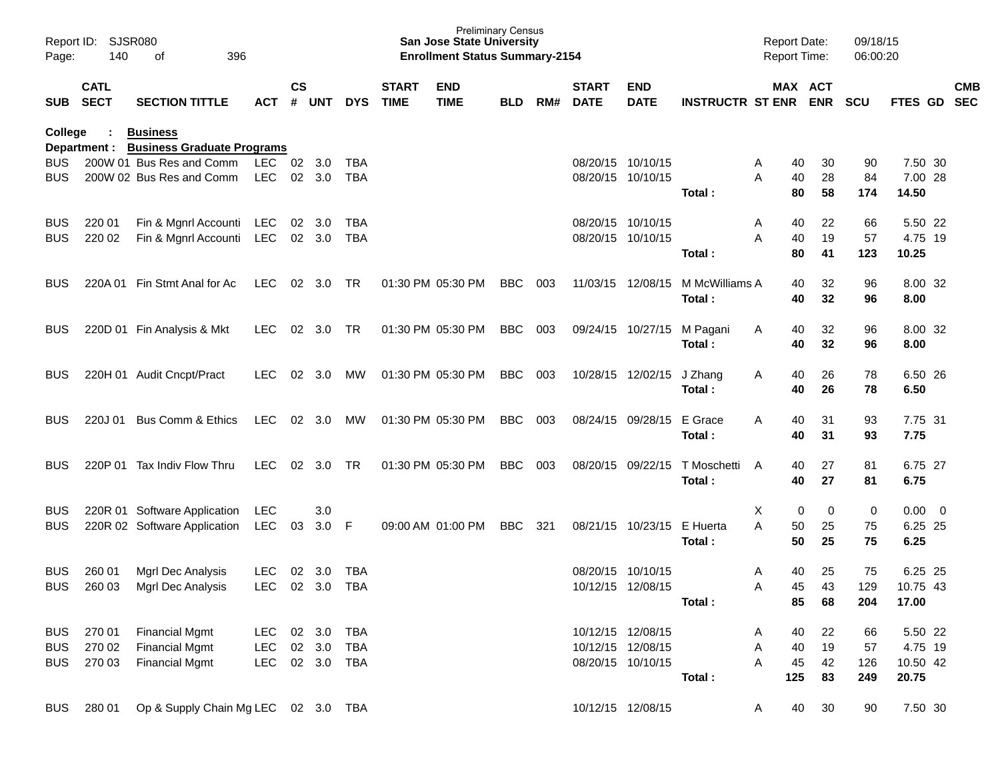| Report ID:<br>Page: | <b>SJSR080</b><br>140      | 396<br>οf                                                     |                |                    |            |            |                             | <b>Preliminary Census</b><br><b>San Jose State University</b><br><b>Enrollment Status Summary-2154</b> |            |     |                             |                           |                         | <b>Report Date:</b><br>Report Time: |            | 09/18/15<br>06:00:20 |            |                          |
|---------------------|----------------------------|---------------------------------------------------------------|----------------|--------------------|------------|------------|-----------------------------|--------------------------------------------------------------------------------------------------------|------------|-----|-----------------------------|---------------------------|-------------------------|-------------------------------------|------------|----------------------|------------|--------------------------|
| <b>SUB</b>          | <b>CATL</b><br><b>SECT</b> | <b>SECTION TITTLE</b>                                         | ACT            | $\mathsf{cs}$<br># | <b>UNT</b> | <b>DYS</b> | <b>START</b><br><b>TIME</b> | <b>END</b><br><b>TIME</b>                                                                              | <b>BLD</b> | RM# | <b>START</b><br><b>DATE</b> | <b>END</b><br><b>DATE</b> | <b>INSTRUCTR ST ENR</b> | MAX ACT                             | <b>ENR</b> | <b>SCU</b>           | FTES GD    | <b>CMB</b><br><b>SEC</b> |
| College             |                            | <b>Business</b>                                               |                |                    |            |            |                             |                                                                                                        |            |     |                             |                           |                         |                                     |            |                      |            |                          |
| <b>BUS</b>          | Department :               | <b>Business Graduate Programs</b><br>200W 01 Bus Res and Comm | <b>LEC</b>     | 02                 | 3.0        | <b>TBA</b> |                             |                                                                                                        |            |     | 08/20/15 10/10/15           |                           |                         | Α<br>40                             | 30         | 90                   | 7.50 30    |                          |
| <b>BUS</b>          |                            | 200W 02 Bus Res and Comm                                      | <b>LEC</b>     |                    | 02 3.0     | <b>TBA</b> |                             |                                                                                                        |            |     | 08/20/15 10/10/15           |                           |                         | 40<br>Α                             | 28         | 84                   | 7.00 28    |                          |
|                     |                            |                                                               |                |                    |            |            |                             |                                                                                                        |            |     |                             |                           | Total:                  | 80                                  | 58         | 174                  | 14.50      |                          |
| <b>BUS</b>          | 220 01                     | Fin & Mgnrl Accounti                                          | LEC            | 02                 | 3.0        | <b>TBA</b> |                             |                                                                                                        |            |     | 08/20/15 10/10/15           |                           |                         | Α<br>40                             | 22         | 66                   | 5.50 22    |                          |
| <b>BUS</b>          | 220 02                     | Fin & Mgnrl Accounti                                          | <b>LEC</b>     |                    | 02 3.0     | <b>TBA</b> |                             |                                                                                                        |            |     | 08/20/15 10/10/15           |                           |                         | 40<br>A                             | 19         | 57                   | 4.75 19    |                          |
|                     |                            |                                                               |                |                    |            |            |                             |                                                                                                        |            |     |                             |                           | Total:                  | 80                                  | 41         | 123                  | 10.25      |                          |
| <b>BUS</b>          | 220A 01                    | Fin Stmt Anal for Ac                                          | <b>LEC</b>     | 02                 | 3.0        | <b>TR</b>  |                             | 01:30 PM 05:30 PM                                                                                      | <b>BBC</b> | 003 | 11/03/15                    | 12/08/15                  | M McWilliams A          | 40                                  | 32         | 96                   | 8.00 32    |                          |
|                     |                            |                                                               |                |                    |            |            |                             |                                                                                                        |            |     |                             |                           | Total :                 | 40                                  | 32         | 96                   | 8.00       |                          |
| <b>BUS</b>          |                            | 220D 01 Fin Analysis & Mkt                                    | <b>LEC</b>     | 02                 | 3.0        | <b>TR</b>  |                             | 01:30 PM 05:30 PM                                                                                      | <b>BBC</b> | 003 |                             | 09/24/15 10/27/15         | M Pagani                | 40<br>A                             | 32         | 96                   | 8.00 32    |                          |
|                     |                            |                                                               |                |                    |            |            |                             |                                                                                                        |            |     |                             |                           | Total:                  | 40                                  | 32         | 96                   | 8.00       |                          |
| <b>BUS</b>          |                            | 220H 01 Audit Cncpt/Pract                                     | <b>LEC</b>     | 02                 | 3.0        | MW         |                             | 01:30 PM 05:30 PM                                                                                      | <b>BBC</b> | 003 |                             | 10/28/15 12/02/15         | J Zhang                 | 40<br>A                             | 26         | 78                   | 6.50 26    |                          |
|                     |                            |                                                               |                |                    |            |            |                             |                                                                                                        |            |     |                             |                           | Total :                 | 40                                  | 26         | 78                   | 6.50       |                          |
| <b>BUS</b>          | 220J 01                    | <b>Bus Comm &amp; Ethics</b>                                  | <b>LEC</b>     |                    | 02 3.0     | МW         |                             | 01:30 PM 05:30 PM                                                                                      | <b>BBC</b> | 003 |                             | 08/24/15 09/28/15         | E Grace                 | 40<br>A                             | 31         | 93                   | 7.75 31    |                          |
|                     |                            |                                                               |                |                    |            |            |                             |                                                                                                        |            |     |                             |                           | Total :                 | 40                                  | 31         | 93                   | 7.75       |                          |
| <b>BUS</b>          | 220P 01                    | Tax Indiv Flow Thru                                           | <b>LEC</b>     |                    | 02 3.0     | <b>TR</b>  |                             | 01:30 PM 05:30 PM                                                                                      | <b>BBC</b> | 003 | 08/20/15 09/22/15           |                           | T Moschetti             | 40<br>A                             | 27         | 81                   | 6.75 27    |                          |
|                     |                            |                                                               |                |                    |            |            |                             |                                                                                                        |            |     |                             |                           | Total:                  | 40                                  | 27         | 81                   | 6.75       |                          |
| <b>BUS</b>          | 220R 01                    | Software Application                                          | LEC            |                    | 3.0        |            |                             |                                                                                                        |            |     |                             |                           |                         | X<br>0                              | 0          | 0                    | $0.00 \ 0$ |                          |
| <b>BUS</b>          |                            | 220R 02 Software Application                                  | <b>LEC</b>     | 03                 | 3.0        | F          |                             | 09:00 AM 01:00 PM                                                                                      | <b>BBC</b> | 321 |                             | 08/21/15 10/23/15         | E Huerta                | 50<br>A                             | 25         | 75                   | 6.25 25    |                          |
|                     |                            |                                                               |                |                    |            |            |                             |                                                                                                        |            |     |                             |                           | Total:                  | 50                                  | 25         | 75                   | 6.25       |                          |
| <b>BUS</b>          | 260 01                     | Mgrl Dec Analysis                                             | <b>LEC</b>     | 02 <sub>o</sub>    | 3.0        | <b>TBA</b> |                             |                                                                                                        |            |     | 08/20/15 10/10/15           |                           |                         | 40<br>A                             | 25         | 75                   | 6.25 25    |                          |
| <b>BUS</b>          |                            | 260 03 Mgrl Dec Analysis                                      | LEC 02 3.0 TBA |                    |            |            |                             |                                                                                                        |            |     | 10/12/15 12/08/15           |                           |                         | A                                   | 45<br>43   | 129                  | 10.75 43   |                          |
|                     |                            |                                                               |                |                    |            |            |                             |                                                                                                        |            |     |                             |                           | Total:                  | 85                                  | 68         | 204                  | 17.00      |                          |
| BUS                 | 270 01                     | <b>Financial Mgmt</b>                                         | LEC 02 3.0     |                    |            | TBA        |                             |                                                                                                        |            |     | 10/12/15 12/08/15           |                           |                         | A<br>40                             | 22         | 66                   | 5.50 22    |                          |
| <b>BUS</b>          | 270 02                     | <b>Financial Mgmt</b>                                         | LEC            |                    | 02 3.0     | <b>TBA</b> |                             |                                                                                                        |            |     | 10/12/15 12/08/15           |                           |                         | 40<br>Α                             | 19         | 57                   | 4.75 19    |                          |
| BUS                 | 270 03                     | <b>Financial Mgmt</b>                                         | LEC            |                    | 02 3.0 TBA |            |                             |                                                                                                        |            |     | 08/20/15 10/10/15           |                           |                         | 45<br>A                             | 42         | 126                  | 10.50 42   |                          |
|                     |                            |                                                               |                |                    |            |            |                             |                                                                                                        |            |     |                             |                           | Total:                  | 125                                 | 83         | 249                  | 20.75      |                          |
| <b>BUS</b>          | 280 01                     | Op & Supply Chain Mg LEC 02 3.0 TBA                           |                |                    |            |            |                             |                                                                                                        |            |     | 10/12/15 12/08/15           |                           |                         | 40<br>A                             | 30         | 90                   | 7.50 30    |                          |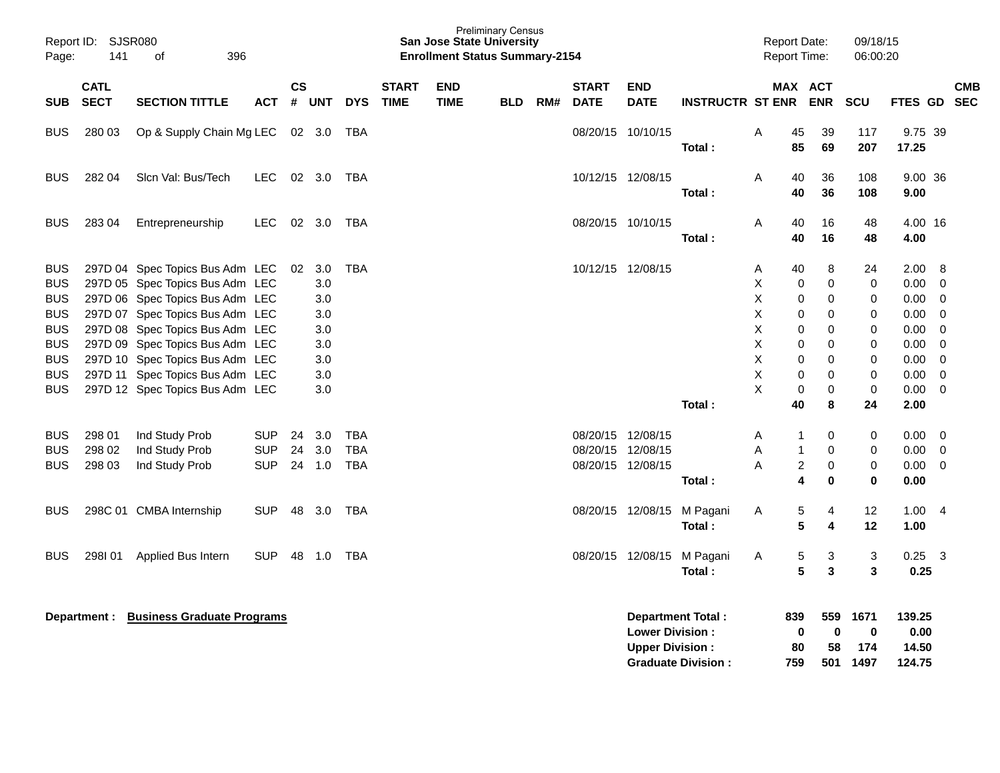| Page:                                                                            | Report ID: SJSR080<br>141<br>396<br>οf |                                                                                                                                                                                                                |                                        |                |                                        |                                 |                             | San Jose State University<br><b>Enrollment Status Summary-2154</b> | <b>Preliminary Census</b> |     |                                        |                                                  |                          | <b>Report Date:</b><br>Report Time: |                             |                                      | 09/18/15<br>06:00:20        |                                              |                                                                                    |                          |
|----------------------------------------------------------------------------------|----------------------------------------|----------------------------------------------------------------------------------------------------------------------------------------------------------------------------------------------------------------|----------------------------------------|----------------|----------------------------------------|---------------------------------|-----------------------------|--------------------------------------------------------------------|---------------------------|-----|----------------------------------------|--------------------------------------------------|--------------------------|-------------------------------------|-----------------------------|--------------------------------------|-----------------------------|----------------------------------------------|------------------------------------------------------------------------------------|--------------------------|
| <b>SUB</b>                                                                       | <b>CATL</b><br><b>SECT</b>             | <b>SECTION TITTLE</b>                                                                                                                                                                                          | <b>ACT</b>                             | <b>CS</b><br># | <b>UNT</b>                             | <b>DYS</b>                      | <b>START</b><br><b>TIME</b> | <b>END</b><br><b>TIME</b>                                          | <b>BLD</b>                | RM# | <b>START</b><br><b>DATE</b>            | <b>END</b><br><b>DATE</b>                        | <b>INSTRUCTR ST ENR</b>  |                                     |                             | MAX ACT<br><b>ENR</b>                | SCU                         | FTES GD                                      |                                                                                    | <b>CMB</b><br><b>SEC</b> |
| <b>BUS</b>                                                                       | 280 03                                 | Op & Supply Chain Mg LEC                                                                                                                                                                                       |                                        |                | 02 3.0                                 | TBA                             |                             |                                                                    |                           |     |                                        | 08/20/15 10/10/15                                | Total:                   | Α                                   | 45<br>85                    | 39<br>69                             | 117<br>207                  | 9.75 39<br>17.25                             |                                                                                    |                          |
| <b>BUS</b>                                                                       | 282 04                                 | Sicn Val: Bus/Tech                                                                                                                                                                                             | LEC.                                   |                | 02 3.0 TBA                             |                                 |                             |                                                                    |                           |     | 10/12/15 12/08/15                      |                                                  | Total:                   | A                                   | 40<br>40                    | 36<br>36                             | 108<br>108                  | 9.00 36<br>9.00                              |                                                                                    |                          |
| <b>BUS</b>                                                                       | 283 04                                 | Entrepreneurship                                                                                                                                                                                               | LEC.                                   |                | 02 3.0                                 | TBA                             |                             |                                                                    |                           |     |                                        | 08/20/15 10/10/15                                | Total:                   | Α                                   | 40<br>40                    | 16<br>16                             | 48<br>48                    | 4.00 16<br>4.00                              |                                                                                    |                          |
| <b>BUS</b><br><b>BUS</b><br><b>BUS</b><br><b>BUS</b><br><b>BUS</b><br><b>BUS</b> |                                        | 297D 04 Spec Topics Bus Adm LEC<br>297D 05 Spec Topics Bus Adm LEC<br>297D 06 Spec Topics Bus Adm LEC<br>297D 07 Spec Topics Bus Adm LEC<br>297D 08 Spec Topics Bus Adm LEC<br>297D 09 Spec Topics Bus Adm LEC |                                        | 02             | 3.0<br>3.0<br>3.0<br>3.0<br>3.0<br>3.0 | <b>TBA</b>                      |                             |                                                                    |                           |     |                                        | 10/12/15 12/08/15                                |                          | Α<br>X<br>X<br>X<br>X<br>X          | 40<br>0<br>0<br>0<br>0<br>0 | 8<br>$\mathbf 0$<br>0<br>0<br>0<br>0 | 24<br>0<br>0<br>0<br>0<br>0 | 2.00<br>0.00<br>0.00<br>0.00<br>0.00<br>0.00 | 8<br>$\overline{0}$<br>$\overline{0}$<br>$\mathbf 0$<br>$\mathbf 0$<br>$\mathbf 0$ |                          |
| <b>BUS</b><br><b>BUS</b><br><b>BUS</b>                                           |                                        | 297D 10 Spec Topics Bus Adm LEC<br>297D 11 Spec Topics Bus Adm LEC<br>297D 12 Spec Topics Bus Adm LEC                                                                                                          |                                        |                | 3.0<br>3.0<br>3.0                      |                                 |                             |                                                                    |                           |     |                                        |                                                  | Total:                   | X<br>X<br>X                         | 0<br>0<br>0<br>40           | 0<br>0<br>0<br>8                     | 0<br>$\mathbf 0$<br>0<br>24 | 0.00<br>0.00<br>0.00<br>2.00                 | $\mathbf 0$<br>0<br>$\overline{0}$                                                 |                          |
| <b>BUS</b><br><b>BUS</b><br><b>BUS</b>                                           | 298 01<br>298 02<br>298 03             | Ind Study Prob<br>Ind Study Prob<br>Ind Study Prob                                                                                                                                                             | <b>SUP</b><br><b>SUP</b><br><b>SUP</b> | 24<br>24       | 3.0<br>3.0<br>24 1.0                   | <b>TBA</b><br><b>TBA</b><br>TBA |                             |                                                                    |                           |     | 08/20/15 12/08/15<br>08/20/15 12/08/15 | 08/20/15 12/08/15                                | Total:                   | A<br>A<br>Α                         | 1<br>$\mathbf{1}$<br>2<br>4 | 0<br>0<br>0<br>$\mathbf 0$           | 0<br>0<br>0<br>$\bf{0}$     | 0.00<br>0.00<br>0.00<br>0.00                 | - 0<br>$\overline{0}$<br>$\overline{0}$                                            |                          |
| <b>BUS</b>                                                                       |                                        | 298C 01 CMBA Internship                                                                                                                                                                                        | <b>SUP</b>                             | 48             | 3.0                                    | TBA                             |                             |                                                                    |                           |     |                                        | 08/20/15 12/08/15                                | M Pagani<br>Total:       | Α                                   | 5<br>5                      | 4<br>4                               | 12<br>12                    | 1.00<br>1.00                                 | - 4                                                                                |                          |
| <b>BUS</b>                                                                       | 298101                                 | Applied Bus Intern                                                                                                                                                                                             | <b>SUP</b>                             |                | 48 1.0                                 | TBA                             |                             |                                                                    |                           |     |                                        | 08/20/15 12/08/15                                | M Pagani<br>Total:       | Α                                   | 5<br>5                      | 3<br>3                               | 3<br>3                      | $0.25 \quad 3$<br>0.25                       |                                                                                    |                          |
|                                                                                  | Department :                           | <b>Business Graduate Programs</b>                                                                                                                                                                              |                                        |                |                                        |                                 |                             |                                                                    |                           |     |                                        | <b>Lower Division:</b><br><b>Upper Division:</b> | <b>Department Total:</b> |                                     | 839<br>0<br>80              | 559<br>0<br>58                       | 1671<br>0<br>174            | 139.25<br>0.00<br>14.50                      |                                                                                    |                          |

**Graduate Division : 759 501 1497 124.75**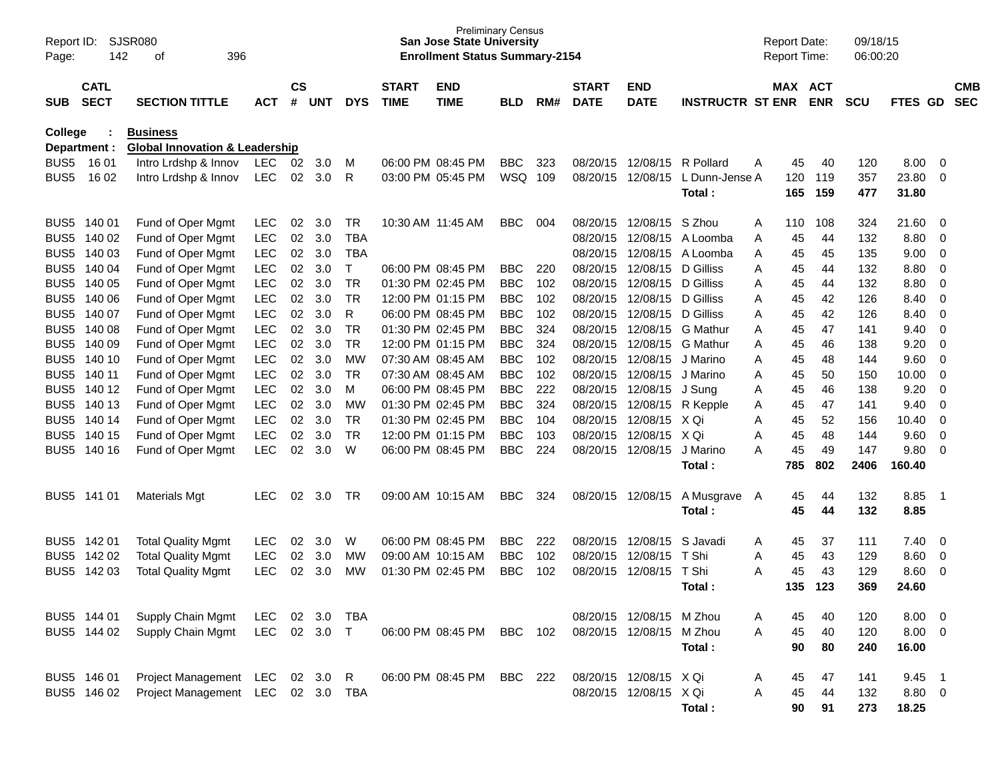| Page:            | SJSR080<br>Report ID:<br>142<br>396<br>οf |                                           |            |                |            |            |                             | <b>San Jose State University</b><br><b>Enrollment Status Summary-2154</b> | <b>Preliminary Census</b> |     |                             |                           |                         |   | <b>Report Date:</b><br><b>Report Time:</b> |            | 09/18/15<br>06:00:20 |         |                          |                          |
|------------------|-------------------------------------------|-------------------------------------------|------------|----------------|------------|------------|-----------------------------|---------------------------------------------------------------------------|---------------------------|-----|-----------------------------|---------------------------|-------------------------|---|--------------------------------------------|------------|----------------------|---------|--------------------------|--------------------------|
| <b>SUB</b>       | <b>CATL</b><br><b>SECT</b>                | <b>SECTION TITTLE</b>                     | <b>ACT</b> | <b>CS</b><br># | <b>UNT</b> | <b>DYS</b> | <b>START</b><br><b>TIME</b> | <b>END</b><br><b>TIME</b>                                                 | <b>BLD</b>                | RM# | <b>START</b><br><b>DATE</b> | <b>END</b><br><b>DATE</b> | <b>INSTRUCTR ST ENR</b> |   | MAX ACT                                    | <b>ENR</b> | <b>SCU</b>           | FTES GD |                          | <b>CMB</b><br><b>SEC</b> |
| College          |                                           | <b>Business</b>                           |            |                |            |            |                             |                                                                           |                           |     |                             |                           |                         |   |                                            |            |                      |         |                          |                          |
|                  | Department :                              | <b>Global Innovation &amp; Leadership</b> |            |                |            |            |                             |                                                                           |                           |     |                             |                           |                         |   |                                            |            |                      |         |                          |                          |
| BUS <sub>5</sub> | 16 01                                     | Intro Lrdshp & Innov                      | LEC        | 02             | 3.0        | м          |                             | 06:00 PM 08:45 PM                                                         | <b>BBC</b>                | 323 | 08/20/15                    | 12/08/15                  | R Pollard               | A | 45                                         | 40         | 120                  | 8.00    | -0                       |                          |
| BUS <sub>5</sub> | 16 02                                     | Intro Lrdshp & Innov                      | <b>LEC</b> | 02             | 3.0        | R          |                             | 03:00 PM 05:45 PM                                                         | <b>WSQ</b>                | 109 | 08/20/15                    | 12/08/15                  | L Dunn-Jense A          |   | 120                                        | 119        | 357                  | 23.80   | 0                        |                          |
|                  |                                           |                                           |            |                |            |            |                             |                                                                           |                           |     |                             |                           | Total:                  |   | 165                                        | 159        | 477                  | 31.80   |                          |                          |
| BUS <sub>5</sub> | 140 01                                    | Fund of Oper Mgmt                         | <b>LEC</b> | 02             | 3.0        | <b>TR</b>  |                             | 10:30 AM 11:45 AM                                                         | <b>BBC</b>                | 004 | 08/20/15                    | 12/08/15                  | S Zhou                  | Α | 110                                        | 108        | 324                  | 21.60   | 0                        |                          |
| BUS <sub>5</sub> | 140 02                                    | Fund of Oper Mgmt                         | <b>LEC</b> | 02             | 3.0        | <b>TBA</b> |                             |                                                                           |                           |     | 08/20/15                    | 12/08/15                  | A Loomba                | Α | 45                                         | 44         | 132                  | 8.80    | 0                        |                          |
| BUS <sub>5</sub> | 140 03                                    | Fund of Oper Mgmt                         | <b>LEC</b> | 02             | 3.0        | <b>TBA</b> |                             |                                                                           |                           |     | 08/20/15                    | 12/08/15                  | A Loomba                | Α | 45                                         | 45         | 135                  | 9.00    | 0                        |                          |
| BUS <sub>5</sub> | 140 04                                    | Fund of Oper Mgmt                         | LEC        | 02             | 3.0        | T          |                             | 06:00 PM 08:45 PM                                                         | <b>BBC</b>                | 220 | 08/20/15                    | 12/08/15                  | D Gilliss               | Α | 45                                         | 44         | 132                  | 8.80    | 0                        |                          |
| BUS <sub>5</sub> | 140 05                                    | Fund of Oper Mgmt                         | <b>LEC</b> | 02             | 3.0        | <b>TR</b>  |                             | 01:30 PM 02:45 PM                                                         | <b>BBC</b>                | 102 | 08/20/15                    | 12/08/15                  | D Gilliss               | Α | 45                                         | 44         | 132                  | 8.80    | 0                        |                          |
| BUS <sub>5</sub> | 140 06                                    | Fund of Oper Mgmt                         | <b>LEC</b> | 02             | 3.0        | <b>TR</b>  |                             | 12:00 PM 01:15 PM                                                         | <b>BBC</b>                | 102 | 08/20/15                    | 12/08/15                  | D Gilliss               | Α | 45                                         | 42         | 126                  | 8.40    | 0                        |                          |
| BUS <sub>5</sub> | 140 07                                    | Fund of Oper Mgmt                         | <b>LEC</b> | 02             | 3.0        | R          |                             | 06:00 PM 08:45 PM                                                         | <b>BBC</b>                | 102 | 08/20/15                    | 12/08/15                  | D Gilliss               | Α | 45                                         | 42         | 126                  | 8.40    | 0                        |                          |
| BUS <sub>5</sub> | 140 08                                    | Fund of Oper Mgmt                         | <b>LEC</b> | 02             | 3.0        | <b>TR</b>  |                             | 01:30 PM 02:45 PM                                                         | <b>BBC</b>                | 324 | 08/20/15                    | 12/08/15                  | <b>G</b> Mathur         | Α | 45                                         | 47         | 141                  | 9.40    | 0                        |                          |
| BUS <sub>5</sub> | 140 09                                    | Fund of Oper Mgmt                         | <b>LEC</b> | 02             | 3.0        | <b>TR</b>  |                             | 12:00 PM 01:15 PM                                                         | <b>BBC</b>                | 324 | 08/20/15                    | 12/08/15                  | G Mathur                | Α | 45                                         | 46         | 138                  | 9.20    | 0                        |                          |
| BUS <sub>5</sub> | 140 10                                    | Fund of Oper Mgmt                         | <b>LEC</b> | 02             | 3.0        | <b>MW</b>  |                             | 07:30 AM 08:45 AM                                                         | <b>BBC</b>                | 102 | 08/20/15                    | 12/08/15                  | J Marino                | Α | 45                                         | 48         | 144                  | 9.60    | 0                        |                          |
| BUS <sub>5</sub> | 140 11                                    | Fund of Oper Mgmt                         | <b>LEC</b> | 02             | 3.0        | <b>TR</b>  |                             | 07:30 AM 08:45 AM                                                         | <b>BBC</b>                | 102 | 08/20/15                    | 12/08/15                  | J Marino                | Α | 45                                         | 50         | 150                  | 10.00   | 0                        |                          |
| BUS <sub>5</sub> | 140 12                                    | Fund of Oper Mgmt                         | <b>LEC</b> | 02             | 3.0        | M          |                             | 06:00 PM 08:45 PM                                                         | <b>BBC</b>                | 222 | 08/20/15                    | 12/08/15                  | J Sung                  | Α | 45                                         | 46         | 138                  | 9.20    | 0                        |                          |
| BUS <sub>5</sub> | 140 13                                    | Fund of Oper Mgmt                         | <b>LEC</b> | 02             | 3.0        | <b>MW</b>  |                             | 01:30 PM 02:45 PM                                                         | <b>BBC</b>                | 324 | 08/20/15                    | 12/08/15                  | R Kepple                | Α | 45                                         | 47         | 141                  | 9.40    | 0                        |                          |
|                  | BUS5 140 14                               | Fund of Oper Mgmt                         | <b>LEC</b> | 02             | 3.0        | <b>TR</b>  |                             | 01:30 PM 02:45 PM                                                         | <b>BBC</b>                | 104 | 08/20/15                    | 12/08/15 X Qi             |                         | A | 45                                         | 52         | 156                  | 10.40   | 0                        |                          |
| BUS <sub>5</sub> | 140 15                                    | Fund of Oper Mgmt                         | <b>LEC</b> | 02             | 3.0        | <b>TR</b>  |                             | 12:00 PM 01:15 PM                                                         | <b>BBC</b>                | 103 | 08/20/15                    | 12/08/15                  | X Qi                    | A | 45                                         | 48         | 144                  | 9.60    | 0                        |                          |
| BUS <sub>5</sub> | 140 16                                    | Fund of Oper Mgmt                         | <b>LEC</b> | 02             | 3.0        | W          |                             | 06:00 PM 08:45 PM                                                         | <b>BBC</b>                | 224 | 08/20/15                    | 12/08/15                  | J Marino                | A | 45                                         | 49         | 147                  | 9.80    | 0                        |                          |
|                  |                                           |                                           |            |                |            |            |                             |                                                                           |                           |     |                             |                           | <b>Total :</b>          |   | 785                                        | 802        | 2406                 | 160.40  |                          |                          |
|                  | BUS5 141 01                               | <b>Materials Mgt</b>                      | <b>LEC</b> | 02             | 3.0        | TR         |                             | 09:00 AM 10:15 AM                                                         | <b>BBC</b>                | 324 | 08/20/15                    | 12/08/15                  | A Musgrave              | A | 45                                         | 44         | 132                  | 8.85    | $\overline{1}$           |                          |
|                  |                                           |                                           |            |                |            |            |                             |                                                                           |                           |     |                             |                           | Total:                  |   | 45                                         | 44         | 132                  | 8.85    |                          |                          |
|                  | BUS5 142 01                               | <b>Total Quality Mgmt</b>                 | <b>LEC</b> | 02             | 3.0        | W          |                             | 06:00 PM 08:45 PM                                                         | <b>BBC</b>                | 222 | 08/20/15                    | 12/08/15                  | S Javadi                | Α | 45                                         | 37         | 111                  | 7.40    | 0                        |                          |
|                  | BUS5 142 02                               | <b>Total Quality Mgmt</b>                 | <b>LEC</b> | 02             | 3.0        | <b>MW</b>  |                             | 09:00 AM 10:15 AM                                                         | <b>BBC</b>                | 102 | 08/20/15                    | 12/08/15                  | T Shi                   | Α | 45                                         | 43         | 129                  | 8.60    | 0                        |                          |
| BUS <sub>5</sub> | 142 03                                    | <b>Total Quality Mgmt</b>                 | <b>LEC</b> | 02             | 3.0        | <b>MW</b>  |                             | 01:30 PM 02:45 PM                                                         | <b>BBC</b>                | 102 | 08/20/15                    | 12/08/15                  | T Shi                   | A | 45                                         | 43         | 129                  | 8.60    | 0                        |                          |
|                  |                                           |                                           |            |                |            |            |                             |                                                                           |                           |     |                             |                           | Total :                 |   | 135                                        | 123        | 369                  | 24.60   |                          |                          |
|                  | BUS5 144 01                               | Supply Chain Mgmt                         | LEC        |                | 02 3.0     | TBA        |                             |                                                                           |                           |     |                             | 08/20/15 12/08/15 M Zhou  |                         | Α | 45                                         | 40         | 120                  | 8.00    | - 0                      |                          |
|                  | BUS5 144 02                               | Supply Chain Mgmt                         | LEC 02 3.0 |                |            | $\top$     |                             | 06:00 PM 08:45 PM                                                         | BBC 102                   |     |                             | 08/20/15 12/08/15 M Zhou  |                         | A | 45                                         | 40         | 120                  | 8.00    | - 0                      |                          |
|                  |                                           |                                           |            |                |            |            |                             |                                                                           |                           |     |                             |                           | Total:                  |   | 90                                         | 80         | 240                  | 16.00   |                          |                          |
|                  |                                           |                                           |            |                |            |            |                             |                                                                           |                           |     |                             |                           |                         |   |                                            |            |                      |         |                          |                          |
|                  | BUS5 146 01                               | Project Management LEC 02 3.0             |            |                |            | R          |                             | 06:00 PM 08:45 PM                                                         | BBC 222                   |     |                             | 08/20/15 12/08/15 X Qi    |                         | A | 45                                         | 47         | 141                  | 9.45    | $\overline{\phantom{1}}$ |                          |
|                  | BUS5 146 02                               | Project Management LEC 02 3.0             |            |                |            | TBA        |                             |                                                                           |                           |     |                             | 08/20/15 12/08/15 X Qi    |                         | Α | 45                                         | 44         | 132                  | 8.80 0  |                          |                          |
|                  |                                           |                                           |            |                |            |            |                             |                                                                           |                           |     |                             |                           | Total:                  |   | 90                                         | 91         | 273                  | 18.25   |                          |                          |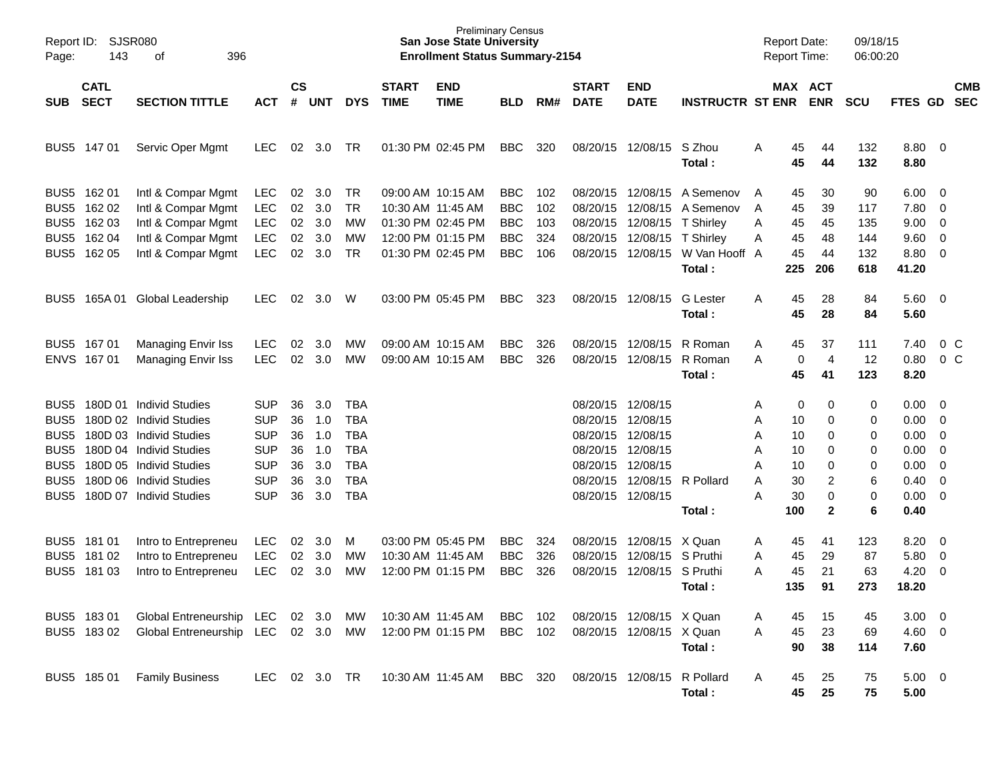| Page:                                                                                                            | <b>SJSR080</b><br>Report ID:<br>143<br>396<br>οf                   |                                                                                                                                                                                           |                                                                                                |                                        |                                               |                                                                                         |                             | <b>Preliminary Census</b><br><b>San Jose State University</b><br><b>Enrollment Status Summary-2154</b> |                                                                    |                                 |                                                                                  |                                                                                  |                                                                             | <b>Report Date:</b><br><b>Report Time:</b> |                                              |                                                 | 09/18/15<br>06:00:20                  |                                                              |                                                                                                                                               |                          |
|------------------------------------------------------------------------------------------------------------------|--------------------------------------------------------------------|-------------------------------------------------------------------------------------------------------------------------------------------------------------------------------------------|------------------------------------------------------------------------------------------------|----------------------------------------|-----------------------------------------------|-----------------------------------------------------------------------------------------|-----------------------------|--------------------------------------------------------------------------------------------------------|--------------------------------------------------------------------|---------------------------------|----------------------------------------------------------------------------------|----------------------------------------------------------------------------------|-----------------------------------------------------------------------------|--------------------------------------------|----------------------------------------------|-------------------------------------------------|---------------------------------------|--------------------------------------------------------------|-----------------------------------------------------------------------------------------------------------------------------------------------|--------------------------|
| SUB                                                                                                              | <b>CATL</b><br><b>SECT</b>                                         | <b>SECTION TITTLE</b>                                                                                                                                                                     | <b>ACT</b>                                                                                     | $\mathsf{cs}$<br>#                     | <b>UNT</b>                                    | <b>DYS</b>                                                                              | <b>START</b><br><b>TIME</b> | <b>END</b><br><b>TIME</b>                                                                              | <b>BLD</b>                                                         | RM#                             | <b>START</b><br><b>DATE</b>                                                      | <b>END</b><br><b>DATE</b>                                                        | <b>INSTRUCTR ST ENR</b>                                                     |                                            |                                              | MAX ACT<br><b>ENR</b>                           | <b>SCU</b>                            | <b>FTES GD</b>                                               |                                                                                                                                               | <b>CMB</b><br><b>SEC</b> |
|                                                                                                                  | BUS5 147 01                                                        | Servic Oper Mgmt                                                                                                                                                                          | <b>LEC</b>                                                                                     | 02                                     | 3.0                                           | TR                                                                                      |                             | 01:30 PM 02:45 PM                                                                                      | <b>BBC</b>                                                         | 320                             | 08/20/15                                                                         | 12/08/15                                                                         | S Zhou<br>Total:                                                            | Α                                          | 45<br>45                                     | 44<br>44                                        | 132<br>132                            | 8.80 0<br>8.80                                               |                                                                                                                                               |                          |
| BUS <sub>5</sub>                                                                                                 | BUS5 162 01<br>162 02<br>BUS5 162 03<br>BUS5 162 04<br>BUS5 162 05 | Intl & Compar Mgmt<br>Intl & Compar Mgmt<br>Intl & Compar Mgmt<br>Intl & Compar Mgmt<br>Intl & Compar Mgmt                                                                                | <b>LEC</b><br><b>LEC</b><br><b>LEC</b><br><b>LEC</b><br><b>LEC</b>                             | 02<br>02<br>02<br>02<br>02             | 3.0<br>3.0<br>3.0<br>3.0<br>3.0               | TR<br><b>TR</b><br>МW<br>MW<br>TR                                                       | 10:30 AM 11:45 AM           | 09:00 AM 10:15 AM<br>01:30 PM 02:45 PM<br>12:00 PM 01:15 PM<br>01:30 PM 02:45 PM                       | <b>BBC</b><br><b>BBC</b><br><b>BBC</b><br><b>BBC</b><br><b>BBC</b> | 102<br>102<br>103<br>324<br>106 | 08/20/15<br>08/20/15<br>08/20/15<br>08/20/15<br>08/20/15                         | 12/08/15<br>12/08/15<br>12/08/15<br>12/08/15<br>12/08/15                         | A Semenov<br>A Semenov<br>T Shirley<br>T Shirley<br>W Van Hooff A<br>Total: | A<br>A<br>Α<br>Α                           | 45<br>45<br>45<br>45<br>45<br>225            | 30<br>39<br>45<br>48<br>44<br>206               | 90<br>117<br>135<br>144<br>132<br>618 | 6.00<br>7.80<br>9.00<br>9.60<br>8.80 0<br>41.20              | $\overline{\phantom{0}}$<br>$\overline{0}$<br>$\overline{0}$<br>$\overline{0}$                                                                |                          |
| BUS5                                                                                                             | 165A 01                                                            | Global Leadership                                                                                                                                                                         | <b>LEC</b>                                                                                     | 02                                     | 3.0                                           | W                                                                                       |                             | 03:00 PM 05:45 PM                                                                                      | <b>BBC</b>                                                         | 323                             |                                                                                  | 08/20/15 12/08/15                                                                | <b>G</b> Lester<br>Total:                                                   | Α                                          | 45<br>45                                     | 28<br>28                                        | 84<br>84                              | $5.60 \quad 0$<br>5.60                                       |                                                                                                                                               |                          |
|                                                                                                                  | BUS5 167 01<br>ENVS 167 01                                         | <b>Managing Envir Iss</b><br><b>Managing Envir Iss</b>                                                                                                                                    | <b>LEC</b><br><b>LEC</b>                                                                       | 02<br>02                               | 3.0<br>3.0                                    | MW<br>MW                                                                                |                             | 09:00 AM 10:15 AM<br>09:00 AM 10:15 AM                                                                 | <b>BBC</b><br><b>BBC</b>                                           | 326<br>326                      | 08/20/15<br>08/20/15                                                             | 12/08/15<br>12/08/15                                                             | R Roman<br>R Roman<br>Total:                                                | Α<br>A                                     | 45<br>0<br>45                                | 37<br>$\overline{4}$<br>41                      | 111<br>12<br>123                      | 7.40<br>0.80<br>8.20                                         |                                                                                                                                               | $0\,C$<br>0 <sup>o</sup> |
| BUS5<br>BUS <sub>5</sub><br>BUS <sub>5</sub><br>BUS <sub>5</sub><br>BUS <sub>5</sub><br>BUS <sub>5</sub><br>BUS5 |                                                                    | 180D 01 Individ Studies<br>180D 02 Individ Studies<br>180D 03 Individ Studies<br>180D 04 Individ Studies<br>180D 05 Individ Studies<br>180D 06 Individ Studies<br>180D 07 Individ Studies | <b>SUP</b><br><b>SUP</b><br><b>SUP</b><br><b>SUP</b><br><b>SUP</b><br><b>SUP</b><br><b>SUP</b> | 36<br>36<br>36<br>36<br>36<br>36<br>36 | 3.0<br>1.0<br>1.0<br>1.0<br>3.0<br>3.0<br>3.0 | TBA<br><b>TBA</b><br><b>TBA</b><br><b>TBA</b><br><b>TBA</b><br><b>TBA</b><br><b>TBA</b> |                             |                                                                                                        |                                                                    |                                 | 08/20/15<br>08/20/15<br>08/20/15<br>08/20/15<br>08/20/15<br>08/20/15<br>08/20/15 | 12/08/15<br>12/08/15<br>12/08/15<br>12/08/15<br>12/08/15<br>12/08/15<br>12/08/15 | R Pollard<br>Total:                                                         | Α<br>Α<br>Α<br>Α<br>Α<br>A<br>Α            | 0<br>10<br>10<br>10<br>10<br>30<br>30<br>100 | 0<br>0<br>0<br>0<br>0<br>2<br>0<br>$\mathbf{2}$ | 0<br>0<br>0<br>0<br>0<br>6<br>0<br>6  | 0.00<br>0.00<br>0.00<br>0.00<br>0.00<br>0.40<br>0.00<br>0.40 | $\overline{\phantom{0}}$<br>$\overline{0}$<br>$\overline{0}$<br>$\overline{0}$<br>$\overline{0}$<br>$\overline{0}$<br>$\overline{\mathbf{0}}$ |                          |
| BUS <sub>5</sub>                                                                                                 | BUS5 181 01<br>BUS5 181 02<br>181 03                               | Intro to Entrepreneu<br>Intro to Entrepreneu<br>Intro to Entrepreneu                                                                                                                      | <b>LEC</b><br><b>LEC</b><br><b>LEC</b>                                                         | 02<br>02<br>02                         | 3.0<br>3.0<br>3.0                             | M<br>MW<br>MW                                                                           | 10:30 AM 11:45 AM           | 03:00 PM 05:45 PM<br>12:00 PM 01:15 PM                                                                 | <b>BBC</b><br><b>BBC</b><br><b>BBC</b>                             | 324<br>326<br>326               | 08/20/15<br>08/20/15<br>08/20/15                                                 | 12/08/15<br>12/08/15<br>12/08/15                                                 | X Quan<br>S Pruthi<br>S Pruthi<br>Total:                                    | Α<br>Α<br>А                                | 45<br>45<br>45<br>135                        | 41<br>29<br>21<br>91                            | 123<br>87<br>63<br>273                | 8.20<br>5.80<br>4.20<br>18.20                                | $\overline{\mathbf{0}}$<br>$\overline{0}$<br>0                                                                                                |                          |
|                                                                                                                  | BUS5 183 01<br>BUS5 18302                                          | Global Entreneurship LEC<br>Global Entreneurship LEC 02 3.0 MW                                                                                                                            |                                                                                                | 02                                     | 3.0                                           | MW                                                                                      |                             | 10:30 AM 11:45 AM<br>12:00 PM 01:15 PM                                                                 | <b>BBC</b><br><b>BBC</b>                                           | 102<br>102                      |                                                                                  | 08/20/15 12/08/15 X Quan<br>08/20/15 12/08/15 X Quan                             | Total:                                                                      | Α<br>A                                     | 45<br>45<br>90                               | 15<br>23<br>38                                  | 45<br>69<br>114                       | $3.00 \ 0$<br>$4.60$ 0<br>7.60                               |                                                                                                                                               |                          |
|                                                                                                                  | BUS5 185 01                                                        | <b>Family Business</b>                                                                                                                                                                    | LEC                                                                                            |                                        | 02 3.0 TR                                     |                                                                                         |                             | 10:30 AM 11:45 AM                                                                                      | BBC 320                                                            |                                 |                                                                                  | 08/20/15 12/08/15                                                                | R Pollard<br>Total:                                                         | A                                          | 45<br>45                                     | 25<br>25                                        | 75<br>75                              | $5.00 \t 0$<br>5.00                                          |                                                                                                                                               |                          |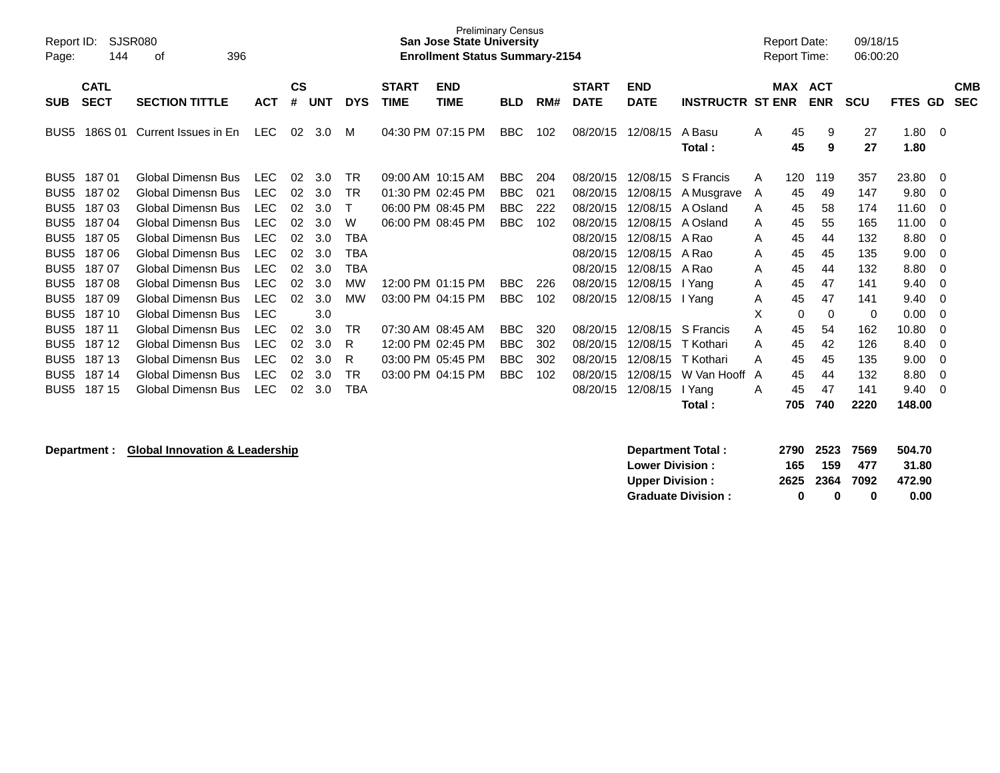| Report ID:<br>Page: | SJSR080<br>144             |                           |            |                    |            |            | <b>Preliminary Census</b><br><b>San Jose State University</b><br><b>Enrollment Status Summary-2154</b> |                           |            |     |                             |                           |                         | <b>Report Date:</b><br><b>Report Time:</b> |          | 09/18/15<br>06:00:20     |            |                   |                          |
|---------------------|----------------------------|---------------------------|------------|--------------------|------------|------------|--------------------------------------------------------------------------------------------------------|---------------------------|------------|-----|-----------------------------|---------------------------|-------------------------|--------------------------------------------|----------|--------------------------|------------|-------------------|--------------------------|
| <b>SUB</b>          | <b>CATL</b><br><b>SECT</b> | <b>SECTION TITTLE</b>     | <b>ACT</b> | $\mathsf{cs}$<br># | <b>UNT</b> | <b>DYS</b> | <b>START</b><br><b>TIME</b>                                                                            | <b>END</b><br><b>TIME</b> | <b>BLD</b> | RM# | <b>START</b><br><b>DATE</b> | <b>END</b><br><b>DATE</b> | <b>INSTRUCTR ST ENR</b> |                                            | MAX      | <b>ACT</b><br><b>ENR</b> | <b>SCU</b> | <b>FTES</b><br>GD | <b>CMB</b><br><b>SEC</b> |
| BUS <sub>5</sub>    | 186S 01                    | Current Issues in En      | <b>LEC</b> | 02                 | 3.0        | м          | 04:30 PM 07:15 PM                                                                                      |                           | BBC        | 102 | 08/20/15                    | 12/08/15                  | A Basu<br>Total:        | A                                          | 45<br>45 | 9<br>9                   | 27<br>27   | 1.80<br>1.80      | $\Omega$                 |
| BUS <sub>5</sub>    | 18701                      | Global Dimensn Bus        | <b>LEC</b> | 02                 | 3.0        | TR         | 09:00 AM 10:15 AM                                                                                      |                           | <b>BBC</b> | 204 | 08/20/15                    | 12/08/15                  | S Francis               | A                                          | 120      | 119                      | 357        | 23.80             | 0                        |
| BUS <sub>5</sub>    | 18702                      | <b>Global Dimensn Bus</b> | <b>LEC</b> | 02                 | 3.0        | TR         | 01:30 PM 02:45 PM                                                                                      |                           | <b>BBC</b> | 021 | 08/20/15                    | 12/08/15                  | A Musgrave              | A                                          | 45       | 49                       | 147        | 9.80              | 0                        |
| BUS <sub>5</sub>    | 18703                      | Global Dimensn Bus        | <b>LEC</b> | 02                 | 3.0        | т          | 06:00 PM 08:45 PM                                                                                      |                           | <b>BBC</b> | 222 | 08/20/15                    | 12/08/15                  | A Osland                | A                                          | 45       | 58                       | 174        | 11.60             | 0                        |
| BUS <sub>5</sub>    | 18704                      | Global Dimensn Bus        | <b>LEC</b> | 02                 | 3.0        | W          | 06:00 PM 08:45 PM                                                                                      |                           | <b>BBC</b> | 102 | 08/20/15                    | 12/08/15                  | A Osland                | A                                          | 45       | 55                       | 165        | 11.00             | 0                        |
| BUS <sub>5</sub>    | 18705                      | Global Dimensn Bus        | <b>LEC</b> | 02                 | 3.0        | <b>TBA</b> |                                                                                                        |                           |            |     | 08/20/15                    | 12/08/15                  | A Rao                   | A                                          | 45       | 44                       | 132        | 8.80              | 0                        |
| BUS <sub>5</sub>    | 18706                      | Global Dimensn Bus        | <b>LEC</b> | 02                 | 3.0        | TBA        |                                                                                                        |                           |            |     | 08/20/15                    | 12/08/15                  | A Rao                   | A                                          | 45       | 45                       | 135        | 9.00              | 0                        |
| BUS <sub>5</sub>    | 18707                      | Global Dimensn Bus        | <b>LEC</b> | 02                 | 3.0        | TBA        |                                                                                                        |                           |            |     | 08/20/15                    | 12/08/15                  | A Rao                   | A                                          | 45       | 44                       | 132        | 8.80              | 0                        |
| BUS <sub>5</sub>    | 18708                      | Global Dimensn Bus        | <b>LEC</b> | 02                 | 3.0        | MW         |                                                                                                        | 12:00 PM 01:15 PM         | <b>BBC</b> | 226 | 08/20/15                    | 12/08/15                  | I Yang                  | A                                          | 45       | 47                       | 141        | 9.40              | 0                        |
| BUS <sub>5</sub>    | 18709                      | Global Dimensn Bus        | <b>LEC</b> | 02                 | 3.0        | <b>MW</b>  | 03:00 PM 04:15 PM                                                                                      |                           | <b>BBC</b> | 102 | 08/20/15                    | 12/08/15                  | I Yang                  | A                                          | 45       | 47                       | 141        | 9.40              | $\Omega$                 |
| BUS <sub>5</sub>    | 187 10                     | Global Dimensn Bus        | <b>LEC</b> |                    | 3.0        |            |                                                                                                        |                           |            |     |                             |                           |                         | X                                          | 0        | 0                        | 0          | 0.00              | 0                        |
| BUS <sub>5</sub>    | 187 11                     | Global Dimensn Bus        | <b>LEC</b> | 02                 | 3.0        | TR         | 07:30 AM 08:45 AM                                                                                      |                           | <b>BBC</b> | 320 | 08/20/15                    | 12/08/15                  | S Francis               | A                                          | 45       | 54                       | 162        | 10.80             | 0                        |
| BUS <sub>5</sub>    | 187 12                     | <b>Global Dimensn Bus</b> | <b>LEC</b> | 02                 | 3.0        | R          |                                                                                                        | 12:00 PM 02:45 PM         | <b>BBC</b> | 302 | 08/20/15                    | 12/08/15                  | T Kothari               | A                                          | 45       | 42                       | 126        | 8.40              | 0                        |
| BUS <sub>5</sub>    | 187 13                     | <b>Global Dimensn Bus</b> | <b>LEC</b> | 02                 | 3.0        | R          | 03:00 PM 05:45 PM                                                                                      |                           | <b>BBC</b> | 302 | 08/20/15                    | 12/08/15                  | T Kothari               | Α                                          | 45       | 45                       | 135        | 9.00              | 0                        |
| BUS <sub>5</sub>    | 187 14                     | <b>Global Dimensn Bus</b> | <b>LEC</b> | 02                 | 3.0        | TR         | 03:00 PM 04:15 PM                                                                                      |                           | <b>BBC</b> | 102 | 08/20/15                    | 12/08/15                  | W Van Hooff A           |                                            | 45       | 44                       | 132        | 8.80              | 0                        |
| BUS <sub>5</sub>    | 187 15                     | Global Dimensn Bus        | <b>LEC</b> | 02                 | 3.0        | <b>TBA</b> |                                                                                                        |                           |            |     | 08/20/15                    | 12/08/15                  | I Yang                  | A                                          | 45       | 47                       | 141        | 9.40              | 0                        |
|                     |                            |                           |            |                    |            |            |                                                                                                        |                           |            |     |                             |                           | Total:                  |                                            | 705      | 740                      | 2220       | 148.00            |                          |

**Department : Global Innovation & Leadership** 

| Department Total:         |     | 2790 2523 7569 |     | 504.70 |
|---------------------------|-----|----------------|-----|--------|
| <b>Lower Division:</b>    | 165 | 159            | 477 | 31.80  |
| Upper Division:           |     | 2625 2364 7092 |     | 472.90 |
| <b>Graduate Division:</b> | o   | n              | 0   | 0.00   |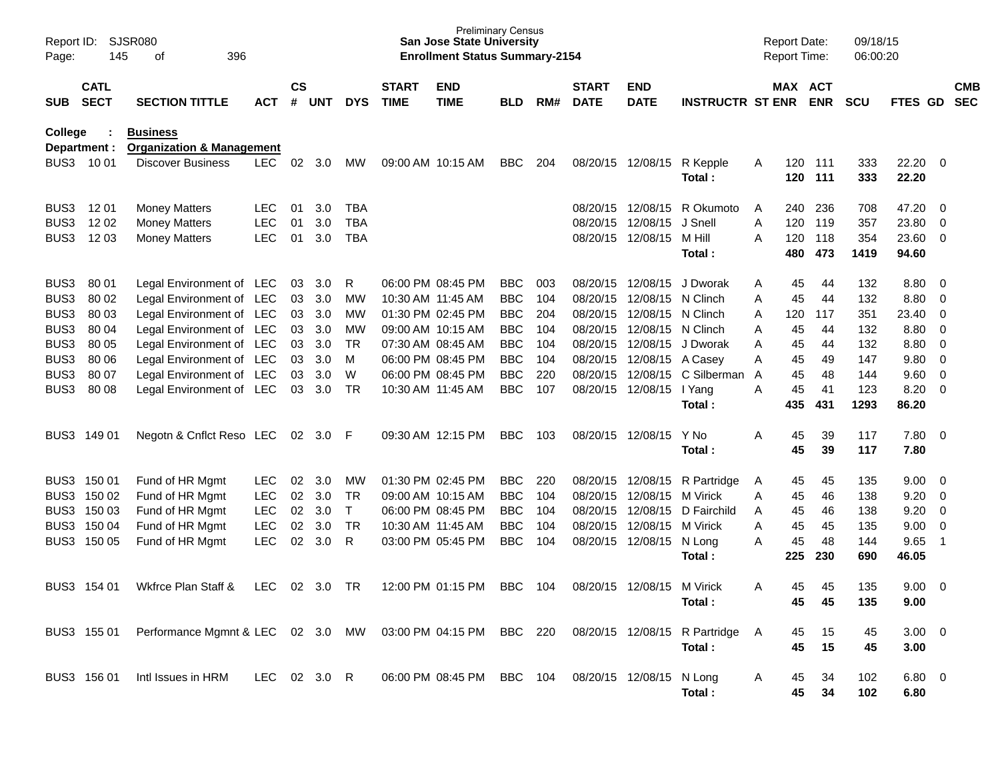| Report ID:<br>Page: | <b>SJSR080</b><br>145<br>396<br>οf<br><b>CATL</b> |                                      |              |                    |            |              |                             | <b>Preliminary Census</b><br><b>San Jose State University</b><br><b>Enrollment Status Summary-2154</b> |            |     |                             |                            |                               |   | <b>Report Date:</b><br><b>Report Time:</b> |            | 09/18/15<br>06:00:20 |                       |                          |                          |
|---------------------|---------------------------------------------------|--------------------------------------|--------------|--------------------|------------|--------------|-----------------------------|--------------------------------------------------------------------------------------------------------|------------|-----|-----------------------------|----------------------------|-------------------------------|---|--------------------------------------------|------------|----------------------|-----------------------|--------------------------|--------------------------|
| <b>SUB</b>          | <b>SECT</b>                                       | <b>SECTION TITTLE</b>                | <b>ACT</b>   | $\mathsf{cs}$<br># | <b>UNT</b> | <b>DYS</b>   | <b>START</b><br><b>TIME</b> | <b>END</b><br><b>TIME</b>                                                                              | <b>BLD</b> | RM# | <b>START</b><br><b>DATE</b> | <b>END</b><br><b>DATE</b>  | <b>INSTRUCTR ST ENR</b>       |   | MAX ACT                                    | <b>ENR</b> | <b>SCU</b>           | FTES GD               |                          | <b>CMB</b><br><b>SEC</b> |
| College             |                                                   | <b>Business</b>                      |              |                    |            |              |                             |                                                                                                        |            |     |                             |                            |                               |   |                                            |            |                      |                       |                          |                          |
|                     | Department :                                      | <b>Organization &amp; Management</b> |              |                    |            |              |                             |                                                                                                        |            |     |                             |                            |                               |   |                                            |            |                      |                       |                          |                          |
|                     | BUS3 1001                                         | <b>Discover Business</b>             | <b>LEC</b>   | 02                 | 3.0        | <b>MW</b>    |                             | 09:00 AM 10:15 AM                                                                                      | <b>BBC</b> | 204 |                             | 08/20/15 12/08/15          | R Kepple<br>Total:            | A | 120<br>120                                 | 111<br>111 | 333<br>333           | $22.20 \t 0$<br>22.20 |                          |                          |
| BUS3                | 12 01                                             | <b>Money Matters</b>                 | <b>LEC</b>   | 01                 | 3.0        | TBA          |                             |                                                                                                        |            |     |                             | 08/20/15 12/08/15          | R Okumoto                     | A | 240                                        | 236        | 708                  | 47.20 0               |                          |                          |
| BUS3                | 12 02                                             | <b>Money Matters</b>                 | <b>LEC</b>   | 01                 | 3.0        | <b>TBA</b>   |                             |                                                                                                        |            |     |                             | 08/20/15 12/08/15          | J Snell                       | A | 120                                        | 119        | 357                  | 23.80                 | $\overline{\mathbf{0}}$  |                          |
| BUS3                | 12 03                                             | <b>Money Matters</b>                 | <b>LEC</b>   | 01                 | 3.0        | <b>TBA</b>   |                             |                                                                                                        |            |     |                             | 08/20/15 12/08/15 M Hill   |                               | A | 120                                        | 118        | 354                  | 23.60 0               |                          |                          |
|                     |                                                   |                                      |              |                    |            |              |                             |                                                                                                        |            |     |                             |                            | Total:                        |   | 480                                        | 473        | 1419                 | 94.60                 |                          |                          |
| BUS3                | 80 01                                             | Legal Environment of LEC             |              | 03                 | 3.0        | R            |                             | 06:00 PM 08:45 PM                                                                                      | <b>BBC</b> | 003 |                             | 08/20/15 12/08/15          | J Dworak                      | A | 45                                         | 44         | 132                  | 8.80 0                |                          |                          |
| BUS3                | 80 02                                             | Legal Environment of LEC             |              | 03                 | 3.0        | МW           | 10:30 AM 11:45 AM           |                                                                                                        | <b>BBC</b> | 104 |                             | 08/20/15 12/08/15 N Clinch |                               | A | 45                                         | 44         | 132                  | $8.80\ 0$             |                          |                          |
| BUS3                | 80 03                                             | Legal Environment of LEC             |              | 03                 | 3.0        | MW           |                             | 01:30 PM 02:45 PM                                                                                      | <b>BBC</b> | 204 |                             | 08/20/15 12/08/15 N Clinch |                               | Α | 120                                        | 117        | 351                  | 23.40 0               |                          |                          |
| BUS3                | 80 04                                             | Legal Environment of LEC             |              | 03                 | 3.0        | MW           |                             | 09:00 AM 10:15 AM                                                                                      | <b>BBC</b> | 104 |                             | 08/20/15 12/08/15 N Clinch |                               | Α | 45                                         | 44         | 132                  | 8.80                  | $\overline{\phantom{0}}$ |                          |
| BUS3                | 80 05                                             | Legal Environment of LEC             |              | 03                 | 3.0        | <b>TR</b>    |                             | 07:30 AM 08:45 AM                                                                                      | <b>BBC</b> | 104 |                             | 08/20/15 12/08/15 J Dworak |                               | A | 45                                         | 44         | 132                  | $8.80\ 0$             |                          |                          |
| BUS3                | 80 06                                             | Legal Environment of LEC             |              | 03                 | 3.0        | м            |                             | 06:00 PM 08:45 PM                                                                                      | <b>BBC</b> | 104 |                             | 08/20/15 12/08/15 A Casey  |                               | A | 45                                         | 49         | 147                  | 9.80 0                |                          |                          |
| BUS3                | 80 07                                             | Legal Environment of LEC             |              | 03                 | 3.0        | W            |                             | 06:00 PM 08:45 PM                                                                                      | <b>BBC</b> | 220 |                             | 08/20/15 12/08/15          | C Silberman                   | A | 45                                         | 48         | 144                  | 9.60 0                |                          |                          |
| BUS3                | 80 08                                             | Legal Environment of LEC             |              | 03                 | 3.0        | <b>TR</b>    | 10:30 AM 11:45 AM           |                                                                                                        | <b>BBC</b> | 107 |                             | 08/20/15 12/08/15 l Yang   |                               | A | 45                                         | 41         | 123                  | 8.20                  | $\overline{\phantom{0}}$ |                          |
|                     |                                                   |                                      |              |                    |            |              |                             |                                                                                                        |            |     |                             |                            | Total:                        |   | 435                                        | 431        | 1293                 | 86.20                 |                          |                          |
| BUS3                | 149 01                                            | Negotn & Cnflct Reso LEC             |              |                    | 02 3.0 F   |              |                             | 09:30 AM 12:15 PM                                                                                      | <b>BBC</b> | 103 |                             | 08/20/15 12/08/15          | Y No                          | A | 45                                         | 39         | 117                  | 7.80 0                |                          |                          |
|                     |                                                   |                                      |              |                    |            |              |                             |                                                                                                        |            |     |                             |                            | Total :                       |   | 45                                         | 39         | 117                  | 7.80                  |                          |                          |
|                     | BUS3 150 01                                       | Fund of HR Mgmt                      | LEC.         | 02                 | 3.0        | МW           |                             | 01:30 PM 02:45 PM                                                                                      | <b>BBC</b> | 220 |                             | 08/20/15 12/08/15          | R Partridge                   | A | 45                                         | 45         | 135                  | $9.00 \t 0$           |                          |                          |
|                     | BUS3 150 02                                       | Fund of HR Mgmt                      | <b>LEC</b>   | 02                 | 3.0        | <b>TR</b>    |                             | 09:00 AM 10:15 AM                                                                                      | <b>BBC</b> | 104 |                             | 08/20/15 12/08/15          | M Virick                      | A | 45                                         | 46         | 138                  | 9.20                  | $\overline{\phantom{0}}$ |                          |
|                     | BUS3 150 03                                       | Fund of HR Mgmt                      | <b>LEC</b>   | 02                 | 3.0        | $\mathsf{T}$ |                             | 06:00 PM 08:45 PM                                                                                      | <b>BBC</b> | 104 |                             | 08/20/15 12/08/15          | D Fairchild                   | A | 45                                         | 46         | 138                  | 9.20                  | $\overline{\phantom{0}}$ |                          |
|                     | BUS3 150 04                                       | Fund of HR Mgmt                      | <b>LEC</b>   | 02                 | 3.0        | <b>TR</b>    | 10:30 AM 11:45 AM           |                                                                                                        | <b>BBC</b> | 104 |                             | 08/20/15 12/08/15 M Virick |                               | A | 45                                         | 45         | 135                  | 9.00                  | $\overline{\phantom{0}}$ |                          |
|                     | BUS3 150 05                                       | Fund of HR Mgmt                      | <b>LEC</b>   | 02                 | 3.0        | R            |                             | 03:00 PM 05:45 PM                                                                                      | <b>BBC</b> | 104 |                             | 08/20/15 12/08/15 N Long   |                               | A | 45                                         | 48         | 144                  | 9.65                  | - 1                      |                          |
|                     |                                                   |                                      |              |                    |            |              |                             |                                                                                                        |            |     |                             |                            | Total:                        |   | 225                                        | 230        | 690                  | 46.05                 |                          |                          |
|                     | BUS3 154 01                                       | Wkfrce Plan Staff &                  | <b>LEC</b>   | 02                 | 3.0        | TR           |                             | 12:00 PM 01:15 PM                                                                                      | <b>BBC</b> | 104 |                             | 08/20/15 12/08/15 M Virick |                               | A | 45                                         | 45         | 135                  | 9.00                  | $\overline{\phantom{0}}$ |                          |
|                     |                                                   |                                      |              |                    |            |              |                             |                                                                                                        |            |     |                             |                            | Total:                        |   | 45                                         | 45         | 135                  | 9.00                  |                          |                          |
|                     | BUS3 155 01                                       | Performance Mgmnt & LEC 02 3.0 MW    |              |                    |            |              |                             | 03:00 PM 04:15 PM BBC 220                                                                              |            |     |                             |                            | 08/20/15 12/08/15 R Partridge | A | 45                                         | 15         | 45                   | $3.00 \ 0$            |                          |                          |
|                     |                                                   |                                      |              |                    |            |              |                             |                                                                                                        |            |     |                             |                            | Total:                        |   | 45                                         | 15         | 45                   | 3.00                  |                          |                          |
|                     | BUS3 156 01                                       | Intl Issues in HRM                   | LEC 02 3.0 R |                    |            |              |                             | 06:00 PM 08:45 PM                                                                                      | BBC 104    |     |                             | 08/20/15 12/08/15 N Long   |                               | A | 45                                         | 34         | 102                  | 6.80 0                |                          |                          |
|                     |                                                   |                                      |              |                    |            |              |                             |                                                                                                        |            |     |                             |                            | Total:                        |   | 45                                         | 34         | 102                  | 6.80                  |                          |                          |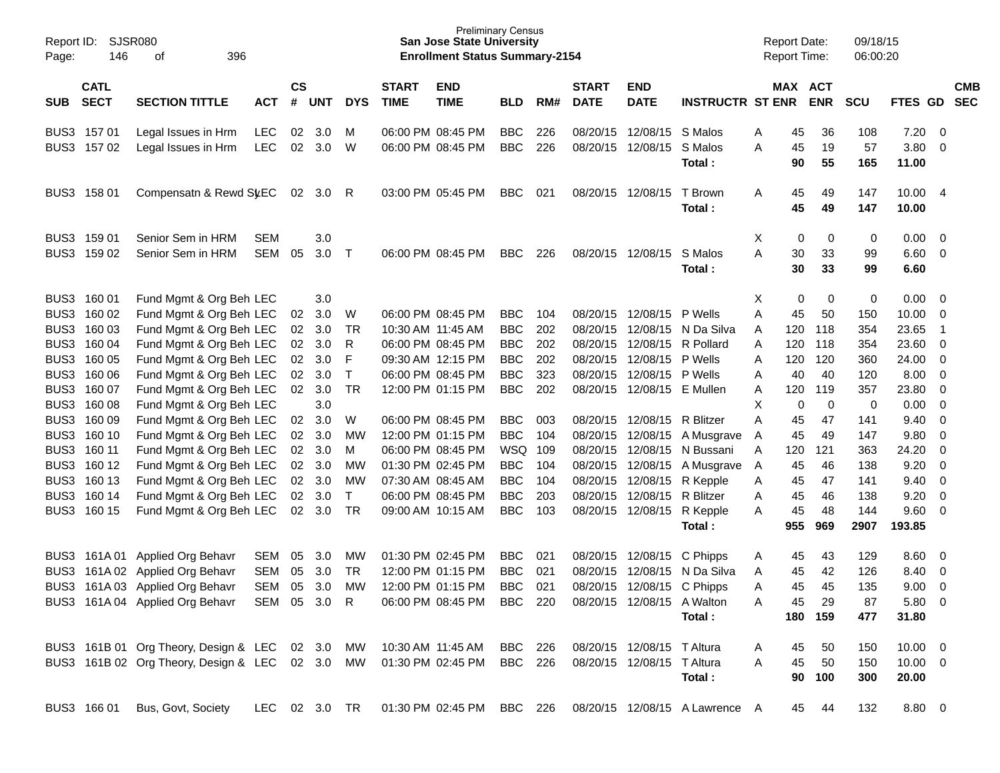| Report ID:<br>Page: | <b>SJSR080</b><br>146      | 396<br>of                                       |               |                    |            |              |                             | <b>Preliminary Census</b><br><b>San Jose State University</b><br><b>Enrollment Status Summary-2154</b> |                |     |                             |                            |                                |   | <b>Report Date:</b> | Report Time:          | 09/18/15<br>06:00:20 |                |                            |            |
|---------------------|----------------------------|-------------------------------------------------|---------------|--------------------|------------|--------------|-----------------------------|--------------------------------------------------------------------------------------------------------|----------------|-----|-----------------------------|----------------------------|--------------------------------|---|---------------------|-----------------------|----------------------|----------------|----------------------------|------------|
| SUB                 | <b>CATL</b><br><b>SECT</b> | <b>SECTION TITTLE</b>                           | <b>ACT</b>    | $\mathsf{cs}$<br># | <b>UNT</b> | <b>DYS</b>   | <b>START</b><br><b>TIME</b> | <b>END</b><br><b>TIME</b>                                                                              | <b>BLD</b>     | RM# | <b>START</b><br><b>DATE</b> | <b>END</b><br><b>DATE</b>  | <b>INSTRUCTR ST ENR</b>        |   |                     | MAX ACT<br><b>ENR</b> | <b>SCU</b>           | FTES GD SEC    |                            | <b>CMB</b> |
|                     | BUS3 157 01                | Legal Issues in Hrm                             | <b>LEC</b>    | 02                 | 3.0        | м            |                             | 06:00 PM 08:45 PM                                                                                      | <b>BBC</b>     | 226 |                             | 08/20/15 12/08/15 S Malos  |                                | Α | 45                  | 36                    | 108                  | 7.20           | $\overline{\mathbf{0}}$    |            |
|                     | BUS3 157 02                | Legal Issues in Hrm                             | <b>LEC</b>    | 02                 | 3.0        | W            |                             | 06:00 PM 08:45 PM                                                                                      | <b>BBC</b>     | 226 |                             | 08/20/15 12/08/15          | S Malos<br>Total:              | A | 45<br>90            | 19<br>55              | 57<br>165            | 3.80<br>11.00  | $\overline{0}$             |            |
|                     | BUS3 158 01                | Compensatn & Rewd St/EC                         |               |                    | 02 3.0     | - R          |                             | 03:00 PM 05:45 PM                                                                                      | <b>BBC</b>     | 021 |                             | 08/20/15 12/08/15          | T Brown<br>Total:              | Α | 45<br>45            | 49<br>49              | 147<br>147           | 10.00<br>10.00 | $\overline{4}$             |            |
|                     | BUS3 159 01                | Senior Sem in HRM                               | <b>SEM</b>    |                    | 3.0        |              |                             |                                                                                                        |                |     |                             |                            |                                | X | 0                   | 0                     | 0                    | 0.00           | $\overline{\mathbf{0}}$    |            |
|                     | BUS3 159 02                | Senior Sem in HRM                               | <b>SEM</b>    | 05                 | 3.0        | $\top$       |                             | 06:00 PM 08:45 PM                                                                                      | <b>BBC</b>     | 226 |                             | 08/20/15 12/08/15          | S Malos                        | A | 30                  | 33                    | 99                   | 6.60           | $\overline{0}$             |            |
|                     |                            |                                                 |               |                    |            |              |                             |                                                                                                        |                |     |                             |                            | Total:                         |   | 30                  | 33                    | 99                   | 6.60           |                            |            |
|                     | BUS3 160 01                | Fund Mgmt & Org Beh LEC                         |               |                    | 3.0        |              |                             |                                                                                                        |                |     |                             |                            |                                | Χ | 0                   | 0                     | 0                    | 0.00           | $\overline{0}$             |            |
|                     | BUS3 160 02                | Fund Mgmt & Org Beh LEC                         |               | 02                 | 3.0        | W            |                             | 06:00 PM 08:45 PM                                                                                      | <b>BBC</b>     | 104 |                             | 08/20/15 12/08/15          | P Wells                        | A | 45                  | 50                    | 150                  | 10.00          | $\overline{0}$             |            |
| BUS3                | 160 03                     | Fund Mgmt & Org Beh LEC                         |               | 02                 | 3.0        | <b>TR</b>    | 10:30 AM 11:45 AM           |                                                                                                        | <b>BBC</b>     | 202 |                             | 08/20/15 12/08/15          | N Da Silva                     | A | 120                 | 118                   | 354                  | 23.65          | $\overline{\phantom{0}}$ 1 |            |
| BUS3                | 160 04                     | Fund Mgmt & Org Beh LEC                         |               | 02                 | 3.0        | R            |                             | 06:00 PM 08:45 PM                                                                                      | <b>BBC</b>     | 202 |                             | 08/20/15 12/08/15          | R Pollard                      | Α | 120                 | 118                   | 354                  | 23.60          | $\overline{0}$             |            |
| BUS3                | 160 05                     | Fund Mgmt & Org Beh LEC                         |               | 02                 | 3.0        | F            |                             | 09:30 AM 12:15 PM                                                                                      | <b>BBC</b>     | 202 |                             | 08/20/15 12/08/15          | P Wells                        | Α | 120                 | 120                   | 360                  | 24.00          | $\overline{0}$             |            |
| BUS3                | 160 06                     | Fund Mgmt & Org Beh LEC                         |               | 02                 | 3.0        | $\mathsf{T}$ |                             | 06:00 PM 08:45 PM                                                                                      | <b>BBC</b>     | 323 |                             | 08/20/15 12/08/15          | P Wells                        | Α | 40                  | 40                    | 120                  | 8.00           | $\overline{0}$             |            |
| BUS3                | 160 07                     | Fund Mgmt & Org Beh LEC                         |               | 02                 | 3.0        | <b>TR</b>    |                             | 12:00 PM 01:15 PM                                                                                      | <b>BBC</b>     | 202 |                             | 08/20/15 12/08/15 E Mullen |                                | Α | 120                 | 119                   | 357                  | 23.80          | $\overline{0}$             |            |
| BUS3                | 160 08                     | Fund Mgmt & Org Beh LEC                         |               |                    | 3.0        |              |                             |                                                                                                        |                |     |                             |                            |                                | X | $\mathbf 0$         | $\mathbf 0$           | 0                    | 0.00           | 0                          |            |
| BUS3                | 160 09                     | Fund Mgmt & Org Beh LEC                         |               | 02                 | 3.0        | W            |                             | 06:00 PM 08:45 PM                                                                                      | <b>BBC</b>     | 003 |                             | 08/20/15 12/08/15          | R Blitzer                      | A | 45                  | 47                    | 141                  | 9.40           | $\overline{0}$             |            |
| BUS3                | 160 10                     | Fund Mgmt & Org Beh LEC                         |               | 02                 | 3.0        | <b>MW</b>    |                             | 12:00 PM 01:15 PM                                                                                      | <b>BBC</b>     | 104 |                             |                            | 08/20/15 12/08/15 A Musgrave   | A | 45                  | 49                    | 147                  | 9.80           | 0                          |            |
| BUS3                | 160 11                     | Fund Mgmt & Org Beh LEC                         |               | 02                 | 3.0        | M            |                             | 06:00 PM 08:45 PM                                                                                      | WSQ 109        |     |                             | 08/20/15 12/08/15          | N Bussani                      | Α | 120                 | 121                   | 363                  | 24.20          | $\mathbf 0$                |            |
| BUS3                | 160 12                     | Fund Mgmt & Org Beh LEC                         |               | 02                 | 3.0        | <b>MW</b>    |                             | 01:30 PM 02:45 PM                                                                                      | <b>BBC</b>     | 104 |                             | 08/20/15 12/08/15          | A Musgrave                     | A | 45                  | 46                    | 138                  | 9.20           | $\overline{0}$             |            |
| BUS3                | 160 13                     | Fund Mgmt & Org Beh LEC                         |               | 02                 | 3.0        | <b>MW</b>    |                             | 07:30 AM 08:45 AM                                                                                      | <b>BBC</b>     | 104 |                             | 08/20/15 12/08/15 R Kepple |                                | Α | 45                  | 47                    | 141                  | 9.40           | $\overline{0}$             |            |
|                     | BUS3 160 14                | Fund Mgmt & Org Beh LEC                         |               | 02                 | 3.0        | T            |                             | 06:00 PM 08:45 PM                                                                                      | <b>BBC</b>     | 203 |                             | 08/20/15 12/08/15          | R Blitzer                      | Α | 45                  | 46                    | 138                  | 9.20           | $\overline{0}$             |            |
| BUS3                | 160 15                     | Fund Mgmt & Org Beh LEC                         |               | 02                 | 3.0        | TR           |                             | 09:00 AM 10:15 AM                                                                                      | <b>BBC</b>     | 103 |                             | 08/20/15 12/08/15 R Kepple |                                | A | 45                  | 48                    | 144                  | 9.60           | $\overline{\mathbf{0}}$    |            |
|                     |                            |                                                 |               |                    |            |              |                             |                                                                                                        |                |     |                             |                            | Total:                         |   | 955                 | 969                   | 2907                 | 193.85         |                            |            |
|                     | BUS3 161A01                | <b>Applied Org Behavr</b>                       | <b>SEM</b>    | 05                 | 3.0        | MW           |                             | 01:30 PM 02:45 PM                                                                                      | <b>BBC</b>     | 021 |                             | 08/20/15 12/08/15          | C Phipps                       | A | 45                  | 43                    | 129                  | 8.60           | $\overline{0}$             |            |
| BUS3                |                            | 161A 02 Applied Org Behavr                      | <b>SEM</b>    | 05                 | 3.0        | TR           |                             | 12:00 PM 01:15 PM                                                                                      | <b>BBC</b>     | 021 | 08/20/15                    | 12/08/15                   | N Da Silva                     | Α | 45                  | 42                    | 126                  | 8.40           | $\overline{0}$             |            |
|                     |                            | BUS3 161A 03 Applied Org Behavr                 | <b>SEM</b>    | 05                 | 3.0        | MW           |                             | 12:00 PM 01:15 PM                                                                                      | <b>BBC</b>     | 021 |                             | 08/20/15 12/08/15 C Phipps |                                | Α | 45                  | 45                    | 135                  | 9.00           | $\overline{0}$             |            |
|                     |                            | BUS3 161A 04 Applied Org Behavr SEM 05 3.0 R    |               |                    |            |              |                             | 06:00 PM 08:45 PM                                                                                      | BBC 220        |     |                             | 08/20/15 12/08/15 A Walton |                                | A | 45                  | 29                    | 87                   | 5.80 0         |                            |            |
|                     |                            |                                                 |               |                    |            |              |                             |                                                                                                        |                |     |                             |                            | Total:                         |   |                     | 180 159               | 477                  | 31.80          |                            |            |
|                     |                            | BUS3 161B 01 Org Theory, Design & LEC 02 3.0 MW |               |                    |            |              | 10:30 AM 11:45 AM           |                                                                                                        | BBC 226        |     |                             | 08/20/15 12/08/15 T Altura |                                | A | 45                  | 50                    | 150                  | $10.00 \t 0$   |                            |            |
|                     |                            | BUS3 161B 02 Org Theory, Design & LEC 02 3.0 MW |               |                    |            |              |                             | 01:30 PM 02:45 PM                                                                                      | <b>BBC</b> 226 |     |                             | 08/20/15 12/08/15 T Altura |                                | A | 45                  | 50                    | 150                  | $10.00 \t 0$   |                            |            |
|                     |                            |                                                 |               |                    |            |              |                             |                                                                                                        |                |     |                             |                            | Total:                         |   |                     | 90 100                | 300                  | 20.00          |                            |            |
|                     | BUS3 166 01                | Bus, Govt, Society                              | LEC 02 3.0 TR |                    |            |              |                             | 01:30 PM 02:45 PM                                                                                      | BBC 226        |     |                             |                            | 08/20/15 12/08/15 A Lawrence A |   | 45                  | 44                    | 132                  | 8.80 0         |                            |            |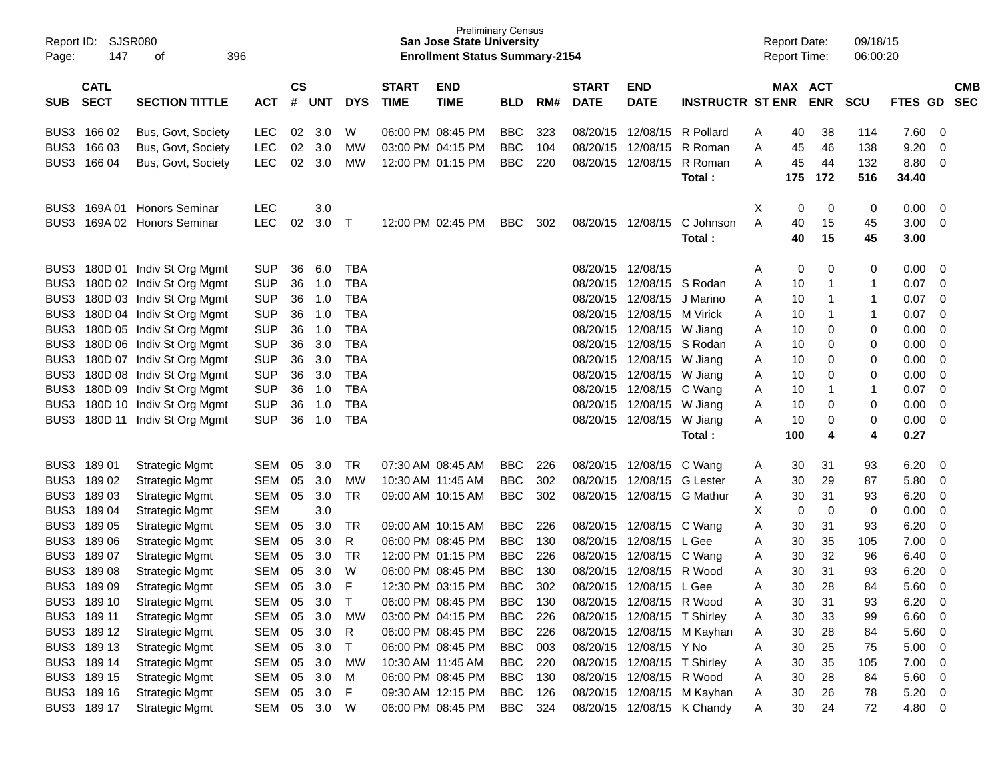| Report ID:       | <b>SJSR080</b>             |                                                        |                          |               |              |                          | <b>Preliminary Census</b><br><b>San Jose State University</b> |                                        |                          |     |              |                                                         |                                                          | <b>Report Date:</b> |                     | 09/18/15          |            |                |                            |            |
|------------------|----------------------------|--------------------------------------------------------|--------------------------|---------------|--------------|--------------------------|---------------------------------------------------------------|----------------------------------------|--------------------------|-----|--------------|---------------------------------------------------------|----------------------------------------------------------|---------------------|---------------------|-------------------|------------|----------------|----------------------------|------------|
| Page:            | 147                        | 396<br>оf                                              |                          |               |              |                          |                                                               | <b>Enrollment Status Summary-2154</b>  |                          |     |              |                                                         |                                                          |                     | <b>Report Time:</b> |                   | 06:00:20   |                |                            |            |
|                  |                            |                                                        |                          |               |              |                          |                                                               |                                        |                          |     |              |                                                         |                                                          |                     |                     |                   |            |                |                            |            |
|                  | <b>CATL</b>                |                                                        |                          | $\mathsf{cs}$ |              |                          | <b>START</b>                                                  | <b>END</b>                             |                          |     | <b>START</b> | <b>END</b>                                              |                                                          |                     | MAX ACT             |                   |            |                |                            | <b>CMB</b> |
| <b>SUB</b>       | <b>SECT</b>                | <b>SECTION TITTLE</b>                                  | <b>ACT</b>               | #             | <b>UNT</b>   | <b>DYS</b>               | <b>TIME</b>                                                   | <b>TIME</b>                            | <b>BLD</b>               | RM# | <b>DATE</b>  | <b>DATE</b>                                             | <b>INSTRUCTR ST ENR</b>                                  |                     |                     | <b>ENR</b>        | <b>SCU</b> | <b>FTES GD</b> |                            | <b>SEC</b> |
|                  | BUS3 166 02                | Bus, Govt, Society                                     | <b>LEC</b>               | 02            | 3.0          | W                        |                                                               | 06:00 PM 08:45 PM                      | <b>BBC</b>               | 323 |              | 08/20/15 12/08/15                                       | R Pollard                                                |                     | 40                  | 38                | 114        | 7.60           | 0                          |            |
|                  | BUS3 166 03                | Bus, Govt, Society                                     | <b>LEC</b>               | 02            | 3.0          | MW                       |                                                               | 03:00 PM 04:15 PM                      | <b>BBC</b>               | 104 | 08/20/15     | 12/08/15                                                | R Roman                                                  | A<br>A              | 45                  | 46                | 138        | 9.20           | $\mathbf 0$                |            |
|                  | BUS3 166 04                | Bus, Govt, Society                                     | <b>LEC</b>               | 02            | 3.0          | <b>MW</b>                |                                                               | 12:00 PM 01:15 PM                      | <b>BBC</b>               | 220 | 08/20/15     | 12/08/15                                                | R Roman                                                  | A                   | 45                  | 44                | 132        | 8.80           | 0                          |            |
|                  |                            |                                                        |                          |               |              |                          |                                                               |                                        |                          |     |              |                                                         | Total:                                                   |                     | 175                 | 172               | 516        | 34.40          |                            |            |
|                  |                            |                                                        |                          |               |              |                          |                                                               |                                        |                          |     |              |                                                         |                                                          |                     |                     |                   |            |                |                            |            |
| BUS3             |                            | 169A 01 Honors Seminar                                 | <b>LEC</b>               |               | 3.0          |                          |                                                               |                                        |                          |     |              |                                                         |                                                          | X                   | 0                   | 0                 | 0          | 0.00           | 0                          |            |
| BUS <sub>3</sub> |                            | 169A 02 Honors Seminar                                 | <b>LEC</b>               | 02            | 3.0          | $\top$                   |                                                               | 12:00 PM 02:45 PM                      | <b>BBC</b>               | 302 |              | 08/20/15 12/08/15                                       | C Johnson                                                | A                   | 40                  | 15                | 45         | 3.00           | 0                          |            |
|                  |                            |                                                        |                          |               |              |                          |                                                               |                                        |                          |     |              |                                                         | Total:                                                   |                     | 40                  | 15                | 45         | 3.00           |                            |            |
|                  |                            |                                                        |                          |               |              |                          |                                                               |                                        |                          |     |              |                                                         |                                                          |                     |                     |                   |            |                |                            |            |
|                  |                            | BUS3 180D 01 Indiv St Org Mgmt                         | <b>SUP</b>               | 36            | 6.0          | <b>TBA</b>               |                                                               |                                        |                          |     |              | 08/20/15 12/08/15                                       |                                                          | A                   | 0                   | 0                 | 0          | 0.00           | 0                          |            |
| BUS3             |                            | 180D 02 Indiv St Org Mgmt                              | <b>SUP</b>               | 36            | 1.0          | <b>TBA</b>               |                                                               |                                        |                          |     |              | 08/20/15 12/08/15<br>08/20/15 12/08/15 J Marino         | S Rodan                                                  | Α                   | 10                  | $\mathbf{1}$      | 1          | 0.07           | $\mathbf 0$                |            |
| BUS3             |                            | 180D 03 Indiv St Org Mgmt                              | <b>SUP</b>               | 36            | 1.0          | <b>TBA</b>               |                                                               |                                        |                          |     |              |                                                         |                                                          | Α                   | 10                  | $\mathbf{1}$      | 1          | 0.07           | $\mathbf 0$<br>$\mathbf 0$ |            |
| BUS3<br>BUS3     |                            | 180D 04 Indiv St Org Mgmt<br>180D 05 Indiv St Org Mgmt | <b>SUP</b><br><b>SUP</b> | 36<br>36      | 1.0<br>1.0   | <b>TBA</b><br><b>TBA</b> |                                                               |                                        |                          |     |              | 08/20/15 12/08/15 M Virick<br>08/20/15 12/08/15 W Jiang |                                                          | Α                   | 10<br>10            | $\mathbf{1}$<br>0 | 1<br>0     | 0.07<br>0.00   | $\mathbf 0$                |            |
| BUS3             |                            | 180D 06 Indiv St Org Mgmt                              | <b>SUP</b>               | 36            | 3.0          | <b>TBA</b>               |                                                               |                                        |                          |     |              | 08/20/15 12/08/15 S Rodan                               |                                                          | Α<br>Α              | 10                  | 0                 | 0          | 0.00           | $\mathbf 0$                |            |
| BUS3             |                            | 180D 07 Indiv St Org Mgmt                              | <b>SUP</b>               | 36            | 3.0          | <b>TBA</b>               |                                                               |                                        |                          |     |              | 08/20/15 12/08/15 W Jiang                               |                                                          | Α                   | 10                  | 0                 | 0          | 0.00           | $\mathbf 0$                |            |
| BUS3             |                            | 180D 08 Indiv St Org Mgmt                              | <b>SUP</b>               | 36            | 3.0          | <b>TBA</b>               |                                                               |                                        |                          |     |              | 08/20/15 12/08/15 W Jiang                               |                                                          | Α                   | 10                  | 0                 | 0          | 0.00           | $\mathbf 0$                |            |
| BUS3             |                            | 180D 09 Indiv St Org Mgmt                              | <b>SUP</b>               | 36            | 1.0          | <b>TBA</b>               |                                                               |                                        |                          |     |              | 08/20/15 12/08/15 C Wang                                |                                                          | Α                   | 10                  | $\mathbf{1}$      | 1          | 0.07           | $\mathbf 0$                |            |
| BUS3             |                            | 180D 10 Indiv St Org Mgmt                              | <b>SUP</b>               | 36            | 1.0          | <b>TBA</b>               |                                                               |                                        |                          |     |              | 08/20/15 12/08/15 W Jiang                               |                                                          | Α                   | 10                  | 0                 | 0          | 0.00           | $\mathbf 0$                |            |
| BUS3             |                            | 180D 11 Indiv St Org Mgmt                              | <b>SUP</b>               | 36            | 1.0          | <b>TBA</b>               |                                                               |                                        |                          |     |              | 08/20/15 12/08/15 W Jiang                               |                                                          | A                   | 10                  | 0                 | 0          | 0.00           | $\mathbf 0$                |            |
|                  |                            |                                                        |                          |               |              |                          |                                                               |                                        |                          |     |              |                                                         | Total:                                                   |                     | 100                 | 4                 | 4          | 0.27           |                            |            |
|                  |                            |                                                        |                          |               |              |                          |                                                               |                                        |                          |     |              |                                                         |                                                          |                     |                     |                   |            |                |                            |            |
|                  | BUS3 189 01                | <b>Strategic Mgmt</b>                                  | <b>SEM</b>               | 05            | 3.0          | TR                       | 07:30 AM 08:45 AM                                             |                                        | <b>BBC</b>               | 226 |              | 08/20/15 12/08/15 C Wang                                |                                                          | A                   | 30                  | 31                | 93         | 6.20           | 0                          |            |
| BUS3             | 18902                      | <b>Strategic Mgmt</b>                                  | <b>SEM</b>               | 05            | 3.0          | <b>MW</b>                | 10:30 AM 11:45 AM                                             |                                        | <b>BBC</b>               | 302 |              | 08/20/15 12/08/15 G Lester                              |                                                          | Α                   | 30                  | 29                | 87         | 5.80           | 0                          |            |
| BUS3             | 18903                      | <b>Strategic Mgmt</b>                                  | <b>SEM</b>               | 05            | 3.0          | <b>TR</b>                | 09:00 AM 10:15 AM                                             |                                        | <b>BBC</b>               | 302 |              | 08/20/15 12/08/15 G Mathur                              |                                                          | Α                   | 30                  | 31                | 93         | 6.20           | $\mathbf 0$                |            |
| BUS3             | 18904                      | <b>Strategic Mgmt</b>                                  | <b>SEM</b>               |               | 3.0          |                          |                                                               |                                        |                          |     |              |                                                         |                                                          | X                   | 0                   | 0                 | 0          | 0.00           | $\mathbf 0$                |            |
| BUS3             | 18905                      | <b>Strategic Mgmt</b>                                  | <b>SEM</b>               | 05            | 3.0          | TR                       | 09:00 AM 10:15 AM                                             |                                        | <b>BBC</b>               | 226 |              | 08/20/15 12/08/15 C Wang                                |                                                          | Α                   | 30                  | 31                | 93         | 6.20           | $\mathbf 0$                |            |
| BUS3             | 18906                      | <b>Strategic Mgmt</b>                                  | <b>SEM</b>               | 05            | 3.0          | R                        |                                                               | 06:00 PM 08:45 PM                      | <b>BBC</b>               | 130 | 08/20/15     | 12/08/15                                                | L Gee                                                    | Α                   | 30                  | 35                | 105        | 7.00           | $\mathbf 0$                |            |
| BUS3             | 18907                      | <b>Strategic Mgmt</b>                                  | SEM                      | 05            | 3.0          | TR                       |                                                               | 12:00 PM 01:15 PM                      | <b>BBC</b>               | 226 |              | 08/20/15 12/08/15 C Wang                                |                                                          | Α                   | 30                  | 32                | 96         | 6.40           | $\mathbf 0$                |            |
| BUS3             | 18908                      | <b>Strategic Mgmt</b>                                  | <b>SEM</b>               | 05            | 3.0          | W                        |                                                               | 06:00 PM 08:45 PM                      | <b>BBC</b>               | 130 | 08/20/15     | 12/08/15                                                | R Wood                                                   | Α                   | 30                  | 31                | 93         | 6.20           | $\mathbf 0$                |            |
|                  | BUS3 189 09                | <b>Strategic Mgmt</b>                                  | <b>SEM</b>               | 05            | 3.0          | F                        |                                                               | 12:30 PM 03:15 PM                      | <b>BBC</b>               | 302 |              | 08/20/15 12/08/15 L Gee                                 |                                                          | A                   | 30                  | 28                | 84         | 5.60           | $\mathbf 0$                |            |
|                  | BUS3 189 10                | Strategic Mgmt                                         | SEM 05                   |               | 3.0          | $\top$                   |                                                               | 06:00 PM 08:45 PM                      | BBC                      | 130 |              | 08/20/15 12/08/15 R Wood                                |                                                          | Α                   | 30                  | 31                | 93         | 6.20           | $\mathbf 0$                |            |
|                  | BUS3 189 11                | <b>Strategic Mgmt</b>                                  | SEM                      | 05            | 3.0          | <b>MW</b>                |                                                               | 03:00 PM 04:15 PM                      | <b>BBC</b>               | 226 |              | 08/20/15 12/08/15 T Shirley                             |                                                          | A                   | 30                  | 33                | 99         | 6.60           | 0                          |            |
|                  | BUS3 189 12                | <b>Strategic Mgmt</b>                                  | SEM                      | 05            | 3.0          | R                        |                                                               | 06:00 PM 08:45 PM                      | <b>BBC</b>               | 226 |              |                                                         | 08/20/15 12/08/15 M Kayhan                               | A                   | 30                  | 28                | 84         | 5.60           | 0                          |            |
|                  | BUS3 189 13                | <b>Strategic Mgmt</b>                                  | SEM                      | 05            | 3.0          | $\top$                   |                                                               | 06:00 PM 08:45 PM                      | <b>BBC</b>               | 003 |              | 08/20/15 12/08/15 Y No                                  |                                                          | Α                   | 30                  | 25                | 75         | 5.00           | 0                          |            |
|                  | BUS3 189 14                | <b>Strategic Mgmt</b>                                  | SEM                      | 05            | 3.0          | МW                       | 10:30 AM 11:45 AM                                             |                                        | <b>BBC</b>               | 220 |              | 08/20/15 12/08/15 T Shirley                             |                                                          | A                   | 30                  | 35                | 105        | 7.00           | 0                          |            |
|                  | BUS3 189 15<br>BUS3 189 16 | <b>Strategic Mgmt</b>                                  | SEM                      | 05<br>05      | 3.0<br>3.0   | M                        |                                                               | 06:00 PM 08:45 PM<br>09:30 AM 12:15 PM | <b>BBC</b><br><b>BBC</b> | 130 |              | 08/20/15 12/08/15 R Wood                                |                                                          | Α                   | 30                  | 28<br>26          | 84         | 5.60           | 0                          |            |
|                  | BUS3 189 17                | <b>Strategic Mgmt</b><br><b>Strategic Mgmt</b>         | SEM                      |               | SEM 05 3.0 W | F                        |                                                               | 06:00 PM 08:45 PM                      | BBC 324                  | 126 |              |                                                         | 08/20/15 12/08/15 M Kayhan<br>08/20/15 12/08/15 K Chandy | A                   | 30<br>30            | 24                | 78<br>72   | 5.20<br>4.80 0 | 0                          |            |
|                  |                            |                                                        |                          |               |              |                          |                                                               |                                        |                          |     |              |                                                         |                                                          | A                   |                     |                   |            |                |                            |            |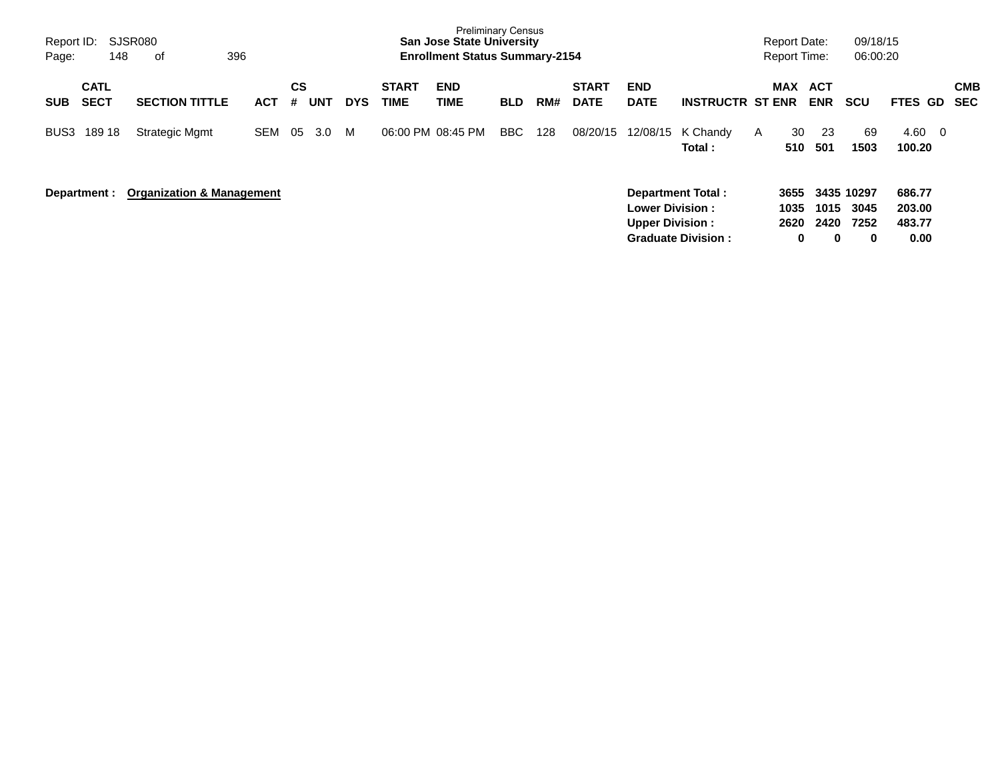| Report ID:<br>Page: | 148                        | <b>SJSR080</b><br>396<br>оf          |            |         |     |            |                             | <b>Preliminary Census</b><br><b>San Jose State University</b><br><b>Enrollment Status Summary-2154</b> |            |     |                             |                                                   |                          |   | Report Date:         | <b>Report Time:</b>      | 09/18/15<br>06:00:20       |                                            |                   |
|---------------------|----------------------------|--------------------------------------|------------|---------|-----|------------|-----------------------------|--------------------------------------------------------------------------------------------------------|------------|-----|-----------------------------|---------------------------------------------------|--------------------------|---|----------------------|--------------------------|----------------------------|--------------------------------------------|-------------------|
| <b>SUB</b>          | <b>CATL</b><br><b>SECT</b> | <b>SECTION TITTLE</b>                | ACT        | CS<br># | UNT | <b>DYS</b> | <b>START</b><br><b>TIME</b> | <b>END</b><br>TIME                                                                                     | <b>BLD</b> | RM# | <b>START</b><br><b>DATE</b> | <b>END</b><br><b>DATE</b>                         | <b>INSTRUCTR ST ENR</b>  |   | <b>MAX</b>           | <b>ACT</b><br><b>ENR</b> | <b>SCU</b>                 | <b>FTES GD</b>                             | <b>CMB</b><br>SEC |
| BUS3                | 189 18                     | <b>Strategic Mgmt</b>                | <b>SEM</b> | 05      | 3.0 | М          | 06:00 PM 08:45 PM           |                                                                                                        | BBC        | 128 | 08/20/15                    | 12/08/15                                          | K Chandy<br>Total:       | A | 30<br>510            | 23<br>501                | 69<br>1503                 | 4.60<br>$\overline{\phantom{0}}$<br>100.20 |                   |
|                     | Department :               | <b>Organization &amp; Management</b> |            |         |     |            |                             |                                                                                                        |            |     |                             | <b>Lower Division :</b><br><b>Upper Division:</b> | <b>Department Total:</b> |   | 3655<br>1035<br>2620 | 1015<br>2420             | 3435 10297<br>3045<br>7252 | 686.77<br>203.00<br>483.77                 |                   |

**Graduate Division : 0 0 0 0.00**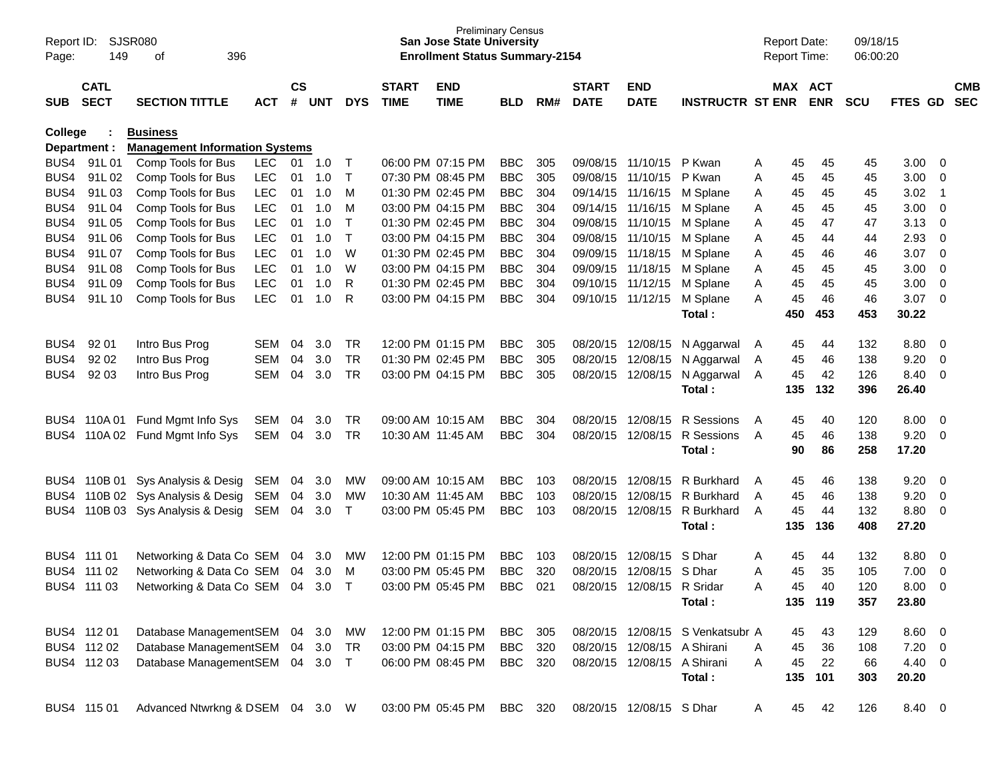| Report ID:<br>Page: | 149          | SJSR080<br>396<br>of                  |            |           |            |              |              | <b>Preliminary Census</b><br><b>San Jose State University</b><br><b>Enrollment Status Summary-2154</b> |            |     |              |                             |                                  | <b>Report Date:</b><br><b>Report Time:</b> |     |            | 09/18/15<br>06:00:20 |                |                         |            |
|---------------------|--------------|---------------------------------------|------------|-----------|------------|--------------|--------------|--------------------------------------------------------------------------------------------------------|------------|-----|--------------|-----------------------------|----------------------------------|--------------------------------------------|-----|------------|----------------------|----------------|-------------------------|------------|
|                     | <b>CATL</b>  |                                       |            | <b>CS</b> |            |              | <b>START</b> | <b>END</b>                                                                                             |            |     | <b>START</b> | <b>END</b>                  |                                  |                                            |     | MAX ACT    |                      |                |                         | <b>CMB</b> |
| <b>SUB</b>          | <b>SECT</b>  | <b>SECTION TITTLE</b>                 | <b>ACT</b> | #         | <b>UNT</b> | <b>DYS</b>   | <b>TIME</b>  | <b>TIME</b>                                                                                            | <b>BLD</b> | RM# | <b>DATE</b>  | <b>DATE</b>                 | <b>INSTRUCTR ST ENR</b>          |                                            |     | <b>ENR</b> | <b>SCU</b>           | <b>FTES GD</b> |                         | <b>SEC</b> |
| College             |              | <b>Business</b>                       |            |           |            |              |              |                                                                                                        |            |     |              |                             |                                  |                                            |     |            |                      |                |                         |            |
|                     | Department : | <b>Management Information Systems</b> |            |           |            |              |              |                                                                                                        |            |     |              |                             |                                  |                                            |     |            |                      |                |                         |            |
| BUS4                | 91L01        | Comp Tools for Bus                    | <b>LEC</b> | 01        | 1.0        | $\mathsf{T}$ |              | 06:00 PM 07:15 PM                                                                                      | <b>BBC</b> | 305 |              | 09/08/15 11/10/15           | P Kwan                           | A                                          | 45  | 45         | 45                   | 3.00           | $\overline{\mathbf{0}}$ |            |
| BUS4                | 91L02        | Comp Tools for Bus                    | <b>LEC</b> | 01        | 1.0        | $\mathsf{T}$ |              | 07:30 PM 08:45 PM                                                                                      | <b>BBC</b> | 305 |              | 09/08/15 11/10/15           | P Kwan                           | Α                                          | 45  | 45         | 45                   | 3.00           | 0                       |            |
| BUS4                | 91L03        | Comp Tools for Bus                    | <b>LEC</b> | 01        | 1.0        | M            |              | 01:30 PM 02:45 PM                                                                                      | <b>BBC</b> | 304 |              | 09/14/15 11/16/15           | M Splane                         | A                                          | 45  | 45         | 45                   | 3.02           | - 1                     |            |
| BUS4                | 91L04        | Comp Tools for Bus                    | <b>LEC</b> | 01        | 1.0        | м            |              | 03:00 PM 04:15 PM                                                                                      | <b>BBC</b> | 304 |              | 09/14/15 11/16/15           | M Splane                         | Α                                          | 45  | 45         | 45                   | 3.00           | 0                       |            |
| BUS4                | 91L05        | Comp Tools for Bus                    | <b>LEC</b> | 01        | 1.0        | $\mathsf{T}$ |              | 01:30 PM 02:45 PM                                                                                      | <b>BBC</b> | 304 |              | 09/08/15 11/10/15           | M Splane                         | Α                                          | 45  | 47         | 47                   | 3.13           | 0                       |            |
| BUS4                | 91L06        | Comp Tools for Bus                    | <b>LEC</b> | 01        | 1.0        | $\top$       |              | 03:00 PM 04:15 PM                                                                                      | <b>BBC</b> | 304 |              | 09/08/15 11/10/15           | M Splane                         | Α                                          | 45  | 44         | 44                   | 2.93           | 0                       |            |
| BUS4                | 91L07        | Comp Tools for Bus                    | <b>LEC</b> | 01        | 1.0        | W            |              | 01:30 PM 02:45 PM                                                                                      | <b>BBC</b> | 304 |              | 09/09/15 11/18/15           | M Splane                         | Α                                          | 45  | 46         | 46                   | 3.07           | 0                       |            |
| BUS4                | 91L08        | Comp Tools for Bus                    | <b>LEC</b> | 01        | 1.0        | W            |              | 03:00 PM 04:15 PM                                                                                      | <b>BBC</b> | 304 |              | 09/09/15 11/18/15           | M Splane                         | Α                                          | 45  | 45         | 45                   | 3.00           | 0                       |            |
| BUS4                | 91L09        | Comp Tools for Bus                    | <b>LEC</b> | 01        | 1.0        | R            |              | 01:30 PM 02:45 PM                                                                                      | <b>BBC</b> | 304 |              | 09/10/15 11/12/15           | M Splane                         | Α                                          | 45  | 45         | 45                   | 3.00           | 0                       |            |
| BUS4                | 91L10        | Comp Tools for Bus                    | <b>LEC</b> | 01        | 1.0        | R            |              | 03:00 PM 04:15 PM                                                                                      | <b>BBC</b> | 304 |              | 09/10/15 11/12/15           | M Splane                         | Α                                          | 45  | 46         | 46                   | 3.07           | $\overline{\mathbf{0}}$ |            |
|                     |              |                                       |            |           |            |              |              |                                                                                                        |            |     |              |                             | Total:                           |                                            | 450 | 453        | 453                  | 30.22          |                         |            |
| BUS4                | 92 01        | Intro Bus Prog                        | <b>SEM</b> | 04        | 3.0        | TR           |              | 12:00 PM 01:15 PM                                                                                      | <b>BBC</b> | 305 |              | 08/20/15 12/08/15           | N Aggarwal                       | A                                          | 45  | 44         | 132                  | 8.80           | 0                       |            |
| BUS4                | 92 02        | Intro Bus Prog                        | <b>SEM</b> | 04        | 3.0        | <b>TR</b>    |              | 01:30 PM 02:45 PM                                                                                      | <b>BBC</b> | 305 |              | 08/20/15 12/08/15           | N Aggarwal                       | A                                          | 45  | 46         | 138                  | 9.20           | 0                       |            |
| BUS4                | 92 03        | Intro Bus Prog                        | <b>SEM</b> | 04        | 3.0        | <b>TR</b>    |              | 03:00 PM 04:15 PM                                                                                      | <b>BBC</b> | 305 |              | 08/20/15 12/08/15           | N Aggarwal                       | A                                          | 45  | 42         | 126                  | 8.40           | 0                       |            |
|                     |              |                                       |            |           |            |              |              |                                                                                                        |            |     |              |                             | Total:                           |                                            | 135 | 132        | 396                  | 26.40          |                         |            |
|                     | BUS4 110A 01 | Fund Mgmt Info Sys                    | <b>SEM</b> | 04        | 3.0        | TR           |              | 09:00 AM 10:15 AM                                                                                      | <b>BBC</b> | 304 |              | 08/20/15 12/08/15           | R Sessions                       | A                                          | 45  | 40         | 120                  | 8.00           | $\overline{\mathbf{0}}$ |            |
| BUS4                | 110A 02      | Fund Mgmt Info Sys                    | <b>SEM</b> | 04        | 3.0        | <b>TR</b>    |              | 10:30 AM 11:45 AM                                                                                      | <b>BBC</b> | 304 |              | 08/20/15 12/08/15           | R Sessions                       | $\overline{A}$                             | 45  | 46         | 138                  | 9.20           | $\overline{\mathbf{0}}$ |            |
|                     |              |                                       |            |           |            |              |              |                                                                                                        |            |     |              |                             | Total:                           |                                            | 90  | 86         | 258                  | 17.20          |                         |            |
|                     |              | BUS4 110B 01 Sys Analysis & Desig     | SEM        | 04        | 3.0        | МW           |              | 09:00 AM 10:15 AM                                                                                      | <b>BBC</b> | 103 |              | 08/20/15 12/08/15           | R Burkhard                       | A                                          | 45  | 46         | 138                  | 9.20           | $\overline{\mathbf{0}}$ |            |
|                     |              | BUS4 110B 02 Sys Analysis & Desig     | SEM        | 04        | 3.0        | МW           |              | 10:30 AM 11:45 AM                                                                                      | <b>BBC</b> | 103 |              | 08/20/15 12/08/15           | R Burkhard                       | A                                          | 45  | 46         | 138                  | 9.20           | 0                       |            |
| BUS4                |              | 110B 03 Sys Analysis & Desig          | SEM        | 04        | 3.0        | $\mathsf{T}$ |              | 03:00 PM 05:45 PM                                                                                      | <b>BBC</b> | 103 |              | 08/20/15 12/08/15           | R Burkhard                       | A                                          | 45  | 44         | 132                  | 8.80           | 0                       |            |
|                     |              |                                       |            |           |            |              |              |                                                                                                        |            |     |              |                             | Total:                           |                                            | 135 | 136        | 408                  | 27.20          |                         |            |
|                     | BUS4 111 01  | Networking & Data Co SEM              |            | 04        | 3.0        | <b>MW</b>    |              | 12:00 PM 01:15 PM                                                                                      | <b>BBC</b> | 103 | 08/20/15     | 12/08/15                    | S Dhar                           | A                                          | 45  | 44         | 132                  | 8.80           | 0                       |            |
|                     | BUS4 111 02  | Networking & Data Co SEM              |            | 04        | 3.0        | М            |              | 03:00 PM 05:45 PM                                                                                      | <b>BBC</b> | 320 | 08/20/15     | 12/08/15                    | S Dhar                           | Α                                          | 45  | 35         | 105                  | 7.00           | 0                       |            |
|                     | BUS4 111 03  | Networking & Data Co SEM              |            | 04        | 3.0        | $\mathsf{T}$ |              | 03:00 PM 05:45 PM                                                                                      | <b>BBC</b> | 021 |              | 08/20/15 12/08/15 R Sridar  |                                  | Α                                          | 45  | 40         | 120                  | 8.00           | 0                       |            |
|                     |              |                                       |            |           |            |              |              |                                                                                                        |            |     |              |                             | Total:                           |                                            |     | 135 119    | 357                  | 23.80          |                         |            |
|                     | BUS4 112 01  | Database ManagementSEM                |            |           | 04 3.0     | МW           |              | 12:00 PM 01:15 PM                                                                                      | <b>BBC</b> | 305 |              |                             | 08/20/15 12/08/15 S Venkatsubr A |                                            | 45  | 43         | 129                  | $8.60 \quad 0$ |                         |            |
|                     | BUS4 112 02  | Database ManagementSEM                |            |           | 04 3.0     | TR           |              | 03:00 PM 04:15 PM                                                                                      | <b>BBC</b> | 320 |              | 08/20/15 12/08/15 A Shirani |                                  | A                                          | 45  | 36         | 108                  | $7.20 \t 0$    |                         |            |
|                     | BUS4 112 03  | Database ManagementSEM                |            |           | 04 3.0 T   |              |              | 06:00 PM 08:45 PM                                                                                      | <b>BBC</b> | 320 |              | 08/20/15 12/08/15 A Shirani |                                  | Α                                          | 45  | 22         | 66                   | 4.40 0         |                         |            |
|                     |              |                                       |            |           |            |              |              |                                                                                                        |            |     |              |                             | Total:                           |                                            | 135 | 101        | 303                  | 20.20          |                         |            |
|                     | BUS4 115 01  | Advanced Ntwrkng & DSEM               |            |           | 04 3.0 W   |              |              | 03:00 PM 05:45 PM                                                                                      | BBC 320    |     |              | 08/20/15 12/08/15 S Dhar    |                                  | A                                          | 45  | 42         | 126                  | 8.40 0         |                         |            |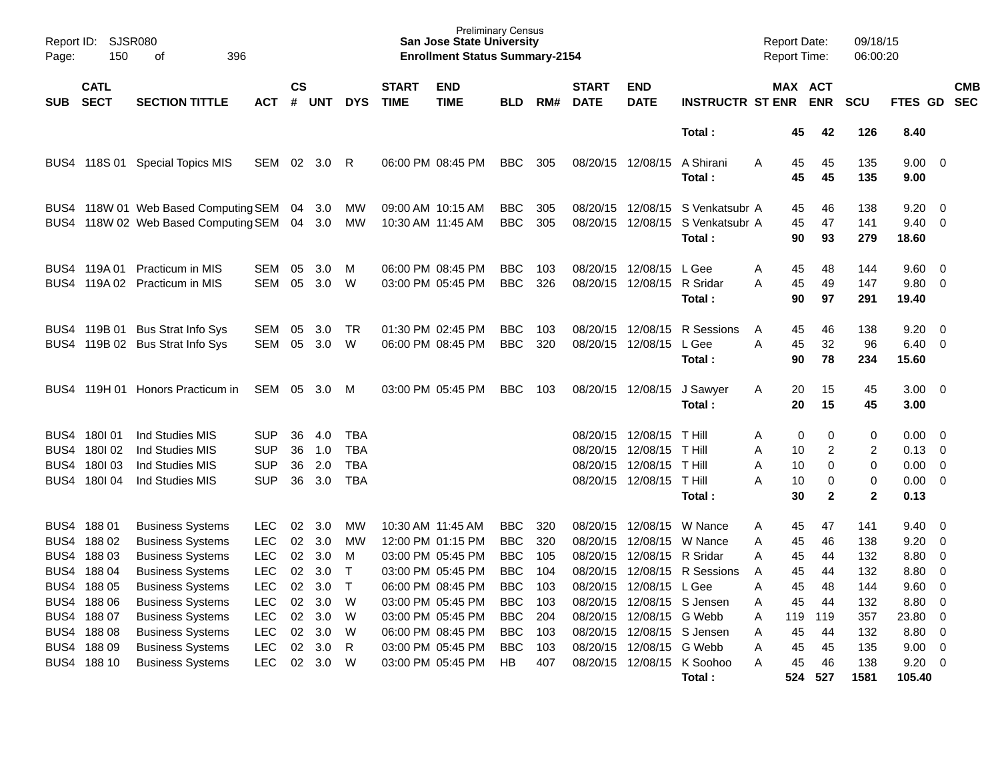| Report ID:<br>Page:                          | <b>SJSR080</b><br>150                              | 396<br>οf                                                                                                                                                      |                                                                    |                                  |                                        |                                                           |                             | <b>Preliminary Census</b><br><b>San Jose State University</b><br><b>Enrollment Status Summary-2154</b>                     |                                                                    |                                        |                                                                      |                                                                    |                                                                | Report Date:<br>Report Time:                                   |                                                 | 09/18/15<br>06:00:20                   |                                              |                                                                        |                          |
|----------------------------------------------|----------------------------------------------------|----------------------------------------------------------------------------------------------------------------------------------------------------------------|--------------------------------------------------------------------|----------------------------------|----------------------------------------|-----------------------------------------------------------|-----------------------------|----------------------------------------------------------------------------------------------------------------------------|--------------------------------------------------------------------|----------------------------------------|----------------------------------------------------------------------|--------------------------------------------------------------------|----------------------------------------------------------------|----------------------------------------------------------------|-------------------------------------------------|----------------------------------------|----------------------------------------------|------------------------------------------------------------------------|--------------------------|
| <b>SUB</b>                                   | <b>CATL</b><br><b>SECT</b>                         | <b>SECTION TITTLE</b>                                                                                                                                          | <b>ACT</b>                                                         | $\mathsf{cs}$<br>#               | <b>UNT</b>                             | <b>DYS</b>                                                | <b>START</b><br><b>TIME</b> | <b>END</b><br><b>TIME</b>                                                                                                  | <b>BLD</b>                                                         | RM#                                    | <b>START</b><br><b>DATE</b>                                          | <b>END</b><br><b>DATE</b>                                          | <b>INSTRUCTR ST ENR</b>                                        |                                                                | MAX ACT<br><b>ENR</b>                           | SCU                                    | <b>FTES GD</b>                               |                                                                        | <b>CMB</b><br><b>SEC</b> |
|                                              |                                                    |                                                                                                                                                                |                                                                    |                                  |                                        |                                                           |                             |                                                                                                                            |                                                                    |                                        |                                                                      |                                                                    | Total:                                                         | 45                                                             | 42                                              | 126                                    | 8.40                                         |                                                                        |                          |
| BUS4                                         | 118S 01                                            | <b>Special Topics MIS</b>                                                                                                                                      | SEM                                                                |                                  | 02 3.0                                 | R                                                         |                             | 06:00 PM 08:45 PM                                                                                                          | <b>BBC</b>                                                         | 305                                    |                                                                      | 08/20/15 12/08/15                                                  | A Shirani<br>Total:                                            | A<br>45<br>45                                                  | 45<br>45                                        | 135<br>135                             | 9.00<br>9.00                                 | - 0                                                                    |                          |
| BUS4<br>BUS4                                 |                                                    | 118W 01 Web Based Computing SEM<br>118W 02 Web Based Computing SEM                                                                                             |                                                                    | 04<br>04                         | 3.0<br>3.0                             | МW<br>МW                                                  |                             | 09:00 AM 10:15 AM<br>10:30 AM 11:45 AM                                                                                     | BBC<br>BBC                                                         | 305<br>305                             | 08/20/15                                                             | 12/08/15                                                           | S Venkatsubr A<br>08/20/15 12/08/15 S Venkatsubr A<br>Total:   | 45<br>45<br>90                                                 | 46<br>47<br>93                                  | 138<br>141<br>279                      | 9.20<br>9.40<br>18.60                        | $\mathbf 0$<br>$\overline{0}$                                          |                          |
|                                              | BUS4 119A01                                        | Practicum in MIS<br>BUS4 119A 02 Practicum in MIS                                                                                                              | <b>SEM</b><br>SEM                                                  | 05<br>05                         | 3.0<br>3.0                             | M<br>W                                                    |                             | 06:00 PM 08:45 PM<br>03:00 PM 05:45 PM                                                                                     | BBC<br>BBC                                                         | 103<br>326                             |                                                                      | 08/20/15 12/08/15<br>08/20/15 12/08/15 R Sridar                    | L Gee<br>Total:                                                | A<br>45<br>A<br>45<br>90                                       | 48<br>49<br>97                                  | 144<br>147<br>291                      | 9.60<br>9.80<br>19.40                        | $\overline{0}$<br>$\overline{0}$                                       |                          |
| BUS4                                         | BUS4 119B 01<br>119B 02                            | <b>Bus Strat Info Sys</b><br><b>Bus Strat Info Sys</b>                                                                                                         | <b>SEM</b><br>SEM                                                  | 05<br>05                         | 3.0<br>3.0                             | TR<br>W                                                   |                             | 01:30 PM 02:45 PM<br>06:00 PM 08:45 PM                                                                                     | BBC<br><b>BBC</b>                                                  | 103<br>320                             |                                                                      | 08/20/15 12/08/15<br>08/20/15 12/08/15 L Gee                       | R Sessions<br>Total :                                          | A<br>45<br>45<br>Α<br>90                                       | 46<br>32<br>78                                  | 138<br>96<br>234                       | 9.20<br>6.40<br>15.60                        | - 0<br>$\overline{0}$                                                  |                          |
|                                              |                                                    | BUS4 119H 01 Honors Practicum in                                                                                                                               | SEM                                                                |                                  | 05 3.0                                 | M                                                         |                             | 03:00 PM 05:45 PM                                                                                                          | <b>BBC</b>                                                         | 103                                    |                                                                      | 08/20/15 12/08/15                                                  | J Sawyer<br>Total:                                             | 20<br>Α<br>20                                                  | 15<br>15                                        | 45<br>45                               | 3.00 <sub>1</sub><br>3.00                    | $\overline{\phantom{0}}$                                               |                          |
| BUS4<br>BUS4<br>BUS4<br>BUS4                 | 180101<br>180102<br>180103<br>180I 04              | Ind Studies MIS<br>Ind Studies MIS<br>Ind Studies MIS<br>Ind Studies MIS                                                                                       | <b>SUP</b><br><b>SUP</b><br><b>SUP</b><br><b>SUP</b>               | 36<br>36<br>36<br>36             | 4.0<br>1.0<br>2.0<br>3.0               | <b>TBA</b><br><b>TBA</b><br><b>TBA</b><br><b>TBA</b>      |                             |                                                                                                                            |                                                                    |                                        | 08/20/15<br>08/20/15<br>08/20/15                                     | 12/08/15<br>12/08/15 T Hill<br>12/08/15<br>08/20/15 12/08/15       | <b>T</b> Hill<br>T Hill<br>T Hill<br>Total :                   | Α<br>A<br>10<br>A<br>10<br>Α<br>10<br>30                       | 0<br>0<br>2<br>0<br>$\mathbf 0$<br>$\mathbf{2}$ | 0<br>2<br>0<br>0<br>$\overline{2}$     | 0.00<br>0.13<br>0.00<br>0.00<br>0.13         | - 0<br>- 0<br>$\mathbf 0$<br>$\overline{0}$                            |                          |
| BUS4<br>BUS4<br>BUS4<br>BUS4<br>BUS4<br>BUS4 | 18801<br>18802<br>18803<br>18804<br>18805<br>18806 | <b>Business Systems</b><br><b>Business Systems</b><br><b>Business Systems</b><br><b>Business Systems</b><br><b>Business Systems</b><br><b>Business Systems</b> | <b>LEC</b><br><b>LEC</b><br>LEC<br><b>LEC</b><br><b>LEC</b><br>LEC | 02<br>02<br>02<br>02<br>02<br>02 | 3.0<br>3.0<br>3.0<br>3.0<br>3.0<br>3.0 | MW<br><b>MW</b><br>M<br>$\mathsf{T}$<br>$\mathsf{T}$<br>W |                             | 10:30 AM 11:45 AM<br>12:00 PM 01:15 PM<br>03:00 PM 05:45 PM<br>03:00 PM 05:45 PM<br>06:00 PM 08:45 PM<br>03:00 PM 05:45 PM | BBC<br>BBC<br><b>BBC</b><br><b>BBC</b><br><b>BBC</b><br><b>BBC</b> | 320<br>320<br>105<br>104<br>103<br>103 | 08/20/15<br>08/20/15<br>08/20/15<br>08/20/15<br>08/20/15<br>08/20/15 | 12/08/15<br>12/08/15<br>12/08/15 R Sridar<br>12/08/15<br>12/08/15  | W Nance<br>W Nance<br>R Sessions<br>L Gee<br>12/08/15 S Jensen | 45<br>Α<br>Α<br>45<br>Α<br>45<br>A<br>45<br>A<br>45<br>45<br>A | 47<br>46<br>44<br>44<br>48<br>44                | 141<br>138<br>132<br>132<br>144<br>132 | 9.40<br>9.20<br>8.80<br>8.80<br>9.60<br>8.80 | $\overline{0}$<br>$\mathbf 0$<br>-0<br>$\mathbf 0$<br>$\mathbf 0$<br>0 |                          |
| BUS4<br>BUS4                                 | 18807<br>BUS4 188 08<br>18809<br>BUS4 188 10       | <b>Business Systems</b><br><b>Business Systems</b><br><b>Business Systems</b><br><b>Business Systems</b>                                                       | LEC<br><b>LEC</b><br><b>LEC</b><br><b>LEC</b>                      | 02<br>02<br>02<br>02             | 3.0<br>3.0<br>3.0<br>3.0               | W<br>W<br>R<br>W                                          |                             | 03:00 PM 05:45 PM<br>06:00 PM 08:45 PM<br>03:00 PM 05:45 PM<br>03:00 PM 05:45 PM                                           | BBC<br><b>BBC</b><br>BBC<br><b>HB</b>                              | 204<br>103<br>103<br>407               | 08/20/15                                                             | 12/08/15 G Webb<br>08/20/15 12/08/15 S Jensen<br>08/20/15 12/08/15 | G Webb<br>08/20/15 12/08/15 K Soohoo<br>Total :                | Α<br>119<br>45<br>A<br>A<br>45<br>45<br>А<br>524               | 119<br>44<br>45<br>46<br>527                    | 357<br>132<br>135<br>138<br>1581       | 23.80<br>8.80<br>9.00<br>9.20<br>105.40      | $\overline{0}$<br>$\mathbf 0$<br>$\mathbf 0$<br>0                      |                          |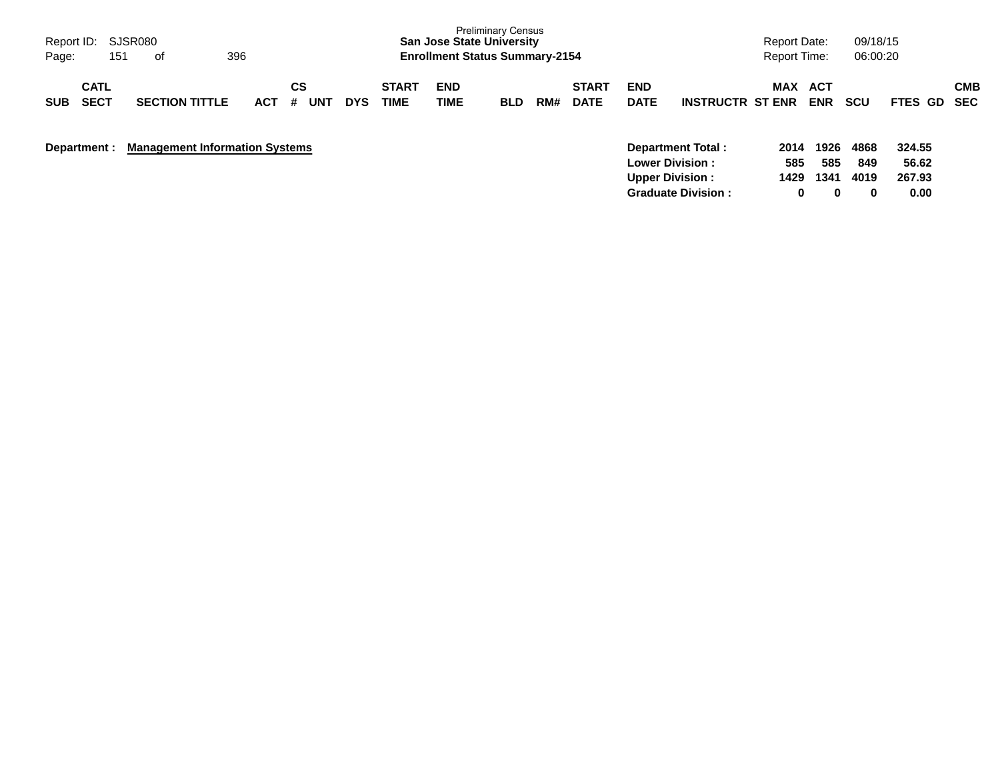| Report ID: SJSR080<br>Page: | 151                        | of                                    | 396        |         |     |            |                             | <b>San Jose State University</b><br><b>Enrollment Status Summary-2154</b> | <b>Preliminary Census</b> |     |                             |                           |                                                                               | <b>Report Date:</b><br><b>Report Time:</b> |                          | 09/18/15<br>06:00:20 |                           |            |
|-----------------------------|----------------------------|---------------------------------------|------------|---------|-----|------------|-----------------------------|---------------------------------------------------------------------------|---------------------------|-----|-----------------------------|---------------------------|-------------------------------------------------------------------------------|--------------------------------------------|--------------------------|----------------------|---------------------------|------------|
| <b>SUB</b>                  | <b>CATL</b><br><b>SECT</b> | <b>SECTION TITTLE</b>                 | <b>ACT</b> | СS<br># | UNT | <b>DYS</b> | <b>START</b><br><b>TIME</b> | <b>END</b><br>TIME                                                        | <b>BLD</b>                | RM# | <b>START</b><br><b>DATE</b> | <b>END</b><br><b>DATE</b> | <b>INSTRUCTR ST ENR</b>                                                       | <b>MAX</b>                                 | <b>ACT</b><br><b>ENR</b> | <b>SCU</b>           | <b>FTES GD SEC</b>        | <b>CMB</b> |
| Department :                |                            | <b>Management Information Systems</b> |            |         |     |            |                             |                                                                           |                           |     |                             |                           | <b>Department Total:</b><br><b>Lower Division:</b><br><b>Upper Division :</b> | 2014<br>585<br>1429                        | 1926<br>585<br>1341      | 4868<br>849<br>4019  | 324.55<br>56.62<br>267.93 |            |

**Graduate Division : 0 0 0 0.00**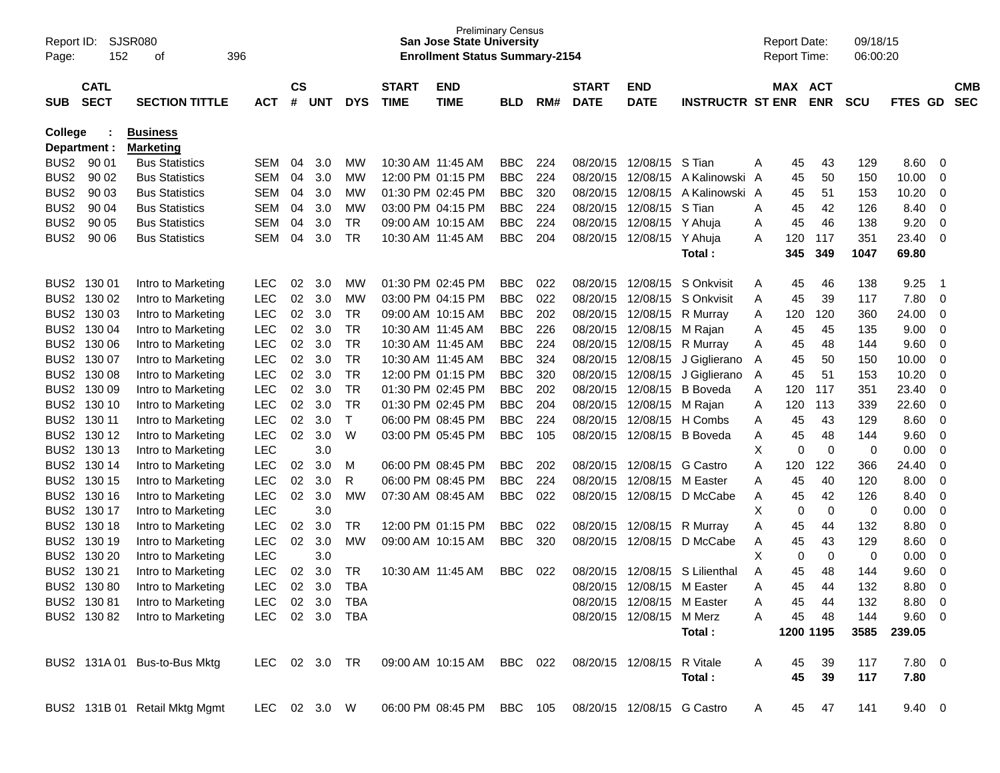| Report ID:<br>Page: | 152                        | SJSR080<br>οf                 | 396        |     |                |                |            |                             | <b>Preliminary Census</b><br><b>San Jose State University</b><br><b>Enrollment Status Summary-2154</b> |            |     |                             |                            |                         |   | <b>Report Date:</b><br><b>Report Time:</b> |            | 09/18/15<br>06:00:20 |                |                         |                          |
|---------------------|----------------------------|-------------------------------|------------|-----|----------------|----------------|------------|-----------------------------|--------------------------------------------------------------------------------------------------------|------------|-----|-----------------------------|----------------------------|-------------------------|---|--------------------------------------------|------------|----------------------|----------------|-------------------------|--------------------------|
| <b>SUB</b>          | <b>CATL</b><br><b>SECT</b> | <b>SECTION TITTLE</b>         |            | ACT | <b>CS</b><br># | <b>UNT</b>     | <b>DYS</b> | <b>START</b><br><b>TIME</b> | <b>END</b><br><b>TIME</b>                                                                              | BLD        | RM# | <b>START</b><br><b>DATE</b> | <b>END</b><br><b>DATE</b>  | <b>INSTRUCTR ST ENR</b> |   | MAX ACT                                    | <b>ENR</b> | <b>SCU</b>           | <b>FTES GD</b> |                         | <b>CMB</b><br><b>SEC</b> |
| College             |                            | <b>Business</b>               |            |     |                |                |            |                             |                                                                                                        |            |     |                             |                            |                         |   |                                            |            |                      |                |                         |                          |
|                     | Department :               | <b>Marketing</b>              |            |     |                |                |            |                             |                                                                                                        |            |     |                             |                            |                         |   |                                            |            |                      |                |                         |                          |
| BUS <sub>2</sub>    | 90 01                      | <b>Bus Statistics</b>         |            | SEM | 04             | 3.0            | MW         | 10:30 AM 11:45 AM           |                                                                                                        | <b>BBC</b> | 224 | 08/20/15                    | 12/08/15 S Tian            |                         | A | 45                                         | 43         | 129                  | 8.60           | 0                       |                          |
| BUS <sub>2</sub>    | 90 02                      | <b>Bus Statistics</b>         |            | SEM | 04             | 3.0            | MW         |                             | 12:00 PM 01:15 PM                                                                                      | <b>BBC</b> | 224 | 08/20/15                    | 12/08/15                   | A Kalinowski A          |   | 45                                         | 50         | 150                  | 10.00          | 0                       |                          |
| BUS <sub>2</sub>    | 90 03                      | <b>Bus Statistics</b>         |            | SEM | 04             | 3.0            | MW         |                             | 01:30 PM 02:45 PM                                                                                      | <b>BBC</b> | 320 | 08/20/15                    | 12/08/15                   | A Kalinowski A          |   | 45                                         | 51         | 153                  | 10.20          | 0                       |                          |
| BUS <sub>2</sub>    | 90 04                      | <b>Bus Statistics</b>         |            | SEM | 04             | 3.0            | MW         |                             | 03:00 PM 04:15 PM                                                                                      | <b>BBC</b> | 224 | 08/20/15                    | 12/08/15                   | S Tian                  | Α | 45                                         | 42         | 126                  | 8.40           | 0                       |                          |
| BUS <sub>2</sub>    | 90 05                      | <b>Bus Statistics</b>         |            | SEM | 04             | 3.0            | <b>TR</b>  |                             | 09:00 AM 10:15 AM                                                                                      | <b>BBC</b> | 224 | 08/20/15                    | 12/08/15 Y Ahuja           |                         | A | 45                                         | 46         | 138                  | 9.20           | 0                       |                          |
| BUS <sub>2</sub>    | 90 06                      | <b>Bus Statistics</b>         |            | SEM | 04             | 3.0            | <b>TR</b>  | 10:30 AM 11:45 AM           |                                                                                                        | <b>BBC</b> | 204 | 08/20/15                    | 12/08/15 Y Ahuja           | Total:                  | A | 120<br>345                                 | 117<br>349 | 351<br>1047          | 23.40<br>69.80 | 0                       |                          |
|                     | BUS2 130 01                | Intro to Marketing            | <b>LEC</b> |     | 02             | 3.0            | МW         |                             | 01:30 PM 02:45 PM                                                                                      | <b>BBC</b> | 022 | 08/20/15                    |                            | 12/08/15 S Onkvisit     | A | 45                                         | 46         | 138                  | 9.25           | -1                      |                          |
| BUS <sub>2</sub>    | 130 02                     | Intro to Marketing            | <b>LEC</b> |     | 02             | 3.0            | MW         |                             | 03:00 PM 04:15 PM                                                                                      | <b>BBC</b> | 022 | 08/20/15                    | 12/08/15                   | S Onkvisit              | Α | 45                                         | 39         | 117                  | 7.80           | 0                       |                          |
| BUS <sub>2</sub>    | 130 03                     | Intro to Marketing            | <b>LEC</b> |     | 02             | 3.0            | <b>TR</b>  |                             | 09:00 AM 10:15 AM                                                                                      | <b>BBC</b> | 202 | 08/20/15                    | 12/08/15                   | R Murray                | A | 120                                        | 120        | 360                  | 24.00          | 0                       |                          |
| BUS <sub>2</sub>    | 130 04                     | Intro to Marketing            | <b>LEC</b> |     | 02             | 3.0            | <b>TR</b>  | 10:30 AM 11:45 AM           |                                                                                                        | <b>BBC</b> | 226 | 08/20/15                    | 12/08/15 M Rajan           |                         | Α | 45                                         | 45         | 135                  | 9.00           | 0                       |                          |
| BUS <sub>2</sub>    | 130 06                     | Intro to Marketing            | <b>LEC</b> |     | 02             | 3.0            | <b>TR</b>  | 10:30 AM 11:45 AM           |                                                                                                        | <b>BBC</b> | 224 | 08/20/15                    | 12/08/15                   | R Murray                | Α | 45                                         | 48         | 144                  | 9.60           | 0                       |                          |
| BUS <sub>2</sub>    | 130 07                     | Intro to Marketing            | <b>LEC</b> |     | 02             | 3.0            | <b>TR</b>  | 10:30 AM 11:45 AM           |                                                                                                        | <b>BBC</b> | 324 | 08/20/15                    |                            | 12/08/15 J Giglierano   | A | 45                                         | 50         | 150                  | 10.00          | 0                       |                          |
| BUS <sub>2</sub>    | 130 08                     | Intro to Marketing            | <b>LEC</b> |     | 02             | 3.0            | <b>TR</b>  |                             | 12:00 PM 01:15 PM                                                                                      | <b>BBC</b> | 320 | 08/20/15                    |                            | 12/08/15 J Giglierano   | A | 45                                         | 51         | 153                  | 10.20          | 0                       |                          |
| BUS <sub>2</sub>    | 130 09                     | Intro to Marketing            | <b>LEC</b> |     | 02             | 3.0            | <b>TR</b>  |                             | 01:30 PM 02:45 PM                                                                                      | <b>BBC</b> | 202 | 08/20/15                    | 12/08/15                   | <b>B</b> Boveda         | Α | 120                                        | 117        | 351                  | 23.40          | 0                       |                          |
| BUS <sub>2</sub>    | 130 10                     | Intro to Marketing            | <b>LEC</b> |     | 02             | 3.0            | <b>TR</b>  |                             | 01:30 PM 02:45 PM                                                                                      | <b>BBC</b> | 204 | 08/20/15                    | 12/08/15 M Rajan           |                         | Α | 120                                        | 113        | 339                  | 22.60          | 0                       |                          |
| BUS <sub>2</sub>    | 130 11                     | Intro to Marketing            | <b>LEC</b> |     | 02             | 3.0            | $\top$     |                             | 06:00 PM 08:45 PM                                                                                      | <b>BBC</b> | 224 | 08/20/15                    |                            | 12/08/15 H Combs        | Α | 45                                         | 43         | 129                  | 8.60           | 0                       |                          |
| BUS <sub>2</sub>    | 130 12                     | Intro to Marketing            | <b>LEC</b> |     | 02             | 3.0            | W          |                             | 03:00 PM 05:45 PM                                                                                      | <b>BBC</b> | 105 | 08/20/15                    |                            | 12/08/15 B Boveda       | A | 45                                         | 48         | 144                  | 9.60           | 0                       |                          |
| BUS <sub>2</sub>    | 130 13                     | Intro to Marketing            | <b>LEC</b> |     |                | 3.0            |            |                             |                                                                                                        |            |     |                             |                            |                         | X | 0                                          | 0          | 0                    | 0.00           | 0                       |                          |
| BUS <sub>2</sub>    | 130 14                     | Intro to Marketing            | <b>LEC</b> |     | 02             | 3.0            | м          |                             | 06:00 PM 08:45 PM                                                                                      | <b>BBC</b> | 202 | 08/20/15                    | 12/08/15                   | <b>G</b> Castro         | Α | 120                                        | 122        | 366                  | 24.40          | 0                       |                          |
| BUS <sub>2</sub>    | 130 15                     | Intro to Marketing            | <b>LEC</b> |     | 02             | 3.0            | R          |                             | 06:00 PM 08:45 PM                                                                                      | <b>BBC</b> | 224 | 08/20/15                    | 12/08/15 M Easter          |                         | Α | 45                                         | 40         | 120                  | 8.00           | 0                       |                          |
| BUS <sub>2</sub>    | 130 16                     | Intro to Marketing            | <b>LEC</b> |     | 02             | 3.0            | MW         |                             | 07:30 AM 08:45 AM                                                                                      | <b>BBC</b> | 022 | 08/20/15                    |                            | 12/08/15 D McCabe       | A | 45                                         | 42         | 126                  | 8.40           | 0                       |                          |
| BUS <sub>2</sub>    | 130 17                     | Intro to Marketing            | <b>LEC</b> |     |                | 3.0            |            |                             |                                                                                                        |            |     |                             |                            |                         | X | 0                                          | 0          | 0                    | 0.00           | 0                       |                          |
| BUS <sub>2</sub>    | 130 18                     | Intro to Marketing            | <b>LEC</b> |     | 02             | 3.0            | TR         |                             | 12:00 PM 01:15 PM                                                                                      | <b>BBC</b> | 022 | 08/20/15                    | 12/08/15                   | R Murray                | Α | 45                                         | 44         | 132                  | 8.80           | 0                       |                          |
| BUS <sub>2</sub>    | 130 19                     | Intro to Marketing            | <b>LEC</b> |     | $02\,$         | 3.0            | MW         |                             | 09:00 AM 10:15 AM                                                                                      | <b>BBC</b> | 320 | 08/20/15                    | 12/08/15                   | D McCabe                | Α | 45                                         | 43         | 129                  | 8.60           | 0                       |                          |
| BUS <sub>2</sub>    | 130 20                     | Intro to Marketing            | <b>LEC</b> |     |                | 3.0            |            |                             |                                                                                                        |            |     |                             |                            |                         | х | 0                                          | 0          | 0                    | 0.00           | 0                       |                          |
| BUS <sub>2</sub>    | 130 21                     | Intro to Marketing            | <b>LEC</b> |     | 02             | 3.0            | TR         | 10:30 AM 11:45 AM           |                                                                                                        | <b>BBC</b> | 022 | 08/20/15                    | 12/08/15                   | S Lilienthal            | A | 45                                         | 48         | 144                  | 9.60           | 0                       |                          |
|                     | BUS2 130 80                | Intro to Marketing            | <b>LEC</b> |     | 02             | 3.0            | <b>TBA</b> |                             |                                                                                                        |            |     | 08/20/15                    | 12/08/15 M Easter          |                         | Α | 45                                         | 44         | 132                  | 8.80           | 0                       |                          |
|                     | BUS2 130 81                | Intro to Marketing            |            |     |                | LEC 02 3.0     | TBA        |                             |                                                                                                        |            |     |                             | 08/20/15 12/08/15 M Easter |                         |   | 45                                         | 44         | 132                  | 8.80           | $\overline{\mathbf{0}}$ |                          |
|                     | BUS2 130 82                | Intro to Marketing            |            |     |                | LEC 02 3.0 TBA |            |                             |                                                                                                        |            |     |                             | 08/20/15 12/08/15 M Merz   |                         | A | 45                                         | 48         | 144                  | 9.60           | - 0                     |                          |
|                     |                            |                               |            |     |                |                |            |                             |                                                                                                        |            |     |                             |                            | Total:                  |   | 1200 1195                                  |            | 3585                 | 239.05         |                         |                          |
|                     |                            | BUS2 131A 01 Bus-to-Bus Mktg  |            |     |                | LEC 02 3.0 TR  |            |                             | 09:00 AM 10:15 AM BBC 022                                                                              |            |     |                             | 08/20/15 12/08/15 R Vitale |                         | A | 45                                         | 39         | 117                  | 7.80 0         |                         |                          |
|                     |                            |                               |            |     |                |                |            |                             |                                                                                                        |            |     |                             |                            | Total:                  |   | 45                                         | 39         | 117                  | 7.80           |                         |                          |
|                     |                            | BUS2 131B 01 Retail Mktg Mgmt |            |     |                | LEC 02 3.0 W   |            |                             | 06:00 PM 08:45 PM BBC 105                                                                              |            |     |                             | 08/20/15 12/08/15 G Castro |                         | A | 45                                         | 47         | 141                  | $9.40 \quad 0$ |                         |                          |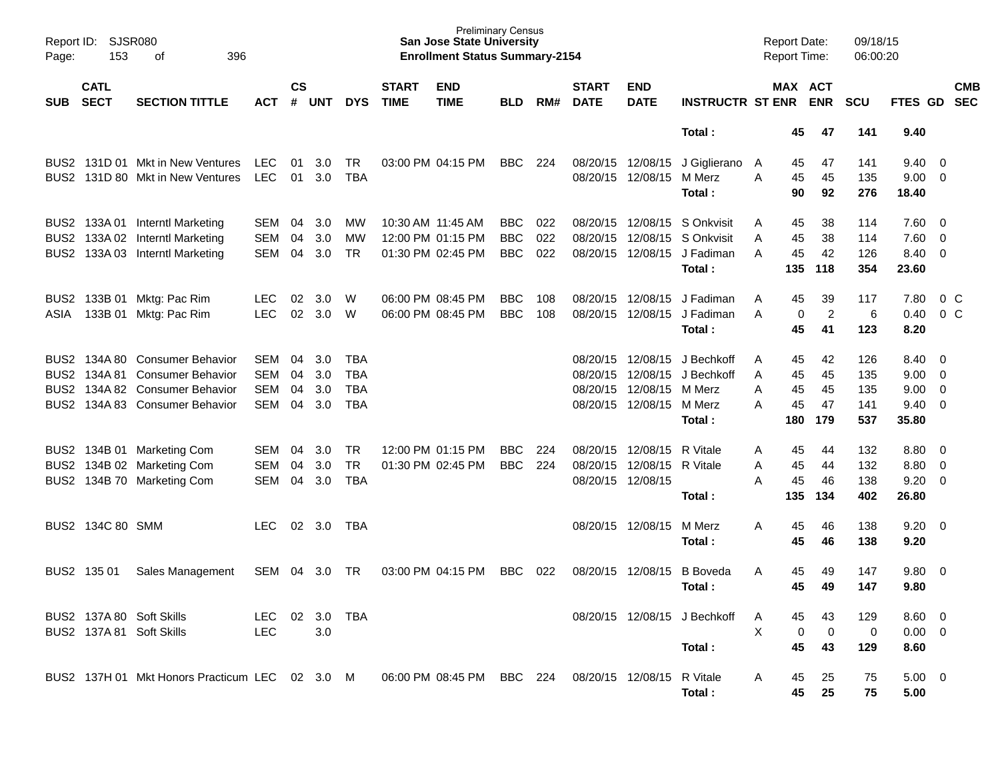| Page:      | Report ID: SJSR080<br>153  | 396<br>оf                                                                                                                            |                                 |                      |                          |                                               |                                                             | <b>Preliminary Census</b><br><b>San Jose State University</b><br><b>Enrollment Status Summary-2154</b> |                                        |                   |                                                             |                                                                           |                                                                                     |                  | <b>Report Date:</b><br>Report Time: |                             | 09/18/15<br>06:00:20            |                                          |                                                           |            |
|------------|----------------------------|--------------------------------------------------------------------------------------------------------------------------------------|---------------------------------|----------------------|--------------------------|-----------------------------------------------|-------------------------------------------------------------|--------------------------------------------------------------------------------------------------------|----------------------------------------|-------------------|-------------------------------------------------------------|---------------------------------------------------------------------------|-------------------------------------------------------------------------------------|------------------|-------------------------------------|-----------------------------|---------------------------------|------------------------------------------|-----------------------------------------------------------|------------|
| <b>SUB</b> | <b>CATL</b><br><b>SECT</b> | <b>SECTION TITTLE</b>                                                                                                                | <b>ACT</b>                      | $\mathsf{cs}$<br>#   | <b>UNT</b>               | <b>DYS</b>                                    | <b>START</b><br><b>TIME</b>                                 | <b>END</b><br><b>TIME</b>                                                                              | BLD                                    | RM#               | <b>START</b><br><b>DATE</b>                                 | <b>END</b><br><b>DATE</b>                                                 | <b>INSTRUCTR ST ENR</b>                                                             |                  |                                     | MAX ACT<br><b>ENR</b>       | <b>SCU</b>                      | FTES GD SEC                              |                                                           | <b>CMB</b> |
|            |                            |                                                                                                                                      |                                 |                      |                          |                                               |                                                             |                                                                                                        |                                        |                   |                                                             |                                                                           | Total:                                                                              |                  | 45                                  | 47                          | 141                             | 9.40                                     |                                                           |            |
|            |                            | BUS2 131D 01 Mkt in New Ventures<br>BUS2 131D 80 Mkt in New Ventures                                                                 | <b>LEC</b><br><b>LEC</b>        | 01<br>01             | 3.0<br>3.0               | TR<br><b>TBA</b>                              | 03:00 PM 04:15 PM                                           |                                                                                                        | <b>BBC</b>                             | 224               | 08/20/15 12/08/15                                           | 08/20/15 12/08/15                                                         | J Giglierano<br>M Merz<br>Total:                                                    | A<br>A           | 45<br>45<br>90                      | 47<br>45<br>92              | 141<br>135<br>276               | 9.40<br>9.00<br>18.40                    | - 0<br>$\overline{0}$                                     |            |
|            |                            | BUS2 133A 01 Interntl Marketing<br>BUS2 133A 02 Interntl Marketing<br>BUS2 133A 03 Interntl Marketing                                | SEM<br><b>SEM</b><br><b>SEM</b> | 04<br>04<br>04       | 3.0<br>3.0<br>3.0        | <b>MW</b><br>MW<br><b>TR</b>                  | 10:30 AM 11:45 AM<br>12:00 PM 01:15 PM<br>01:30 PM 02:45 PM |                                                                                                        | <b>BBC</b><br><b>BBC</b><br><b>BBC</b> | 022<br>022<br>022 |                                                             | 08/20/15 12/08/15                                                         | S Onkvisit<br>08/20/15 12/08/15 S Onkvisit<br>08/20/15 12/08/15 J Fadiman<br>Total: | Α<br>A<br>A      | 45<br>45<br>45<br>135               | 38<br>38<br>42<br>118       | 114<br>114<br>126<br>354        | 7.60<br>7.60<br>8.40<br>23.60            | - 0<br>$\overline{\mathbf{0}}$<br>$\overline{\mathbf{0}}$ |            |
| ASIA       |                            | BUS2 133B 01 Mktg: Pac Rim<br>133B 01 Mktg: Pac Rim                                                                                  | <b>LEC</b><br><b>LEC</b>        | 02<br>02             | 3.0<br>3.0               | W<br>W                                        | 06:00 PM 08:45 PM<br>06:00 PM 08:45 PM                      |                                                                                                        | <b>BBC</b><br><b>BBC</b>               | 108<br>108        |                                                             | 08/20/15 12/08/15<br>08/20/15 12/08/15                                    | J Fadiman<br>J Fadiman<br>Total:                                                    | A<br>A           | 45<br>0<br>45                       | 39<br>$\overline{2}$<br>41  | 117<br>6<br>123                 | 7.80<br>0.40<br>8.20                     | 0 <sup>C</sup><br>0 <sup>o</sup>                          |            |
|            |                            | BUS2 134A 80 Consumer Behavior<br>BUS2 134A 81 Consumer Behavior<br>BUS2 134A 82 Consumer Behavior<br>BUS2 134A 83 Consumer Behavior | SEM<br>SEM<br><b>SEM</b><br>SEM | 04<br>04<br>04<br>04 | 3.0<br>3.0<br>3.0<br>3.0 | TBA<br><b>TBA</b><br><b>TBA</b><br><b>TBA</b> |                                                             |                                                                                                        |                                        |                   | 08/20/15 12/08/15                                           | 08/20/15 12/08/15<br>08/20/15 12/08/15 M Merz<br>08/20/15 12/08/15 M Merz | J Bechkoff<br>J Bechkoff<br>Total:                                                  | A<br>A<br>Α<br>A | 45<br>45<br>45<br>45<br>180         | 42<br>45<br>45<br>47<br>179 | 126<br>135<br>135<br>141<br>537 | 8.40<br>9.00<br>9.00<br>9.40<br>35.80    | - 0<br>$\overline{\mathbf{0}}$<br>$\overline{0}$<br>- 0   |            |
|            |                            | BUS2 134B 01 Marketing Com<br>BUS2 134B 02 Marketing Com<br>BUS2 134B 70 Marketing Com                                               | SEM<br>SEM<br><b>SEM</b>        | 04<br>04<br>04       | 3.0<br>3.0<br>3.0        | <b>TR</b><br><b>TR</b><br><b>TBA</b>          | 12:00 PM 01:15 PM                                           | 01:30 PM 02:45 PM                                                                                      | <b>BBC</b><br><b>BBC</b>               | 224<br>224        | 08/20/15 12/08/15<br>08/20/15 12/08/15<br>08/20/15 12/08/15 |                                                                           | R Vitale<br>R Vitale<br>Total:                                                      | A<br>A<br>Α      | 45<br>45<br>45<br>135               | 44<br>44<br>46<br>134       | 132<br>132<br>138<br>402        | 8.80<br>8.80<br>9.20<br>26.80            | - 0<br>0<br>- 0                                           |            |
|            | BUS2 134C 80 SMM           |                                                                                                                                      | LEC                             | 02                   | 3.0                      | TBA                                           |                                                             |                                                                                                        |                                        |                   | 08/20/15 12/08/15                                           |                                                                           | M Merz<br>Total:                                                                    | A                | 45<br>45                            | 46<br>46                    | 138<br>138                      | 9.20<br>9.20                             | $\overline{\mathbf{0}}$                                   |            |
| BUS2       | 135 01                     | Sales Management                                                                                                                     | SEM                             | 04                   | 3.0                      | TR                                            | 03:00 PM 04:15 PM                                           |                                                                                                        | <b>BBC</b>                             | 022               | 08/20/15 12/08/15                                           |                                                                           | <b>B</b> Boveda<br>Total:                                                           | A                | 45<br>45                            | 49<br>49                    | 147<br>147                      | 9.80<br>9.80                             | $\overline{\mathbf{0}}$                                   |            |
|            |                            | BUS2 137A 80 Soft Skills<br>BUS2 137A 81 Soft Skills                                                                                 | LEC.<br><b>LEC</b>              |                      | $02 \quad 3.0$<br>3.0    | TBA                                           |                                                             |                                                                                                        |                                        |                   |                                                             |                                                                           | 08/20/15 12/08/15 J Bechkoff<br>Total:                                              | A<br>X           | 45<br>0<br>45                       | $\mathbf 0$<br>43           | 129<br>0<br>129                 | $8.60 \quad 0$<br>$0.00 \quad 0$<br>8.60 |                                                           |            |
|            |                            | BUS2 137H 01 Mkt Honors Practicum LEC 02 3.0 M 06:00 PM 08:45 PM BBC 224                                                             |                                 |                      |                          |                                               |                                                             |                                                                                                        |                                        |                   |                                                             | 08/20/15 12/08/15 R Vitale                                                | Total:                                                                              | A                | 45<br>45                            | 25<br>25                    | 75<br>75                        | $5.00 \quad 0$<br>5.00                   |                                                           |            |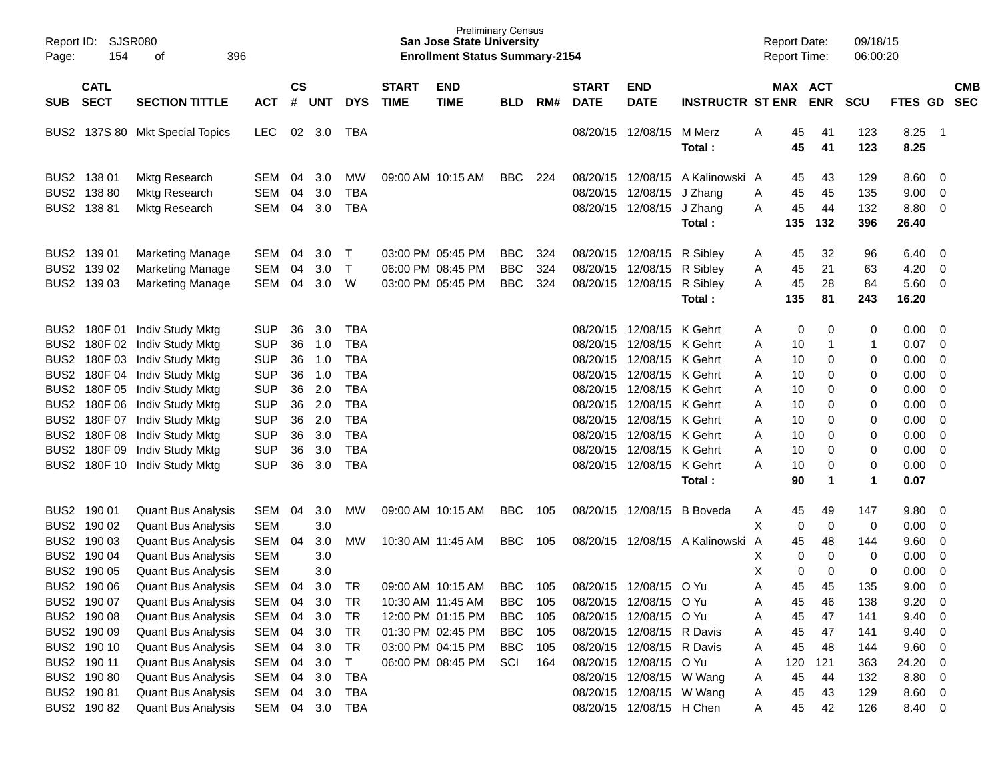| Report ID:<br>Page: | <b>SJSR080</b><br>154      | 396<br>оf                                              |                |                    |            |              |                             | <b>Preliminary Census</b><br><b>San Jose State University</b><br><b>Enrollment Status Summary-2154</b> |            |     |                             |                           |                         |   | <b>Report Date:</b> | <b>Report Time:</b>   | 09/18/15<br>06:00:20 |                  |                            |            |
|---------------------|----------------------------|--------------------------------------------------------|----------------|--------------------|------------|--------------|-----------------------------|--------------------------------------------------------------------------------------------------------|------------|-----|-----------------------------|---------------------------|-------------------------|---|---------------------|-----------------------|----------------------|------------------|----------------------------|------------|
| SUB                 | <b>CATL</b><br><b>SECT</b> | <b>SECTION TITTLE</b>                                  | <b>ACT</b>     | $\mathsf{cs}$<br># | <b>UNT</b> | <b>DYS</b>   | <b>START</b><br><b>TIME</b> | <b>END</b><br><b>TIME</b>                                                                              | <b>BLD</b> | RM# | <b>START</b><br><b>DATE</b> | <b>END</b><br><b>DATE</b> | <b>INSTRUCTR ST ENR</b> |   |                     | MAX ACT<br><b>ENR</b> | <b>SCU</b>           | FTES GD SEC      |                            | <b>CMB</b> |
|                     |                            | BUS2 137S 80 Mkt Special Topics                        | <b>LEC</b>     | 02                 | 3.0        | TBA          |                             |                                                                                                        |            |     |                             | 08/20/15 12/08/15         | M Merz<br>Total:        | Α | 45<br>45            | 41<br>41              | 123<br>123           | 8.25<br>8.25     | $\overline{\phantom{0}}$ 1 |            |
|                     | BUS2 138 01                | Mktg Research                                          | <b>SEM</b>     | 04                 | 3.0        | MW           |                             | 09:00 AM 10:15 AM                                                                                      | BBC        | 224 |                             | 08/20/15 12/08/15         | A Kalinowski A          |   | 45                  | 43                    | 129                  | 8.60             | $\overline{0}$             |            |
|                     | BUS2 138 80                | Mktg Research                                          | <b>SEM</b>     | 04                 | 3.0        | <b>TBA</b>   |                             |                                                                                                        |            |     |                             | 08/20/15 12/08/15         | J Zhang                 | Α | 45                  | 45                    | 135                  | 9.00             | 0                          |            |
|                     | BUS2 138 81                | Mktg Research                                          | <b>SEM</b>     | 04                 | 3.0        | <b>TBA</b>   |                             |                                                                                                        |            |     |                             | 08/20/15 12/08/15         | J Zhang                 | Α | 45                  | 44                    | 132                  | 8.80             | $\overline{0}$             |            |
|                     |                            |                                                        |                |                    |            |              |                             |                                                                                                        |            |     |                             |                           | Total:                  |   | 135                 | 132                   | 396                  | 26.40            |                            |            |
|                     | BUS2 139 01                | <b>Marketing Manage</b>                                | <b>SEM</b>     | 04                 | 3.0        | $\top$       |                             | 03:00 PM 05:45 PM                                                                                      | <b>BBC</b> | 324 |                             | 08/20/15 12/08/15         | R Sibley                | Α | 45                  | 32                    | 96                   | 6.40             | $\overline{0}$             |            |
|                     | BUS2 139 02                | <b>Marketing Manage</b>                                | <b>SEM</b>     | 04                 | 3.0        | $\mathsf{T}$ |                             | 06:00 PM 08:45 PM                                                                                      | <b>BBC</b> | 324 |                             | 08/20/15 12/08/15         | R Sibley                | Α | 45                  | 21                    | 63                   | 4.20             | $\overline{0}$             |            |
|                     | BUS2 139 03                | <b>Marketing Manage</b>                                | <b>SEM</b>     | 04                 | 3.0        | W            |                             | 03:00 PM 05:45 PM                                                                                      | <b>BBC</b> | 324 |                             | 08/20/15 12/08/15         | R Sibley                | A | 45                  | 28                    | 84                   | 5.60             | $\overline{\mathbf{0}}$    |            |
|                     |                            |                                                        |                |                    |            |              |                             |                                                                                                        |            |     |                             |                           | Total:                  |   | 135                 | 81                    | 243                  | 16.20            |                            |            |
|                     |                            | BUS2 180F 01 Indiv Study Mktg                          | <b>SUP</b>     | 36                 | 3.0        | <b>TBA</b>   |                             |                                                                                                        |            |     |                             | 08/20/15 12/08/15 K Gehrt |                         | Α | 0                   | 0                     | 0                    | 0.00             | - 0                        |            |
|                     |                            | BUS2 180F 02 Indiv Study Mktg                          | <b>SUP</b>     | 36                 | 1.0        | <b>TBA</b>   |                             |                                                                                                        |            |     |                             | 08/20/15 12/08/15 K Gehrt |                         | Α | 10                  |                       | $\mathbf{1}$         | 0.07             | 0                          |            |
|                     |                            | BUS2 180F 03 Indiv Study Mktg                          | <b>SUP</b>     | 36                 | 1.0        | <b>TBA</b>   |                             |                                                                                                        |            |     |                             | 08/20/15 12/08/15 K Gehrt |                         | Α | 10                  | 0                     | 0                    | 0.00             | 0                          |            |
|                     |                            | BUS2 180F 04 Indiv Study Mktg                          | <b>SUP</b>     | 36                 | 1.0        | <b>TBA</b>   |                             |                                                                                                        |            |     |                             | 08/20/15 12/08/15 K Gehrt |                         | A | 10                  | 0                     | 0                    | 0.00             | 0                          |            |
|                     |                            | BUS2 180F 05 Indiv Study Mktg                          | <b>SUP</b>     | 36                 | 2.0        | <b>TBA</b>   |                             |                                                                                                        |            |     |                             | 08/20/15 12/08/15 K Gehrt |                         | A | 10                  | 0                     | 0                    | 0.00             | 0                          |            |
|                     |                            | BUS2 180F 06 Indiv Study Mktg                          | <b>SUP</b>     | 36                 | 2.0        | <b>TBA</b>   |                             |                                                                                                        |            |     |                             | 08/20/15 12/08/15 K Gehrt |                         | Α | 10                  | 0                     | 0                    | 0.00             | $\mathbf 0$                |            |
|                     |                            | BUS2 180F 07 Indiv Study Mktg                          | <b>SUP</b>     | 36                 | 2.0        | <b>TBA</b>   |                             |                                                                                                        |            |     |                             | 08/20/15 12/08/15 K Gehrt |                         | A | 10                  | 0                     | 0                    | 0.00             | 0                          |            |
|                     |                            | BUS2 180F 08 Indiv Study Mktg                          | <b>SUP</b>     | 36                 | 3.0        | <b>TBA</b>   |                             |                                                                                                        |            |     |                             | 08/20/15 12/08/15 K Gehrt |                         | A | 10                  | 0                     | 0                    | 0.00             | 0                          |            |
|                     | BUS2 180F 09               | Indiv Study Mktg                                       | <b>SUP</b>     | 36                 | 3.0        | <b>TBA</b>   |                             |                                                                                                        |            |     |                             | 08/20/15 12/08/15 K Gehrt |                         | Α | 10                  | 0                     | 0                    | 0.00             | 0                          |            |
|                     | BUS2 180F 10               | Indiv Study Mktg                                       | <b>SUP</b>     | 36                 | 3.0        | <b>TBA</b>   |                             |                                                                                                        |            |     |                             | 08/20/15 12/08/15 K Gehrt |                         | А | 10                  | 0                     | 0                    | 0.00             | $\overline{0}$             |            |
|                     |                            |                                                        |                |                    |            |              |                             |                                                                                                        |            |     |                             |                           | Total:                  |   | 90                  | $\mathbf 1$           | 1                    | 0.07             |                            |            |
|                     | BUS2 190 01                | <b>Quant Bus Analysis</b>                              | <b>SEM</b>     | 04                 | 3.0        | МW           |                             | 09:00 AM 10:15 AM                                                                                      | <b>BBC</b> | 105 |                             | 08/20/15 12/08/15         | <b>B</b> Boveda         | A | 45                  | 49                    | 147                  | 9.80             | 0                          |            |
|                     | BUS2 190 02                | <b>Quant Bus Analysis</b>                              | <b>SEM</b>     |                    | 3.0        |              |                             |                                                                                                        |            |     |                             |                           |                         | X | $\mathbf 0$         | $\mathbf 0$           | 0                    | 0.00             | 0                          |            |
|                     | BUS2 190 03                | <b>Quant Bus Analysis</b>                              | <b>SEM</b>     | 04                 | 3.0        | MW           |                             | 10:30 AM 11:45 AM                                                                                      | <b>BBC</b> | 105 |                             | 08/20/15 12/08/15         | A Kalinowski            | A | 45                  | 48                    | 144                  | 9.60             | 0                          |            |
|                     | BUS2 190 04                | <b>Quant Bus Analysis</b>                              | <b>SEM</b>     |                    | 3.0        |              |                             |                                                                                                        |            |     |                             |                           |                         | Χ | 0                   | $\mathbf 0$           | 0                    | 0.00             | 0                          |            |
|                     | BUS2 190 05                | <b>Quant Bus Analysis</b>                              | <b>SEM</b>     |                    | 3.0        |              |                             |                                                                                                        |            |     |                             |                           |                         | X | 0                   | 0                     | 0                    | 0.00             | 0                          |            |
|                     | BUS2 190 06                | <b>Quant Bus Analysis</b>                              | <b>SEM</b>     | 04                 | 3.0        | TR           |                             | 09:00 AM 10:15 AM                                                                                      | <b>BBC</b> | 105 |                             | 08/20/15 12/08/15 O Yu    |                         | A | 45                  | 45                    | 135                  | 9.00             | 0                          |            |
|                     | BUS2 190 07                | <b>Quant Bus Analysis</b>                              | SEM            | 04                 | 3.0        | TR           |                             | 10:30 AM 11:45 AM                                                                                      | BBC        | 105 |                             | 08/20/15 12/08/15 O Yu    |                         | Α | 45                  | 46                    | 138                  | 9.20             | $\overline{\mathbf{0}}$    |            |
|                     | BUS2 190 08                | <b>Quant Bus Analysis</b>                              | <b>SEM</b>     | 04                 | 3.0        | TR           |                             | 12:00 PM 01:15 PM                                                                                      | <b>BBC</b> | 105 |                             | 08/20/15 12/08/15 O Yu    |                         | A | 45                  | 47                    | 141                  | 9.40             | $\overline{\phantom{0}}$   |            |
|                     | BUS2 190 09                | <b>Quant Bus Analysis</b>                              | SEM            |                    | 04 3.0     | TR           |                             | 01:30 PM 02:45 PM                                                                                      | <b>BBC</b> | 105 |                             | 08/20/15 12/08/15 R Davis |                         | A | 45                  | 47                    | 141                  | $9.40 \quad 0$   |                            |            |
|                     | BUS2 190 10                | <b>Quant Bus Analysis</b>                              | SEM            | 04                 | 3.0        | TR           |                             | 03:00 PM 04:15 PM                                                                                      | <b>BBC</b> | 105 |                             | 08/20/15 12/08/15 R Davis |                         | A | 45                  | 48                    | 144                  | 9.60 0           |                            |            |
|                     | BUS2 190 11                | <b>Quant Bus Analysis</b>                              | SEM            | 04                 | 3.0        | $\mathsf{T}$ |                             | 06:00 PM 08:45 PM                                                                                      | SCI        | 164 |                             | 08/20/15 12/08/15 O Yu    |                         | Α | 120                 | 121                   | 363                  | 24.20 0          |                            |            |
|                     | BUS2 190 80                | <b>Quant Bus Analysis</b>                              | SEM            | 04                 | 3.0        | <b>TBA</b>   |                             |                                                                                                        |            |     |                             | 08/20/15 12/08/15 W Wang  |                         | Α | 45                  | 44                    | 132                  | 8.80 0<br>8.60 0 |                            |            |
|                     | BUS2 190 81                | <b>Quant Bus Analysis</b><br><b>Quant Bus Analysis</b> | SEM            | 04                 | 3.0        | <b>TBA</b>   |                             |                                                                                                        |            |     |                             | 08/20/15 12/08/15 W Wang  |                         | Α | 45                  | 43                    | 129                  |                  |                            |            |
|                     | BUS2 190 82                |                                                        | SEM 04 3.0 TBA |                    |            |              |                             |                                                                                                        |            |     |                             | 08/20/15 12/08/15 H Chen  |                         | A | 45                  | 42                    | 126                  | 8.40 0           |                            |            |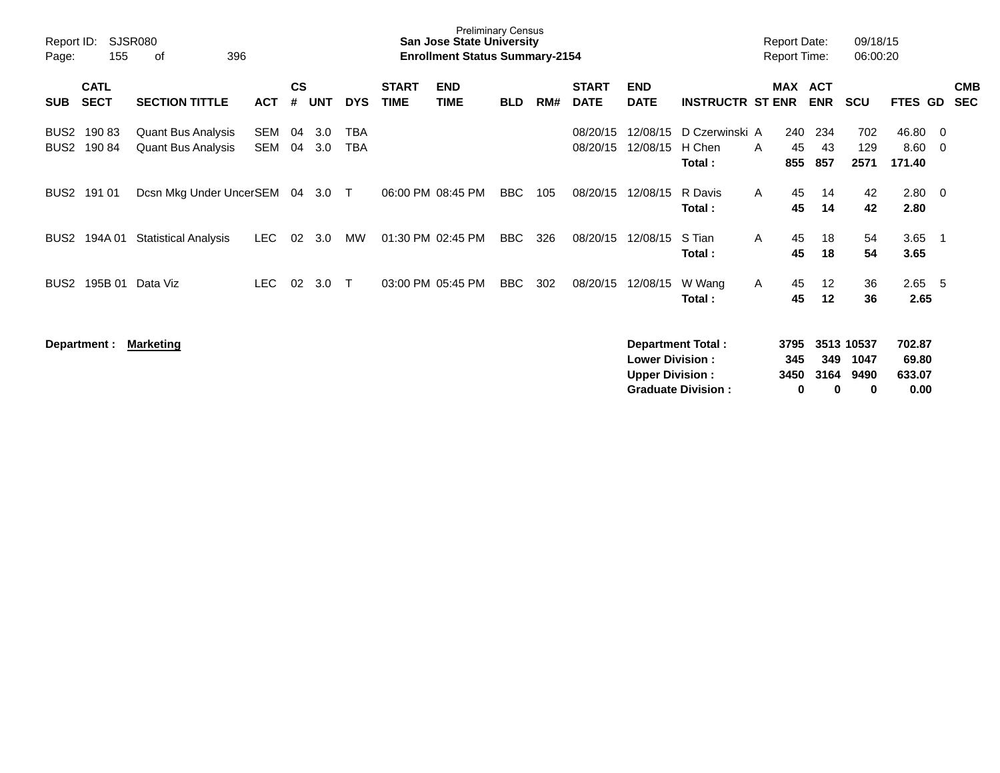| Report ID:<br>Page:                  | 155                        | <b>SJSR080</b><br>396<br>οf                            |                   |                    |            |                   |                             | <b>Preliminary Census</b><br>San Jose State University<br><b>Enrollment Status Summary-2154</b> |            |     |                             |                                                  |                                                       |   | <b>Report Date:</b><br><b>Report Time:</b> |                  | 09/18/15<br>06:00:20            |                                   |                          |                          |
|--------------------------------------|----------------------------|--------------------------------------------------------|-------------------|--------------------|------------|-------------------|-----------------------------|-------------------------------------------------------------------------------------------------|------------|-----|-----------------------------|--------------------------------------------------|-------------------------------------------------------|---|--------------------------------------------|------------------|---------------------------------|-----------------------------------|--------------------------|--------------------------|
| <b>SUB</b>                           | <b>CATL</b><br><b>SECT</b> | <b>SECTION TITTLE</b>                                  | <b>ACT</b>        | $\mathsf{cs}$<br># | <b>UNT</b> | <b>DYS</b>        | <b>START</b><br><b>TIME</b> | <b>END</b><br><b>TIME</b>                                                                       | <b>BLD</b> | RM# | <b>START</b><br><b>DATE</b> | <b>END</b><br><b>DATE</b>                        | <b>INSTRUCTR ST ENR</b>                               |   | MAX ACT                                    | <b>ENR</b>       | <b>SCU</b>                      | <b>FTES GD</b>                    |                          | <b>CMB</b><br><b>SEC</b> |
| BUS <sub>2</sub><br>BUS <sub>2</sub> | 19083<br>19084             | <b>Quant Bus Analysis</b><br><b>Quant Bus Analysis</b> | SEM<br><b>SEM</b> | 04<br>04           | 3.0<br>3.0 | <b>TBA</b><br>TBA |                             |                                                                                                 |            |     | 08/20/15<br>08/20/15        | 12/08/15<br>12/08/15                             | D Czerwinski A<br>H Chen<br>Total:                    | A | 240<br>45<br>855                           | 234<br>43<br>857 | 702<br>129<br>2571              | 46.80<br>8.60<br>171.40           | - 0<br>- 0               |                          |
| BUS2                                 | 191 01                     | Dcsn Mkg Under UncerSEM                                |                   | 04                 | 3.0        | $\top$            |                             | 06:00 PM 08:45 PM                                                                               | BBC        | 105 | 08/20/15                    | 12/08/15                                         | R Davis<br>Total:                                     | A | 45<br>45                                   | 14<br>14         | 42<br>42                        | 2.80 0<br>2.80                    |                          |                          |
| BUS <sub>2</sub>                     | 194A 01                    | <b>Statistical Analysis</b>                            | <b>LEC</b>        | 02                 | 3.0        | <b>MW</b>         |                             | 01:30 PM 02:45 PM                                                                               | BBC        | 326 | 08/20/15                    | 12/08/15                                         | S Tian<br>Total:                                      | A | 45<br>45                                   | 18<br>18         | 54<br>54                        | 3.65<br>3.65                      | $\overline{\phantom{1}}$ |                          |
| BUS <sub>2</sub>                     | 195B 01                    | Data Viz                                               | LEC.              | 02                 | 3.0        | $\top$            |                             | 03:00 PM 05:45 PM                                                                               | <b>BBC</b> | 302 | 08/20/15                    | 12/08/15                                         | W Wang<br>Total:                                      | A | 45<br>45                                   | 12<br>12         | 36<br>36                        | 2.65<br>2.65                      | - 5                      |                          |
|                                      | Department :               | Marketing                                              |                   |                    |            |                   |                             |                                                                                                 |            |     |                             | <b>Lower Division:</b><br><b>Upper Division:</b> | <b>Department Total:</b><br><b>Graduate Division:</b> |   | 3795<br>345<br>3450<br>0                   | 349<br>3164<br>0 | 3513 10537<br>1047<br>9490<br>0 | 702.87<br>69.80<br>633.07<br>0.00 |                          |                          |